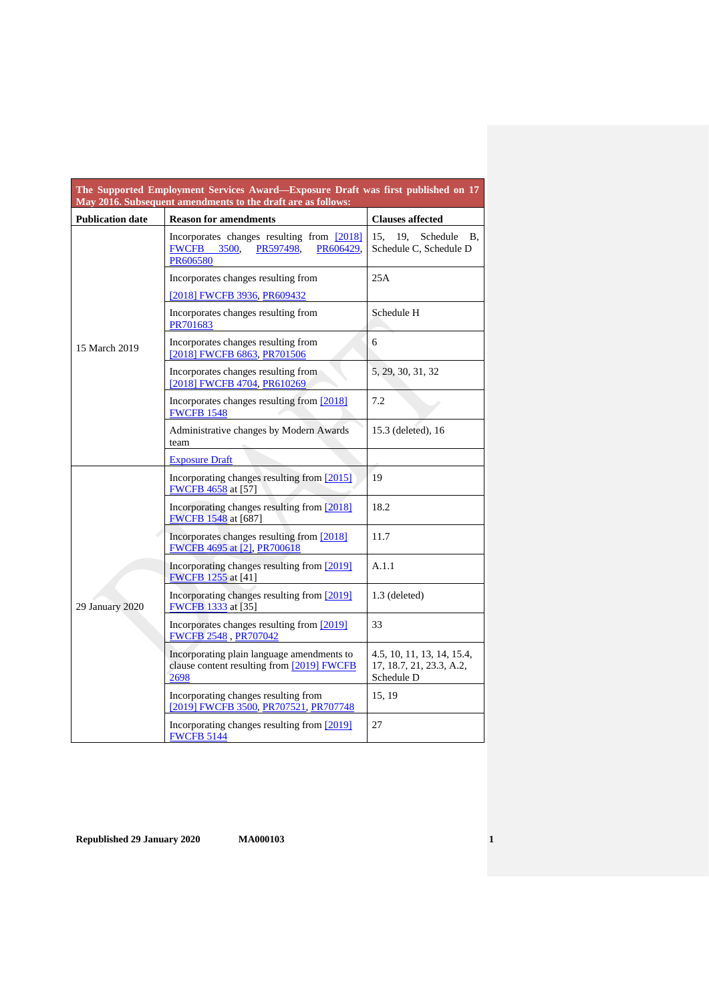| The Supported Employment Services Award—Exposure Draft was first published on 17<br>May 2016. Subsequent amendments to the draft are as follows: |                                                                                                        |                                                                      |
|--------------------------------------------------------------------------------------------------------------------------------------------------|--------------------------------------------------------------------------------------------------------|----------------------------------------------------------------------|
| <b>Publication date</b>                                                                                                                          | <b>Reason for amendments</b>                                                                           | <b>Clauses affected</b>                                              |
|                                                                                                                                                  | Incorporates changes resulting from [2018]<br>PR597498,<br>PR606429,<br><b>FWCFB</b> 3500,<br>PR606580 | 19.<br>Schedule<br>15,<br>В.<br>Schedule C, Schedule D               |
|                                                                                                                                                  | Incorporates changes resulting from<br>[2018] FWCFB 3936, PR609432                                     | 25A                                                                  |
|                                                                                                                                                  | Incorporates changes resulting from<br>PR701683                                                        | Schedule H                                                           |
| 15 March 2019                                                                                                                                    | Incorporates changes resulting from<br>[2018] FWCFB 6863, PR701506                                     | 6                                                                    |
|                                                                                                                                                  | Incorporates changes resulting from<br>[2018] FWCFB 4704, PR610269                                     | 5, 29, 30, 31, 32                                                    |
|                                                                                                                                                  | Incorporates changes resulting from [2018]<br><b>FWCFB 1548</b>                                        | 7.2                                                                  |
|                                                                                                                                                  | Administrative changes by Modern Awards<br>team                                                        | 15.3 (deleted), 16                                                   |
|                                                                                                                                                  | <b>Exposure Draft</b>                                                                                  |                                                                      |
|                                                                                                                                                  | Incorporating changes resulting from [2015]<br>FWCFB 4658 at [57]                                      | 19                                                                   |
|                                                                                                                                                  | Incorporating changes resulting from [2018]<br><b>FWCFB</b> 1548 at [687]                              | 18.2                                                                 |
|                                                                                                                                                  | Incorporates changes resulting from [2018]<br>FWCFB 4695 at [2], PR700618                              | 11.7                                                                 |
|                                                                                                                                                  | Incorporating changes resulting from [2019]<br><b>FWCFB</b> 1255 at [41]                               | A.1.1                                                                |
| 29 January 2020                                                                                                                                  | Incorporating changes resulting from [2019]<br><b>FWCFB</b> 1333 at [35]                               | 1.3 (deleted)                                                        |
|                                                                                                                                                  | Incorporates changes resulting from [2019]<br><b>FWCFB 2548, PR707042</b>                              | 33                                                                   |
|                                                                                                                                                  | Incorporating plain language amendments to<br>clause content resulting from [2019] FWCFB<br>2698       | 4.5, 10, 11, 13, 14, 15.4,<br>17, 18.7, 21, 23.3, A.2,<br>Schedule D |
|                                                                                                                                                  | Incorporating changes resulting from<br>[2019] FWCFB 3500, PR707521, PR707748                          | 15, 19                                                               |
|                                                                                                                                                  | Incorporating changes resulting from [2019]<br><b>FWCFB 5144</b>                                       | 27                                                                   |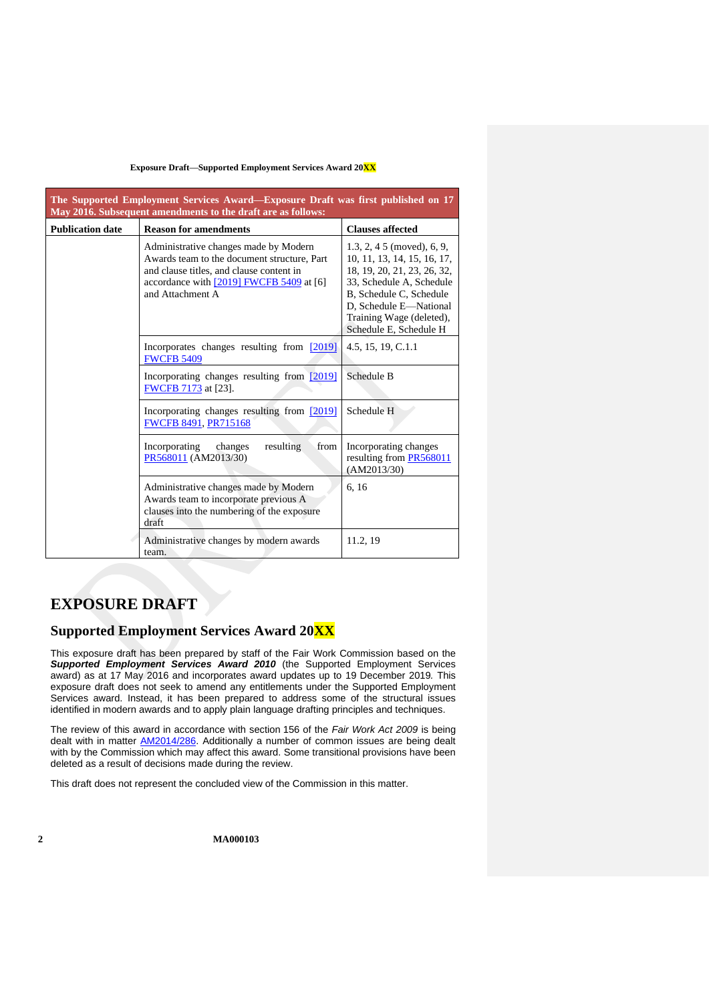| The Supported Employment Services Award—Exposure Draft was first published on 17<br>May 2016. Subsequent amendments to the draft are as follows: |                                                                                                                                                                                                  |                                                                                                                                                                                                                                            |
|--------------------------------------------------------------------------------------------------------------------------------------------------|--------------------------------------------------------------------------------------------------------------------------------------------------------------------------------------------------|--------------------------------------------------------------------------------------------------------------------------------------------------------------------------------------------------------------------------------------------|
| <b>Publication date</b>                                                                                                                          | <b>Reason for amendments</b>                                                                                                                                                                     | <b>Clauses affected</b>                                                                                                                                                                                                                    |
|                                                                                                                                                  | Administrative changes made by Modern<br>Awards team to the document structure, Part<br>and clause titles, and clause content in<br>accordance with [2019] FWCFB 5409 at [6]<br>and Attachment A | $1.3, 2, 4.5 \text{ (moved)}$ , 6, 9,<br>10, 11, 13, 14, 15, 16, 17,<br>18, 19, 20, 21, 23, 26, 32,<br>33, Schedule A, Schedule<br>B, Schedule C, Schedule<br>D, Schedule E-National<br>Training Wage (deleted),<br>Schedule E, Schedule H |
|                                                                                                                                                  | 4.5, 15, 19, C.1.1                                                                                                                                                                               |                                                                                                                                                                                                                                            |
|                                                                                                                                                  | Incorporating changes resulting from [2019]<br>FWCFB 7173 at [23].                                                                                                                               |                                                                                                                                                                                                                                            |
|                                                                                                                                                  | Incorporating changes resulting from [2019]<br>FWCFB 8491, PR715168                                                                                                                              | Schedule H                                                                                                                                                                                                                                 |
|                                                                                                                                                  | Incorporating<br>resulting<br>from<br>changes<br>PR568011 (AM2013/30)                                                                                                                            | Incorporating changes<br>resulting from PR568011<br>(AM2013/30)                                                                                                                                                                            |
|                                                                                                                                                  | Administrative changes made by Modern<br>Awards team to incorporate previous A<br>clauses into the numbering of the exposure<br>draft                                                            | 6, 16                                                                                                                                                                                                                                      |
|                                                                                                                                                  | Administrative changes by modern awards<br>team.                                                                                                                                                 | 11.2, 19                                                                                                                                                                                                                                   |

# **EXPOSURE DRAFT**

# **Supported Employment Services Award 20XX**

This exposure draft has been prepared by staff of the Fair Work Commission based on the *Supported Employment Services Award 2010* (the Supported Employment Services award) as at 17 May 2016 and incorporates award updates up to 19 December 2019*.* This exposure draft does not seek to amend any entitlements under the Supported Employment Services award. Instead, it has been prepared to address some of the structural issues identified in modern awards and to apply plain language drafting principles and techniques.

The review of this award in accordance with section 156 of the *Fair Work Act 2009* is being dealt with in matter [AM2014/286.](http://www.fwc.gov.au/awards-and-agreements/modern-award-reviews/4-yearly-review/award-stage/award-review-documents/MA000103?m=AM2014/286) Additionally a number of common issues are being dealt with by the Commission which may affect this award. Some transitional provisions have been deleted as a result of decisions made during the review.

This draft does not represent the concluded view of the Commission in this matter.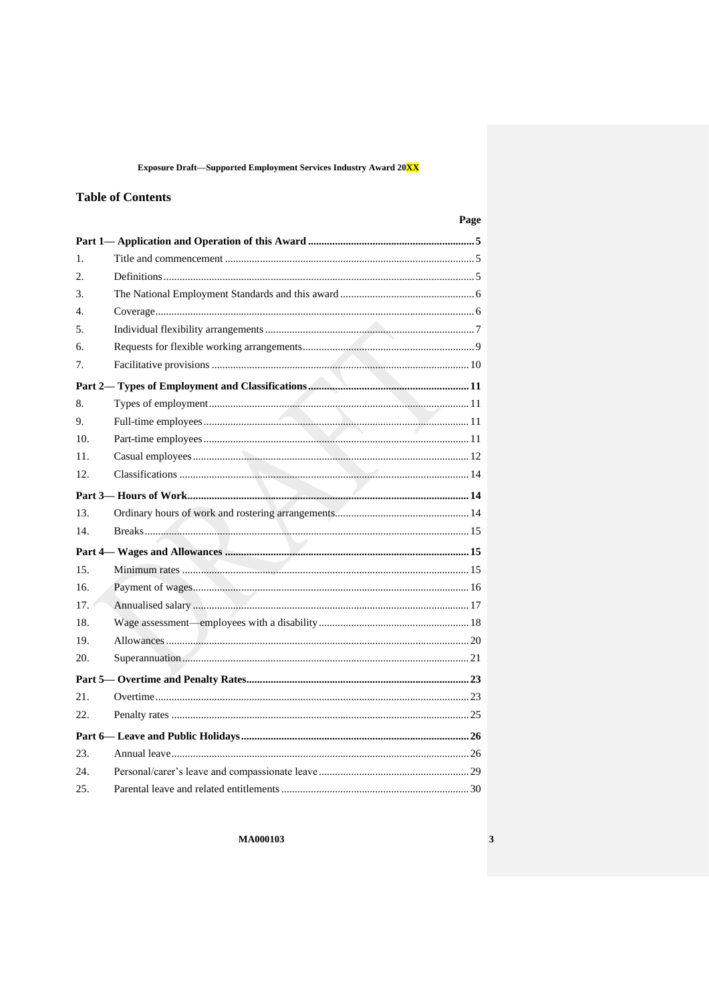Exposure Draft-Supported Employment Services Industry Award 20<mark>XX</mark>

## **Table of Contents**

| $\mathbf{1}$ .   |  |
|------------------|--|
| 2.               |  |
| 3.               |  |
| $\overline{4}$ . |  |
| 5.               |  |
| б.               |  |
| 7.               |  |
|                  |  |
| 8.               |  |
| 9.               |  |
| 10.              |  |
| 11.              |  |
| 12.              |  |
|                  |  |
| 13.              |  |
| 14.              |  |
|                  |  |
| 15.              |  |
| 16.              |  |
| 17.              |  |
| 18.              |  |
| 19.              |  |
| 20.              |  |
|                  |  |
| 21.              |  |
| 22.              |  |
|                  |  |
| 23.              |  |
| 24.              |  |
| 25.              |  |

**MA000103** 

Page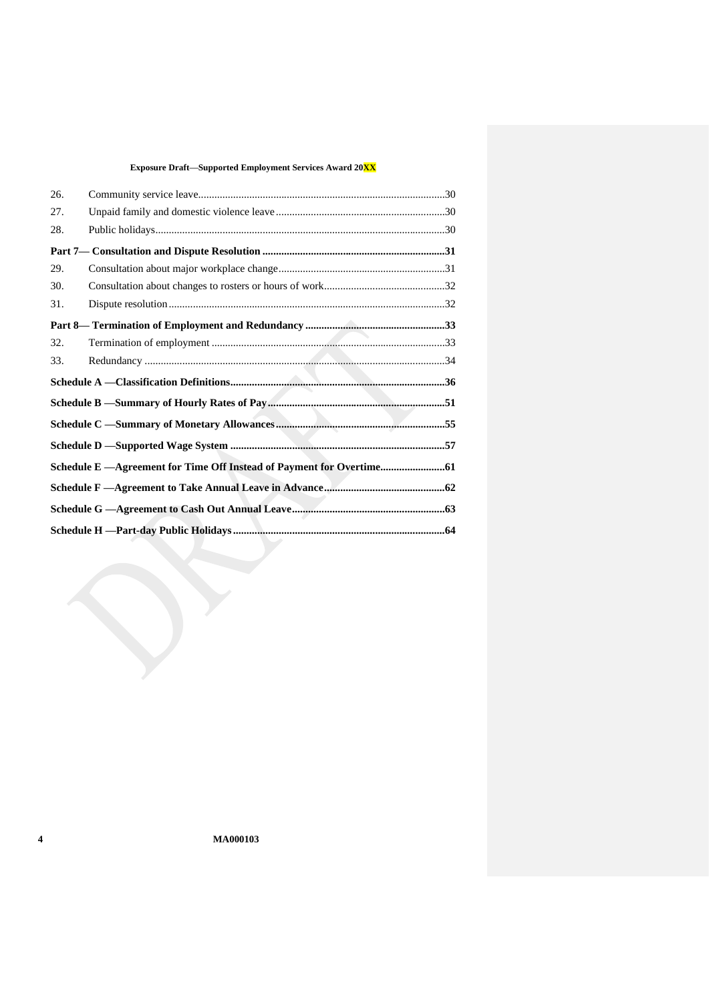| 26. |                                                                        |  |
|-----|------------------------------------------------------------------------|--|
| 27. |                                                                        |  |
| 28. |                                                                        |  |
|     |                                                                        |  |
| 29. |                                                                        |  |
| 30. |                                                                        |  |
| 31. |                                                                        |  |
|     |                                                                        |  |
| 32. |                                                                        |  |
| 33. |                                                                        |  |
|     |                                                                        |  |
|     |                                                                        |  |
|     |                                                                        |  |
|     |                                                                        |  |
|     |                                                                        |  |
|     | Schedule E - Agreement for Time Off Instead of Payment for Overtime 61 |  |
|     |                                                                        |  |
|     |                                                                        |  |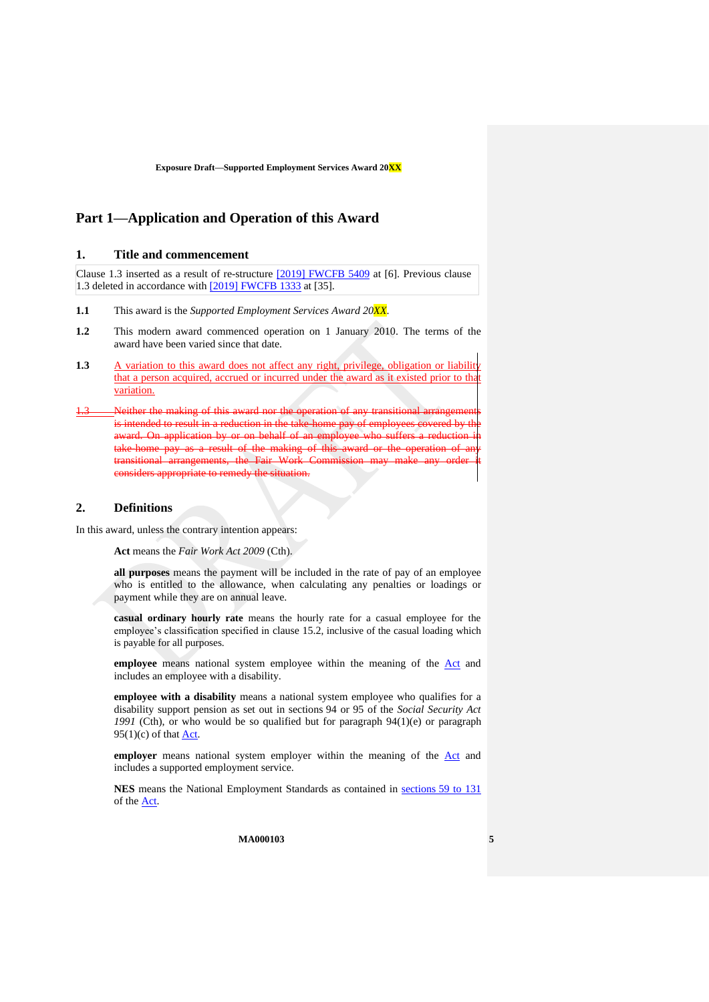# <span id="page-4-3"></span><span id="page-4-2"></span>**Part 1—Application and Operation of this Award**

## **1. Title and commencement**

Clause 1.3 inserted as a result of re-structure [\[2019\] FWCFB 5409](https://www.fwc.gov.au/documents/decisionssigned/html/2019fwcfb5409.htm#P266_6964) at [6]. Previous clause 1.3 deleted in accordance with [\[2019\] FWCFB 1333](https://www.fwc.gov.au/documents/decisionssigned/html/2019fwcfb1333.htm) at [35].

- **1.1** This award is the *Supported Employment Services Award 20XX*.
- **1.2** This modern award commenced operation on 1 January 2010. The terms of the award have been varied since that date.
- <span id="page-4-0"></span>**1.3** A variation to this award does not affect any right, privilege, obligation or liability that a person acquired, accrued or incurred under the award as it existed prior to that variation.
- Neither the making of this award nor the operation is intended to result in a reduction in the award. On application by take-home pay as a result of the making of this transitional arrangements, the Fair Work Commission considers appropriate to remedy the situation.

### <span id="page-4-1"></span>**2. Definitions**

In this award, unless the contrary intention appears:

**Act** means the *Fair Work Act 2009* (Cth).

**all purposes** means the payment will be included in the rate of pay of an employee who is entitled to the allowance, when calculating any penalties or loadings or payment while they are on annual leave.

**casual ordinary hourly rate** means the hourly rate for a casual employee for the employee's classification specified in clause [15.2](#page-14-3), inclusive of the casual loading which is payable for all purposes.

**employee** means national system employee within the meaning of the [Act](http://www.legislation.gov.au/Series/C2009A00028) and includes an employee with a disability.

**employee with a disability** means a national system employee who qualifies for a disability support pension as set out in sections 94 or 95 of the *Social Security Act 1991* (Cth), or who would be so qualified but for paragraph 94(1)(e) or paragraph  $95(1)(c)$  of that **Act**.

employer means national system employer within the meaning of the [Act](http://www.legislation.gov.au/Series/C2009A00028) and includes a supported employment service.

**NES** means the National Employment Standards as contained in sections [59 to 131](http://www.fwc.gov.au/awardmod/download/nes.pdf) of the [Act.](http://www.legislation.gov.au/Series/C2009A00028)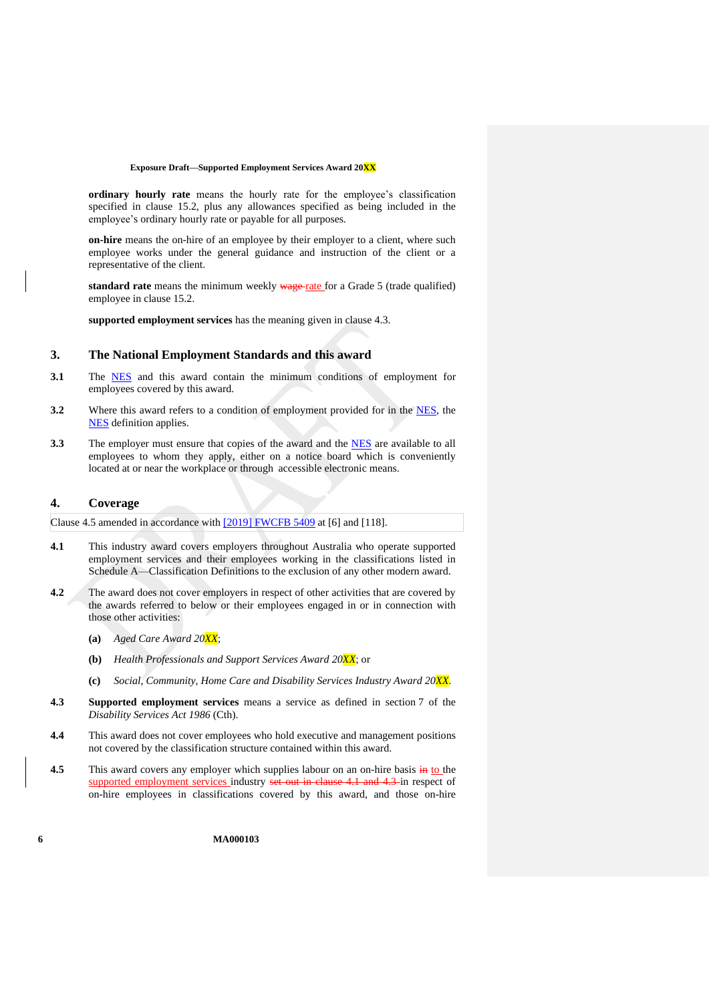**ordinary hourly rate** means the hourly rate for the employee's classification specified in clause [15.2,](#page-14-3) plus any allowances specified as being included in the employee's ordinary hourly rate or payable for all purposes.

**on-hire** means the on-hire of an employee by their employer to a client, where such employee works under the general guidance and instruction of the client or a representative of the client.

<span id="page-5-5"></span>standard rate means the minimum weekly wage rate for a Grade 5 (trade qualified) employee in clause [15.2.](#page-14-3)

**supported employment services** has the meaning given in clause [4.3.](#page-5-3)

### <span id="page-5-2"></span>**3. The National Employment Standards and this award**

- **3.1** The [NES](https://www.fwc.gov.au/documents/awardmod/download/nes.pdf) and this award contain the minimum conditions of employment for employees covered by this award.
- **3.2** Where this award refers to a condition of employment provided for in the [NES,](https://www.fwc.gov.au/documents/awardmod/download/nes.pdf) the [NES](https://www.fwc.gov.au/documents/awardmod/download/nes.pdf) definition applies.
- **3.3** The employer must ensure that copies of the award and the **NES** are available to all employees to whom they apply, either on a notice board which is conveniently located at or near the workplace or through accessible electronic means.

### <span id="page-5-1"></span>**4. Coverage**

Clause 4.5 amended in accordance with [\[2019\] FWCFB 5409](https://www.fwc.gov.au/documents/decisionssigned/html/2019fwcfb5409.htm#P266_6964) at [6] and [118].

- <span id="page-5-4"></span>**4.1** This industry award covers employers throughout Australia who operate supported employment services and their employees working in the classifications listed in [Schedule A](#page-35-3)[—Classification Definitions](#page-35-2) to the exclusion of any other modern award.
- **4.2** The award does not cover employers in respect of other activities that are covered by the awards referred to below or their employees engaged in or in connection with those other activities:
	- **(a)** *Aged Care Award 20XX*;
	- **(b)** *Health Professionals and Support Services Award 20XX*; or
	- **(c)** *Social, Community, Home Care and Disability Services Industry Award 20XX*.
- <span id="page-5-3"></span>**4.3 Supported employment services** means a service as defined in section 7 of the *Disability Services Act 1986* (Cth).
- **4.4** This award does not cover employees who hold executive and management positions not covered by the classification structure contained within this award.
- <span id="page-5-0"></span>**4.5** This award covers any employer which supplies labour on an on-hire basis in to the supported employment services industry set out in clause [4.1](#page-5-4) and [4.3](#page-5-3) in respect of on-hire employees in classifications covered by this award, and those on-hire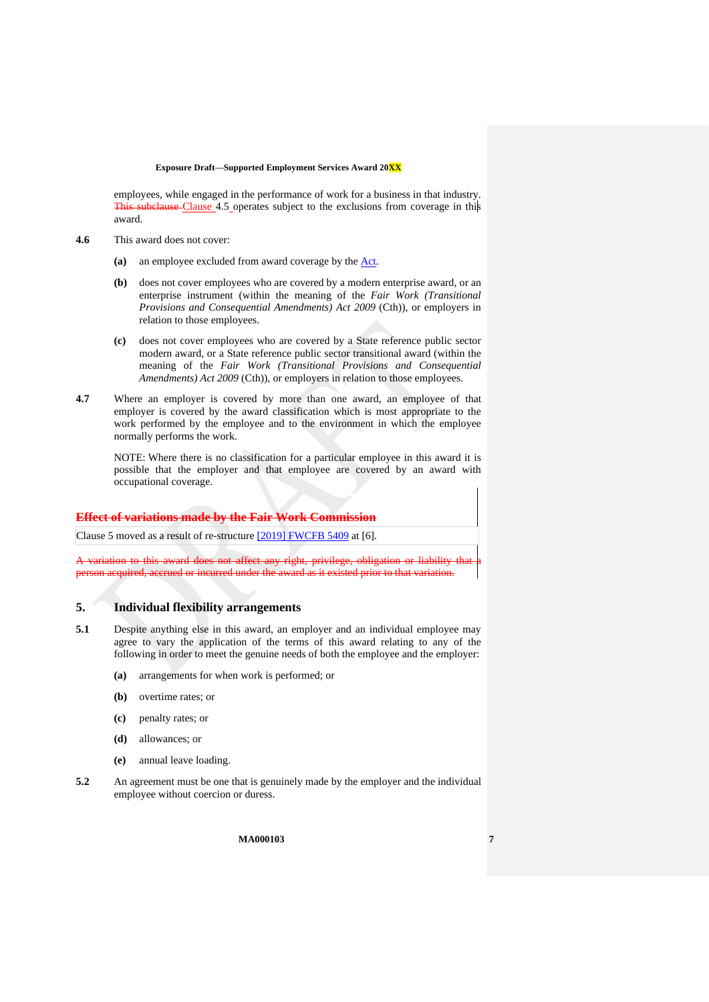employees, while engaged in the performance of work for a business in that industry. This subclause Clause [4.5](#page-5-0) operates subject to the exclusions from coverage in this award.

- **4.6** This award does not cover:
	- **(a)** an employee excluded from award coverage by the [Act.](http://www.legislation.gov.au/Series/C2009A00028)
	- **(b)** does not cover employees who are covered by a modern enterprise award, or an enterprise instrument (within the meaning of the *Fair Work (Transitional Provisions and Consequential Amendments) Act 2009* (Cth)), or employers in relation to those employees.
	- **(c)** does not cover employees who are covered by a State reference public sector modern award, or a State reference public sector transitional award (within the meaning of the *Fair Work (Transitional Provisions and Consequential Amendments) Act 2009* (Cth)), or employers in relation to those employees.
- **4.7** Where an employer is covered by more than one award, an employee of that employer is covered by the award classification which is most appropriate to the work performed by the employee and to the environment in which the employee normally performs the work.

NOTE: Where there is no classification for a particular employee in this award it is possible that the employer and that employee are covered by an award with occupational coverage.

### **Effect of variations made by the Fair Work Commission**

Clause 5 moved as a result of re-structure [\[2019\] FWCFB 5409](https://www.fwc.gov.au/documents/decisionssigned/html/2019fwcfb5409.htm#P266_6964) at [6].

award does not affect any right, privilege, obligation or liability th person acquired, accrued or incurred under the award as it existed prior to that variation.

## <span id="page-6-0"></span>**5. Individual flexibility arrangements**

- **5.1** Despite anything else in this award, an employer and an individual employee may agree to vary the application of the terms of this award relating to any of the following in order to meet the genuine needs of both the employee and the employer:
	- **(a)** arrangements for when work is performed; or
	- **(b)** overtime rates; or
	- **(c)** penalty rates; or
	- **(d)** allowances; or
	- **(e)** annual leave loading.
- **5.2** An agreement must be one that is genuinely made by the employer and the individual employee without coercion or duress.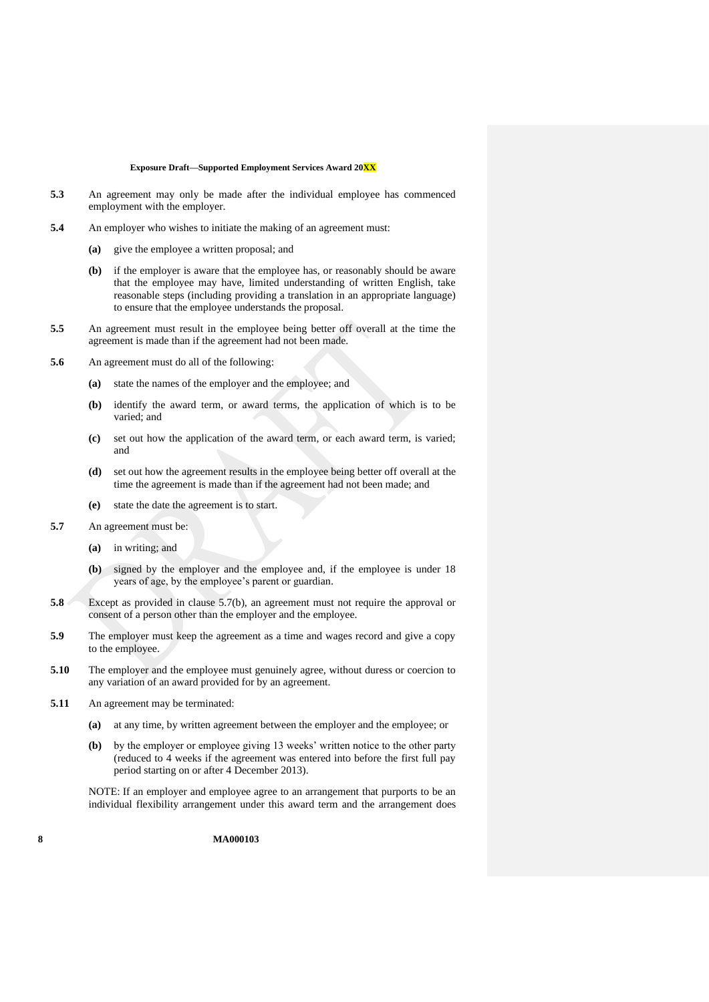- **5.3** An agreement may only be made after the individual employee has commenced employment with the employer.
- **5.4** An employer who wishes to initiate the making of an agreement must:
	- **(a)** give the employee a written proposal; and
	- **(b)** if the employer is aware that the employee has, or reasonably should be aware that the employee may have, limited understanding of written English, take reasonable steps (including providing a translation in an appropriate language) to ensure that the employee understands the proposal.
- **5.5** An agreement must result in the employee being better off overall at the time the agreement is made than if the agreement had not been made.
- **5.6** An agreement must do all of the following:
	- **(a)** state the names of the employer and the employee; and
	- **(b)** identify the award term, or award terms, the application of which is to be varied; and
	- **(c)** set out how the application of the award term, or each award term, is varied; and
	- **(d)** set out how the agreement results in the employee being better off overall at the time the agreement is made than if the agreement had not been made; and
	- **(e)** state the date the agreement is to start.
- <span id="page-7-0"></span>**5.7** An agreement must be:
	- **(a)** in writing; and
	- **(b)** signed by the employer and the employee and, if the employee is under 18 years of age, by the employee's parent or guardian.
- **5.8** Except as provided in clause [5.7\(b\),](#page-7-0) an agreement must not require the approval or consent of a person other than the employer and the employee.
- **5.9** The employer must keep the agreement as a time and wages record and give a copy to the employee.
- **5.10** The employer and the employee must genuinely agree, without duress or coercion to any variation of an award provided for by an agreement.
- <span id="page-7-1"></span>**5.11** An agreement may be terminated:
	- **(a)** at any time, by written agreement between the employer and the employee; or
	- **(b)** by the employer or employee giving 13 weeks' written notice to the other party (reduced to 4 weeks if the agreement was entered into before the first full pay period starting on or after 4 December 2013).

NOTE: If an employer and employee agree to an arrangement that purports to be an individual flexibility arrangement under this award term and the arrangement does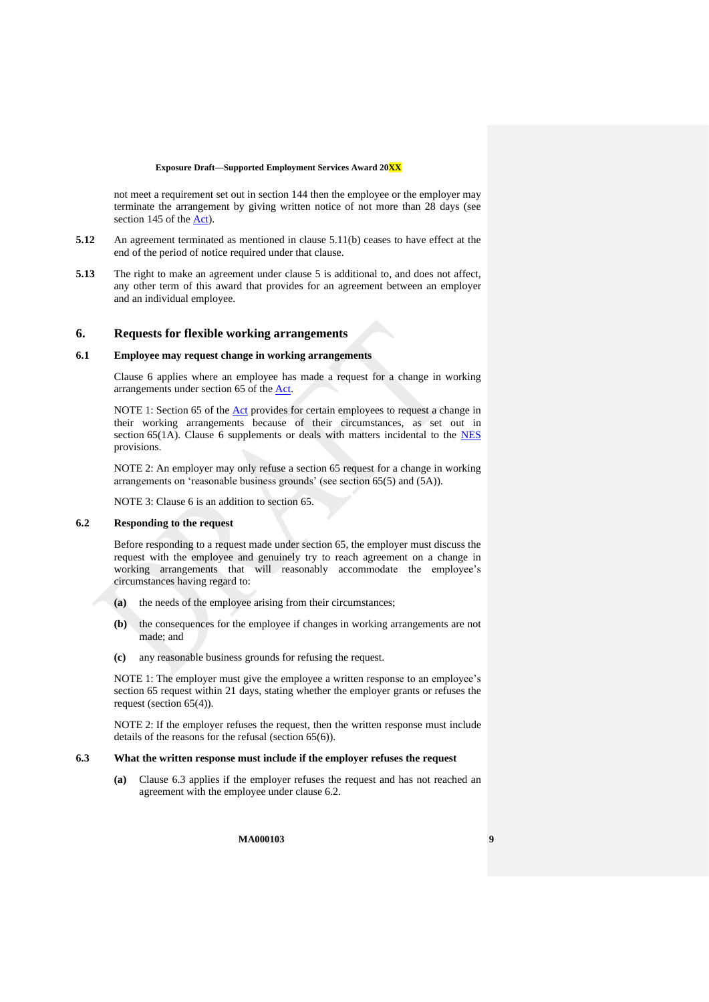not meet a requirement set out in section 144 then the employee or the employer may terminate the arrangement by giving written notice of not more than 28 days (see section 145 of the [Act\)](http://www.legislation.gov.au/Series/C2009A00028).

- **5.12** An agreement terminated as mentioned in clause [5.11\(b\)](#page-7-1) ceases to have effect at the end of the period of notice required under that clause.
- **5.13** The right to make an agreement under clause [5](#page-6-0) is additional to, and does not affect, any other term of this award that provides for an agreement between an employer and an individual employee.

#### <span id="page-8-0"></span>**6. Requests for flexible working arrangements**

#### **6.1 Employee may request change in working arrangements**

Clause [6](#page-8-0) applies where an employee has made a request for a change in working arrangements under section 65 of th[e Act.](http://www.legislation.gov.au/Series/C2009A00028)

NOTE 1: Section 65 of the **Act** provides for certain employees to request a change in their working arrangements because of their circumstances, as set out in section [6](#page-8-0)5(1A). Clause 6 supplements or deals with matters incidental to the  $NES$ provisions.

NOTE 2: An employer may only refuse a section 65 request for a change in working arrangements on 'reasonable business grounds' (see section 65(5) and (5A)).

NOTE 3: Clause [6](#page-8-0) is an addition to section 65.

#### <span id="page-8-2"></span>**6.2 Responding to the request**

Before responding to a request made under section 65, the employer must discuss the request with the employee and genuinely try to reach agreement on a change in working arrangements that will reasonably accommodate the employee's circumstances having regard to:

- **(a)** the needs of the employee arising from their circumstances;
- **(b)** the consequences for the employee if changes in working arrangements are not made; and
- **(c)** any reasonable business grounds for refusing the request.

NOTE 1: The employer must give the employee a written response to an employee's section 65 request within 21 days, stating whether the employer grants or refuses the request (section 65(4)).

NOTE 2: If the employer refuses the request, then the written response must include details of the reasons for the refusal (section 65(6)).

#### <span id="page-8-1"></span>**6.3 What the written response must include if the employer refuses the request**

**(a)** Clause [6.3](#page-8-1) applies if the employer refuses the request and has not reached an agreement with the employee under clause [6.2.](#page-8-2)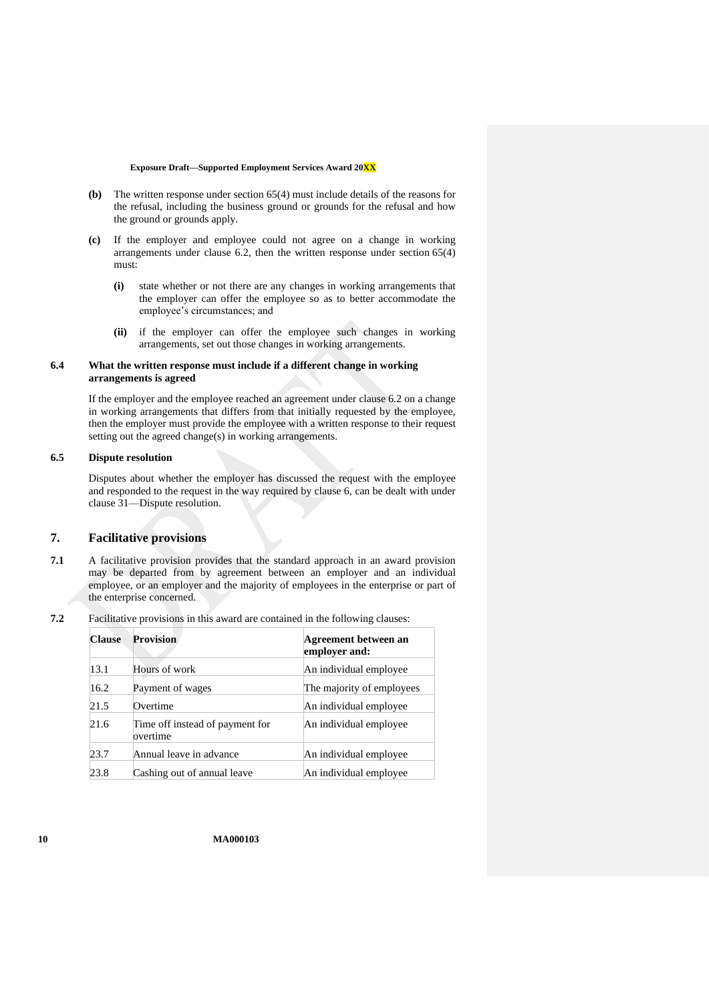- **(b)** The written response under section 65(4) must include details of the reasons for the refusal, including the business ground or grounds for the refusal and how the ground or grounds apply.
- **(c)** If the employer and employee could not agree on a change in working arrangements under clause [6.2,](#page-8-2) then the written response under section 65(4) must:
	- **(i)** state whether or not there are any changes in working arrangements that the employer can offer the employee so as to better accommodate the employee's circumstances; and
	- **(ii)** if the employer can offer the employee such changes in working arrangements, set out those changes in working arrangements.

### **6.4 What the written response must include if a different change in working arrangements is agreed**

If the employer and the employee reached an agreement under claus[e 6.2](#page-8-2) on a change in working arrangements that differs from that initially requested by the employee, then the employer must provide the employee with a written response to their request setting out the agreed change(s) in working arrangements.

#### **6.5 Dispute resolution**

Disputes about whether the employer has discussed the request with the employee and responded to the request in the way required by clause [6,](#page-8-0) can be dealt with under clause [31—Dispute resolution.](#page-31-1)

## <span id="page-9-1"></span>**7. Facilitative provisions**

- **7.1** A facilitative provision provides that the standard approach in an award provision may be departed from by agreement between an employer and an individual employee, or an employer and the majority of employees in the enterprise or part of the enterprise concerned.
- <span id="page-9-0"></span>**7.2** Facilitative provisions in this award are contained in the following clauses:

| <b>Clause</b> | <b>Provision</b>                            | Agreement between an<br>employer and: |
|---------------|---------------------------------------------|---------------------------------------|
| 13.1          | Hours of work                               | An individual employee                |
| 16.2          | Payment of wages                            | The majority of employees             |
| 21.5          | Overtime                                    | An individual employee                |
| 21.6          | Time off instead of payment for<br>overtime | An individual employee                |
| 23.7          | Annual leave in advance                     | An individual employee                |
| 23.8          | Cashing out of annual leave                 | An individual employee                |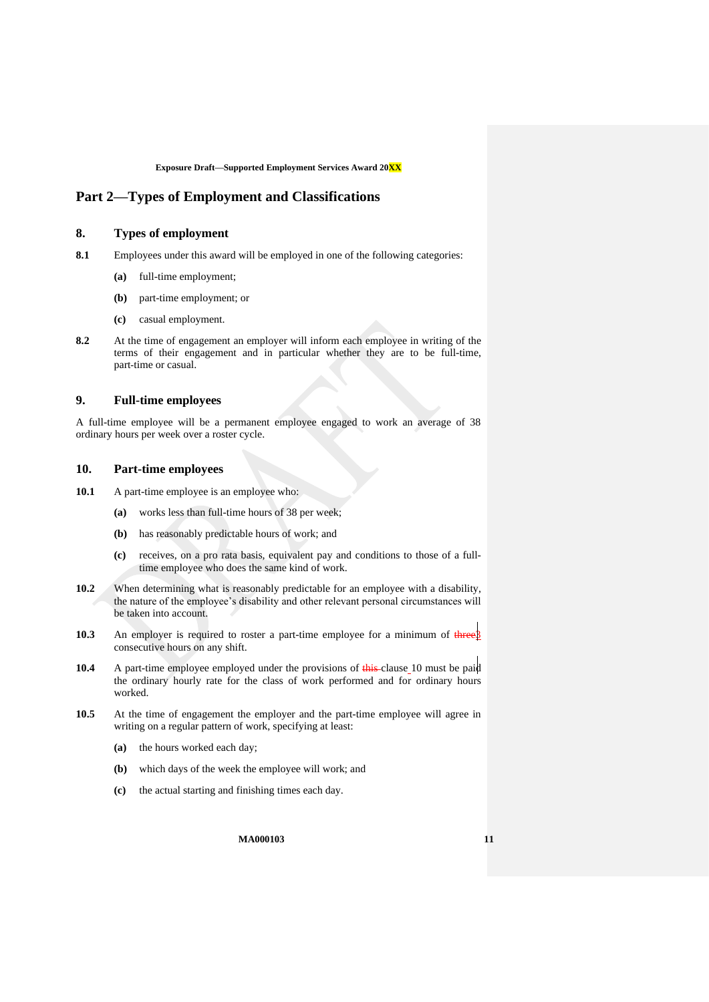## <span id="page-10-3"></span><span id="page-10-2"></span>**Part 2—Types of Employment and Classifications**

## **8. Types of employment**

- **8.1** Employees under this award will be employed in one of the following categories:
	- **(a)** full-time employment;
	- **(b)** part-time employment; or
	- **(c)** casual employment.
- **8.2** At the time of engagement an employer will inform each employee in writing of the terms of their engagement and in particular whether they are to be full-time, part-time or casual.

## <span id="page-10-1"></span>**9. Full-time employees**

A full-time employee will be a permanent employee engaged to work an average of 38 ordinary hours per week over a roster cycle.

## <span id="page-10-0"></span>**10. Part-time employees**

- 10.1 A part-time employee is an employee who:
	- **(a)** works less than full-time hours of 38 per week;
	- **(b)** has reasonably predictable hours of work; and
	- **(c)** receives, on a pro rata basis, equivalent pay and conditions to those of a fulltime employee who does the same kind of work.
- 10.2 When determining what is reasonably predictable for an employee with a disability, the nature of the employee's disability and other relevant personal circumstances will be taken into account.
- **10.3** An employer is required to roster a part-time employee for a minimum of threes consecutive hours on any shift.
- **[10](#page-10-0).4** A part-time employee employed under the provisions of this clause 10 must be paid the ordinary hourly rate for the class of work performed and for ordinary hours worked.
- <span id="page-10-4"></span>**10.5** At the time of engagement the employer and the part-time employee will agree in writing on a regular pattern of work, specifying at least:
	- **(a)** the hours worked each day;
	- **(b)** which days of the week the employee will work; and
	- **(c)** the actual starting and finishing times each day.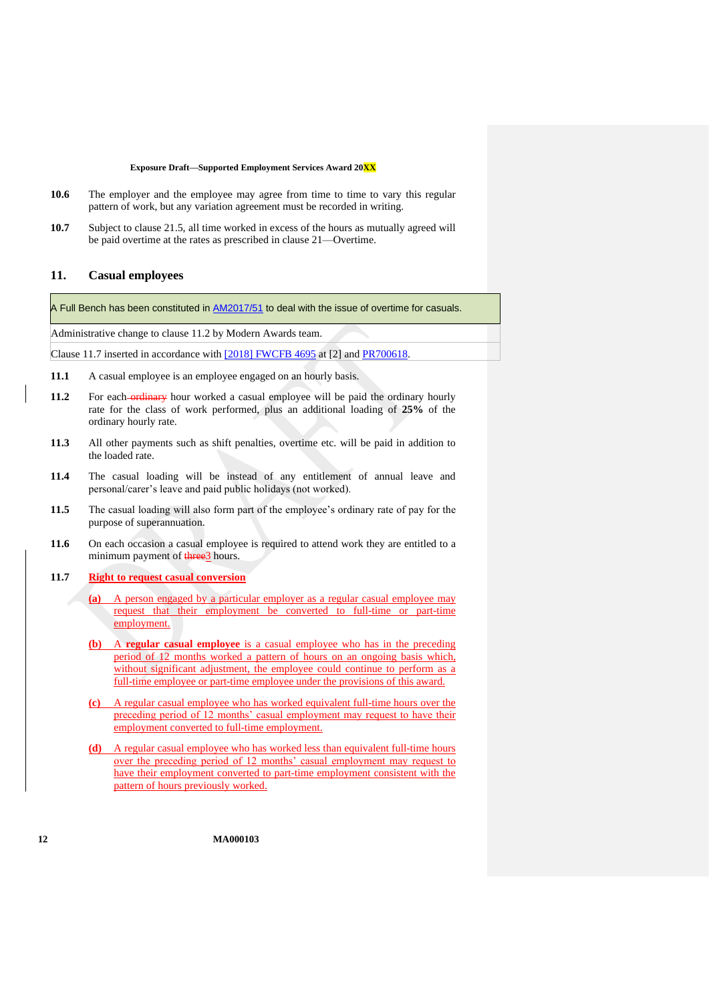- <span id="page-11-4"></span>**10.6** The employer and the employee may agree from time to time to vary this regular pattern of work, but any variation agreement must be recorded in writing.
- **10.7** Subject to clause [21.5,](#page-22-2) all time worked in excess of the hours as mutually agreed will be paid overtime at the rates as prescribed in clause [21—Overtime.](#page-22-0)

## <span id="page-11-1"></span>**11. Casual employees**

A Full Bench has been constituted in [AM2017/51](https://www.fwc.gov.au/awards-agreements/awards/modern-award-reviews/4-yearly-review/common-issues/am201751-overtime) to deal with the issue of overtime for casuals.

Administrative change to clause 11.2 by Modern Awards team.

Clause 11.7 inserted in accordance with [\[2018\] FWCFB 4695](https://www.fwc.gov.au/documents/decisionssigned/html/2018fwcfb4695.htm) at [2] and [PR700618.](https://www.fwc.gov.au/documents/awardsandorders/html/pr700618.htm)

- **11.1** A casual employee is an employee engaged on an hourly basis.
- <span id="page-11-2"></span>**11.2** For each-ordinary hour worked a casual employee will be paid the ordinary hourly rate for the class of work performed, plus an additional loading of **25%** of the ordinary hourly rate.
- **11.3** All other payments such as shift penalties, overtime etc. will be paid in addition to the loaded rate.
- **11.4** The casual loading will be instead of any entitlement of annual leave and personal/carer's leave and paid public holidays (not worked).
- **11.5** The casual loading will also form part of the employee's ordinary rate of pay for the purpose of superannuation.
- **11.6** On each occasion a casual employee is required to attend work they are entitled to a minimum payment of three3 hours.
- <span id="page-11-0"></span>**11.7 Right to request casual conversion**

**(a)** A person engaged by a particular employer as a regular casual employee may request that their employment be converted to full-time or part-time employment.

- <span id="page-11-3"></span>**(b)** A **regular casual employee** is a casual employee who has in the preceding period of 12 months worked a pattern of hours on an ongoing basis which, without significant adjustment, the employee could continue to perform as a full-time employee or part-time employee under the provisions of this award.
- **(c)** A regular casual employee who has worked equivalent full-time hours over the preceding period of 12 months' casual employment may request to have their employment converted to full-time employment.
- **(d)** A regular casual employee who has worked less than equivalent full-time hours over the preceding period of 12 months' casual employment may request to have their employment converted to part-time employment consistent with the pattern of hours previously worked.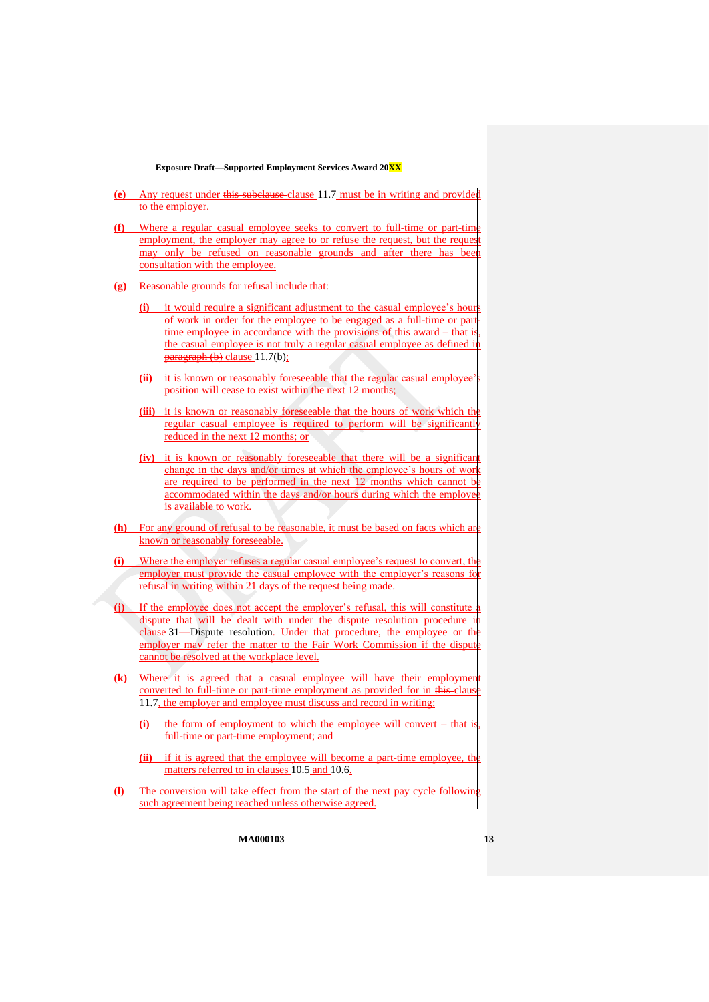- **(e)** Any request under this subclause clause [11.7](#page-11-0) must be in writing and provided to the employer.
- **(f)** Where a regular casual employee seeks to convert to full-time or part-time employment, the employer may agree to or refuse the request, but the request may only be refused on reasonable grounds and after there has been consultation with the employee.
- **(g)** Reasonable grounds for refusal include that:
	- **(i)** it would require a significant adjustment to the casual employee's hour of work in order for the employee to be engaged as a full-time or parttime employee in accordance with the provisions of this award  $-$  that is the casual employee is not truly a regular casual employee as defined in  $\frac{\text{pargraph}}{\text{(b)}}$  $\frac{\text{pargraph}}{\text{(b)}}$  $\frac{\text{pargraph}}{\text{(b)}}$  clause [11.7\(b\);](#page-11-3)
	- **(ii)** it is known or reasonably foreseeable that the regular casual employee's position will cease to exist within the next 12 months;
	- **(iii)** it is known or reasonably foreseeable that the hours of work which the regular casual employee is required to perform will be significantly reduced in the next 12 months; or
	- **(iv)** it is known or reasonably foreseeable that there will be a significant change in the days and/or times at which the employee's hours of work are required to be performed in the next 12 months which cannot be accommodated within the days and/or hours during which the employ is available to work.
- **(h)** For any ground of refusal to be reasonable, it must be based on facts which are known or reasonably foreseeable.
- Where the employer refuses a regular casual employee's request to convert, the employer must provide the casual employee with the employer's reasons for refusal in writing within 21 days of the request being made.
- **(j)** If the employee does not accept the employer's refusal, this will constitute dispute that will be dealt with under the dispute resolution procedure clause [31](#page-31-1)—[Dispute resolution.](#page-31-1) Under that procedure, the employee or the employer may refer the matter to the Fair Work Commission if the dispute cannot be resolved at the workplace level.
- **(k)** Where it is agreed that a casual employee will have their employment converted to full-time or part-time employment as provided for in this-claus [11.7,](#page-11-0) the employer and employee must discuss and record in writing:
	- the form of employment to which the employee will convert that is full-time or part-time employment; and
	- **(ii)** if it is agreed that the employee will become a part-time employee, the matters referred to in clauses [10.5](#page-10-4) and [10.6.](#page-11-4)
- **(l)** The conversion will take effect from the start of the next pay cycle following such agreement being reached unless otherwise agreed.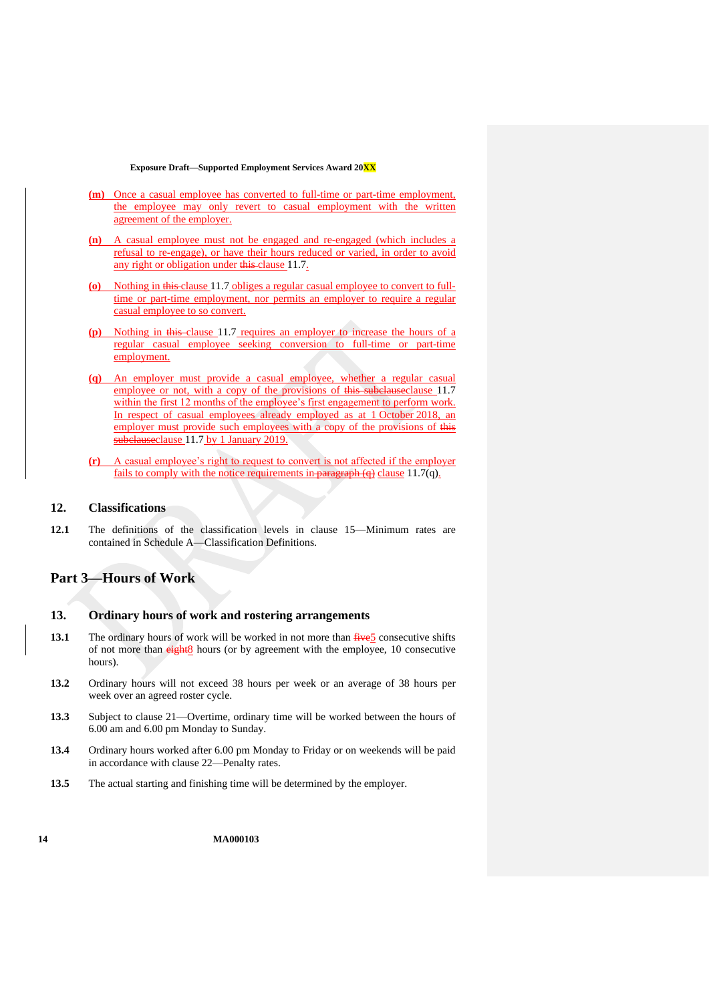- **(m)** Once a casual employee has converted to full-time or part-time employment, the employee may only revert to casual employment with the written agreement of the employer.
- **(n)** A casual employee must not be engaged and re-engaged (which includes a refusal to re-engage), or have their hours reduced or varied, in order to avoid any right or obligation under this clause [11.7.](#page-11-0)
- **(o)** Nothing in this clause [11.7](#page-11-0) obliges a regular casual employee to convert to fulltime or part-time employment, nor permits an employer to require a regular casual employee to so convert.
- **(p)** Nothing in this clause [11.7](#page-11-0) requires an employer to increase the hours of a regular casual employee seeking conversion to full-time or part-time employment.
- <span id="page-13-4"></span>**(q)** An employer must provide a casual employee, whether a regular casual employee or not, with a copy of the provisions of this subclause clause [11.7](#page-11-0) within the first 12 months of the employee's first engagement to perform work. In respect of casual employees already employed as at 1 October 2018, an employer must provide such employees with a copy of the provisions of this subclauseclause [11.7](#page-11-0) by 1 January 2019.
- **(r)** A casual employee's right to request to convert is not affected if the employer fails to comply with the notice requirements in paragraph  $(q)$  clause [11.7\(q\).](#page-13-4)

### <span id="page-13-1"></span>**12. Classifications**

**12.1** The definitions of the classification levels in clause [15—Minimum rates](#page-14-0) are contained in [Schedule A](#page-35-3)[—Classification Definitions.](#page-35-2)

# <span id="page-13-2"></span><span id="page-13-0"></span>**Part 3—Hours of Work**

#### **13. Ordinary hours of work and rostering arrangements**

- <span id="page-13-3"></span>**13.1** The ordinary hours of work will be worked in not more than  $\frac{f}{f}$  consecutive shifts of not more than  $\frac{eightharpoonup g}{eightharpoonup g}$  hours (or by agreement with the employee, 10 consecutive hours).
- **13.2** Ordinary hours will not exceed 38 hours per week or an average of 38 hours per week over an agreed roster cycle.
- **13.3** Subject to clause [21—Overtime,](#page-22-0) ordinary time will be worked between the hours of 6.00 am and 6.00 pm Monday to Sunday.
- **13.4** Ordinary hours worked after 6.00 pm Monday to Friday or on weekends will be paid in accordance with clause [22—Penalty rates.](#page-24-0)
- **13.5** The actual starting and finishing time will be determined by the employer.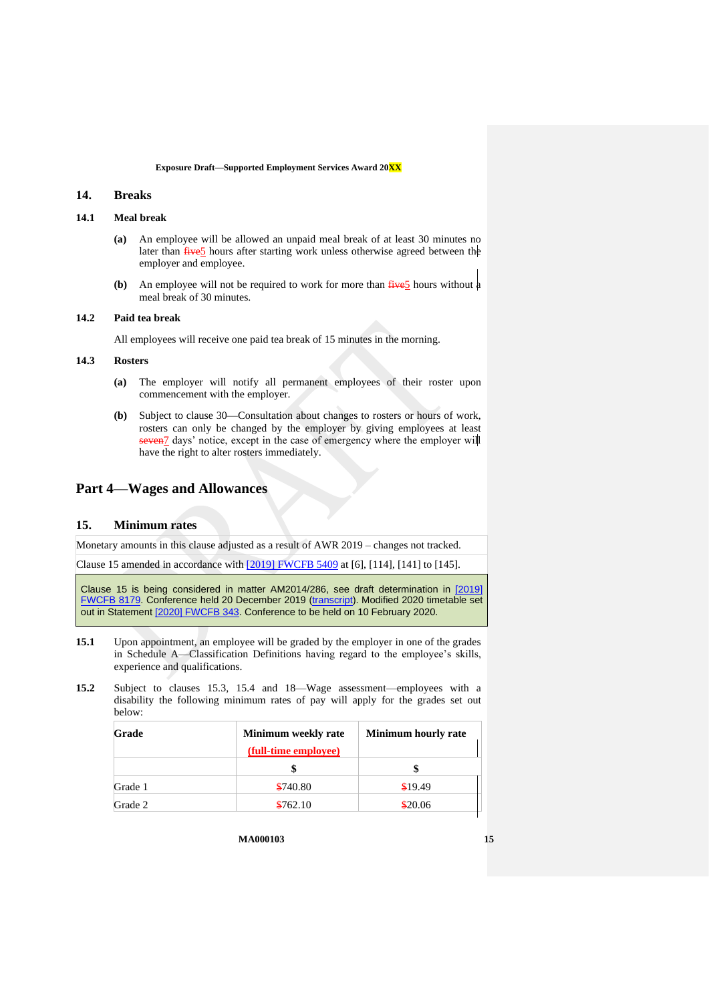## <span id="page-14-1"></span>**14. Breaks**

## **14.1 Meal break**

- **(a)** An employee will be allowed an unpaid meal break of at least 30 minutes no later than  $f{five5}$  hours after starting work unless otherwise agreed between the employer and employee.
- **(b)** An employee will not be required to work for more than  $\frac{f^2}{f^2}$  hours without a meal break of 30 minutes.

## **14.2 Paid tea break**

All employees will receive one paid tea break of 15 minutes in the morning.

### **14.3 Rosters**

- **(a)** The employer will notify all permanent employees of their roster upon commencement with the employer.
- **(b)** Subject to clause [30—Consultation about changes to rosters or hours of work,](#page-31-0) rosters can only be changed by the employer by giving employees at least seven<sup>7</sup> days' notice, except in the case of emergency where the employer will have the right to alter rosters immediately.

## <span id="page-14-2"></span><span id="page-14-0"></span>**Part 4—Wages and Allowances**

### **15. Minimum rates**

Monetary amounts in this clause adjusted as a result of AWR 2019 – changes not tracked.

Clause 15 amended in accordance with [\[2019\] FWCFB 5409](https://www.fwc.gov.au/documents/decisionssigned/html/2019fwcfb5409.htm) at [6], [114], [141] to [145].

Clause 15 is being considered in matter AM2014/286, see draft determination in [\[2019\]](https://www.fwc.gov.au/documents/decisionssigned/html/2019fwcfb8179.htm)  [FWCFB 8179.](https://www.fwc.gov.au/documents/decisionssigned/html/2019fwcfb8179.htm) Conference held 20 December 2019 [\(transcript\)](https://www.fwc.gov.au/sites/awardsmodernfouryr/201219_am2014286.htm). Modified 2020 timetable set out in Statemen[t \[2020\] FWCFB 343.](https://www.fwc.gov.au/documents/sites/awardsmodernfouryr/2020fwcfb343.pdf) Conference to be held on 10 February 2020.

- **15.1** Upon appointment, an employee will be graded by the employer in one of the grades in [Schedule A](#page-35-3)[—Classification Definitions](#page-35-2) having regard to the employee's skills, experience and qualifications.
- <span id="page-14-3"></span>**15.2** Subject to clauses [15.3,](#page-15-2) [15.4](#page-15-1) and [18—Wage assessment—employees with a](#page-17-1)  [disability](#page-17-1) the following minimum rates of pay will apply for the grades set out below:

| Grade   | Minimum weekly rate  | <b>Minimum hourly rate</b> |  |
|---------|----------------------|----------------------------|--|
|         | (full-time employee) |                            |  |
|         |                      |                            |  |
| Grade 1 | \$740.80             | \$19.49                    |  |
| Grade 2 | \$762.10             | \$20.06                    |  |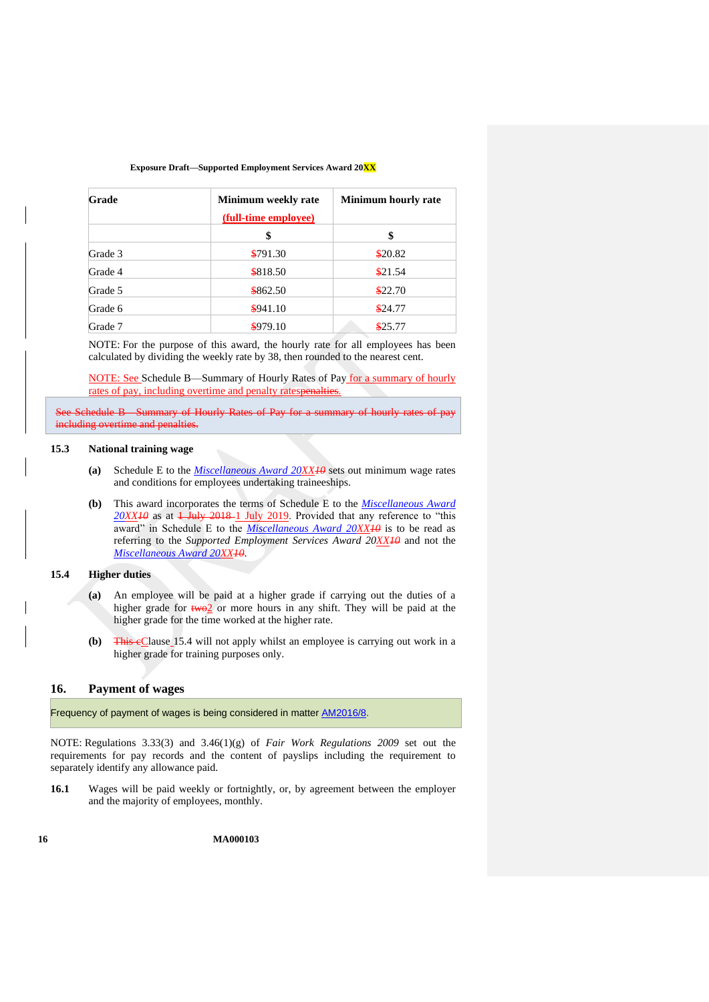| Grade   | Minimum weekly rate<br>(full-time employee) | <b>Minimum hourly rate</b> |  |
|---------|---------------------------------------------|----------------------------|--|
|         | \$                                          | \$                         |  |
| Grade 3 | \$791.30                                    | \$20.82                    |  |
| Grade 4 | \$818.50                                    | \$21.54                    |  |
| Grade 5 | \$862.50                                    | \$22.70                    |  |
| Grade 6 | \$941.10                                    | \$24.77                    |  |
| Grade 7 | \$979.10                                    | \$25.77                    |  |

NOTE: For the purpose of this award, the hourly rate for all employees has been calculated by dividing the weekly rate by 38, then rounded to the nearest cent.

NOTE: See [Schedule B—Summary of Hourly Rates of Pay](#page-50-0) for a summary of hourly rates of pay, including overtime and penalty ratespenalties.

Schedule B—Summary of Hourly Rates of Pay for a summary of hourly rate including overtime and penalties.

## <span id="page-15-2"></span>**15.3 National training wage**

- **(a)** Schedule E to the *[Miscellaneous Award 20XX1](https://www.fwc.gov.au/documents/modern_awards/award/ma000104/default.htm)0* sets out minimum wage rates and conditions for employees undertaking traineeships.
- **(b)** This award incorporates the terms of Schedule E to the *[Miscellaneous Award](https://www.fwc.gov.au/documents/modern_awards/award/ma000104/default.htm)*   $20XX10$  $20XX10$  as at  $1$  July 2018-1 July 2019. Provided that any reference to "this award" in Schedule E to the *[Miscellaneous Award 20XX1](https://www.fwc.gov.au/documents/modern_awards/award/ma000104/default.htm)0* is to be read as referring to the *Supported Employment Services Award 20XX10* and not the *[Miscellaneous Award 20XX1](https://www.fwc.gov.au/documents/modern_awards/award/ma000104/default.htm)0*.

## <span id="page-15-1"></span>**15.4 Higher duties**

- **(a)** An employee will be paid at a higher grade if carrying out the duties of a higher grade for  $t$ wo<sup>2</sup> or more hours in any shift. They will be paid at the higher grade for the time worked at the higher rate.
- **(b)** This eClause [15.4](#page-15-1) will not apply whilst an employee is carrying out work in a higher grade for training purposes only.

## <span id="page-15-0"></span>**16. Payment of wages**

Frequency of payment of wages is being considered in matter [AM2016/8.](https://www.fwc.gov.au/awards-agreements/awards/modern-award-reviews/4-yearly-review/common-issues/am20168-payment-wages)

NOTE: Regulations 3.33(3) and 3.46(1)(g) of *Fair Work Regulations 2009* set out the requirements for pay records and the content of payslips including the requirement to separately identify any allowance paid.

**16.1** Wages will be paid weekly or fortnightly, or, by agreement between the employer and the majority of employees, monthly.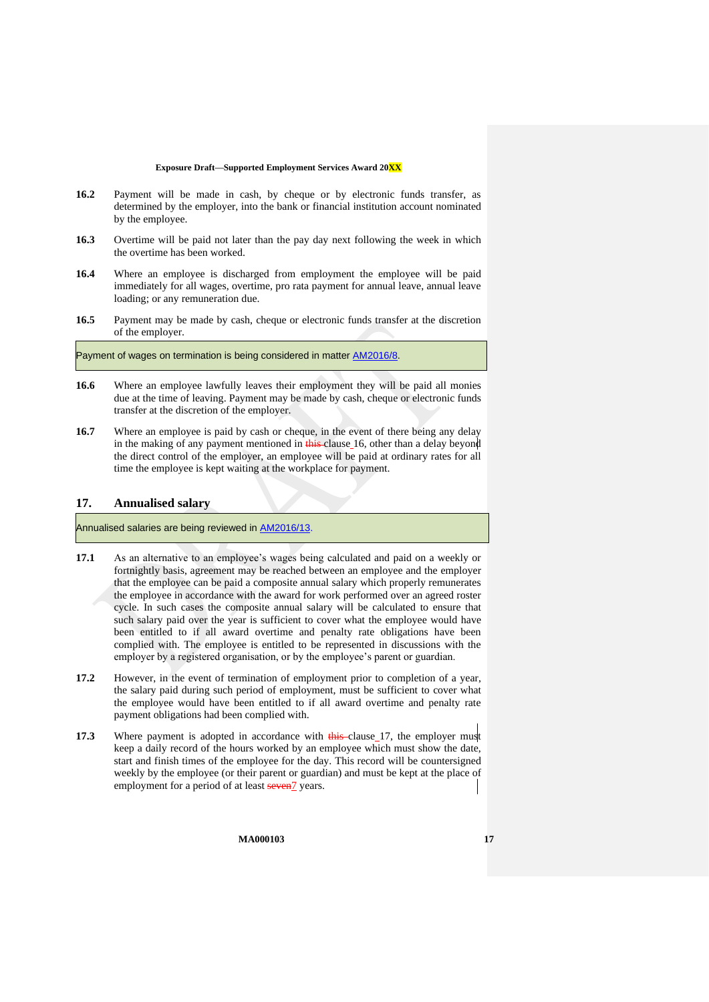- <span id="page-16-1"></span>**16.2** Payment will be made in cash, by cheque or by electronic funds transfer, as determined by the employer, into the bank or financial institution account nominated by the employee.
- **16.3** Overtime will be paid not later than the pay day next following the week in which the overtime has been worked.
- **16.4** Where an employee is discharged from employment the employee will be paid immediately for all wages, overtime, pro rata payment for annual leave, annual leave loading; or any remuneration due.
- **16.5** Payment may be made by cash, cheque or electronic funds transfer at the discretion of the employer.

Payment of wages on termination is being considered in matter [AM2016/8.](https://www.fwc.gov.au/awards-agreements/awards/modern-award-reviews/4-yearly-review/common-issues/am20168-payment-wages)

- **16.6** Where an employee lawfully leaves their employment they will be paid all monies due at the time of leaving. Payment may be made by cash, cheque or electronic funds transfer at the discretion of the employer.
- **16.7** Where an employee is paid by cash or cheque, in the event of there being any delay in the making of any payment mentioned in this clause [16,](#page-15-0) other than a delay beyond the direct control of the employer, an employee will be paid at ordinary rates for all time the employee is kept waiting at the workplace for payment.

### <span id="page-16-0"></span>**17. Annualised salary**

Annualised salaries are being reviewed in [AM2016/13.](https://www.fwc.gov.au/awards-agreements/awards/modern-award-reviews/4-yearly-review/common-issues/am201613-annualised)

- **17.1** As an alternative to an employee's wages being calculated and paid on a weekly or fortnightly basis, agreement may be reached between an employee and the employer that the employee can be paid a composite annual salary which properly remunerates the employee in accordance with the award for work performed over an agreed roster cycle. In such cases the composite annual salary will be calculated to ensure that such salary paid over the year is sufficient to cover what the employee would have been entitled to if all award overtime and penalty rate obligations have been complied with. The employee is entitled to be represented in discussions with the employer by a registered organisation, or by the employee's parent or guardian.
- **17.2** However, in the event of termination of employment prior to completion of a year, the salary paid during such period of employment, must be sufficient to cover what the employee would have been entitled to if all award overtime and penalty rate payment obligations had been complied with.
- **17.3** Where payment is adopted in accordance with this clause [17,](#page-16-0) the employer must keep a daily record of the hours worked by an employee which must show the date, start and finish times of the employee for the day. This record will be countersigned weekly by the employee (or their parent or guardian) and must be kept at the place of employment for a period of at least seven<sup>7</sup> years.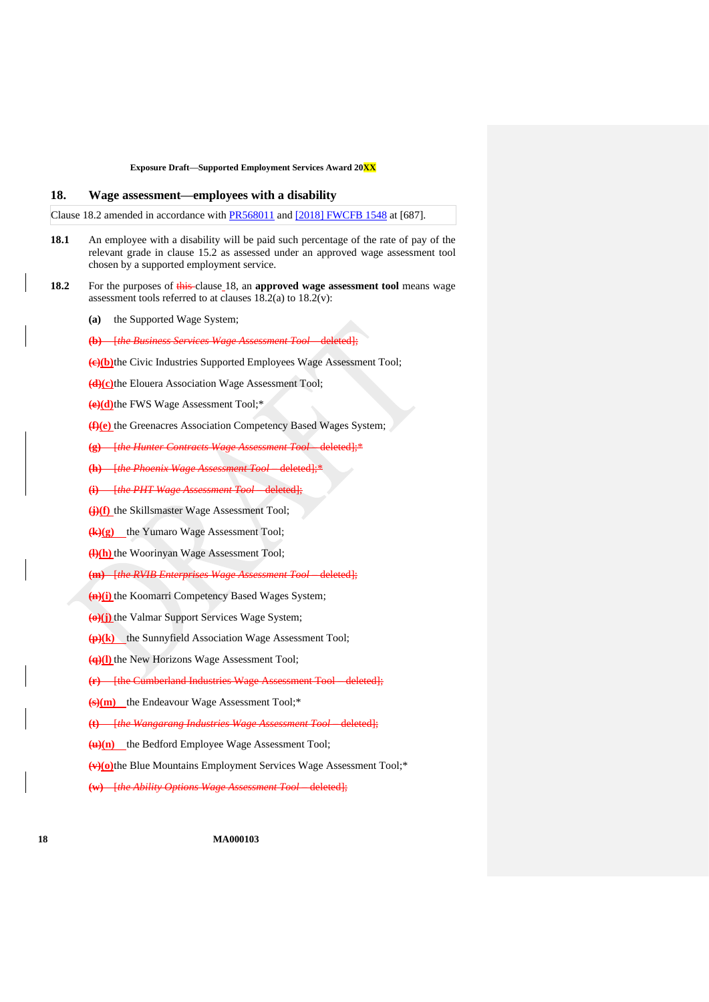## <span id="page-17-1"></span>**18. Wage assessment—employees with a disability**

Clause 18.2 amended in accordance with [PR568011](https://www.fwc.gov.au/documents/awardsandorders/html/pr568011.htm) and [\[2018\] FWCFB 1548](https://www.fwc.gov.au/documents/decisionssigned/html/2018fwcfb1548.htm#P3100_250471) at [687].

- <span id="page-17-4"></span>**18.1** An employee with a disability will be paid such percentage of the rate of pay of the relevant grade in clause [15.2](#page-14-3) as assessed under an approved wage assessment tool chosen by a supported employment service.
- <span id="page-17-2"></span><span id="page-17-0"></span>**18.2** For the purposes of this clause [18,](#page-17-1) an approved wage assessment tool means wage assessment tools referred to at clauses  $18.2(a)$  to  $18.2(v)$ :
	- **(a)** the Supported Wage System;

**(b)** [*the Business Services Wage Assessment Tool*—deleted];

**(c)(b)**the Civic Industries Supported Employees Wage Assessment Tool;

**(d)(c)**the Elouera Association Wage Assessment Tool;

**(e)(d)**the FWS Wage Assessment Tool;\*

**(f)(e)** the Greenacres Association Competency Based Wages System;

**(g)** [*the Hunter Contracts Wage Assessment Tool* – deleted];\*

**(h)** [*the Phoenix Wage Assessment Tool* – deleted];\*

**(i)** [*the PHT Wage Assessment Tool* – deleted];

**(j)(f)** the Skillsmaster Wage Assessment Tool;

**(k)(g)** the Yumaro Wage Assessment Tool;

**(l)(h)** the Woorinyan Wage Assessment Tool;

**(m)** [*the RVIB Enterprises Wage Assessment Tool* – deleted];

**(n)(i)** the Koomarri Competency Based Wages System;

**(o)(j)** the Valmar Support Services Wage System;

**(p)(k)** the Sunnyfield Association Wage Assessment Tool;

**(q)(l)** the New Horizons Wage Assessment Tool;

**(Filthe Cumberland Industries Wage Assessment Tool – deleted);** 

**(s)(m)** the Endeavour Wage Assessment Tool;\*

**(t)** [*the Wangarang Industries Wage Assessment Tool* – deleted];

<span id="page-17-3"></span>**(u)(n)** the Bedford Employee Wage Assessment Tool;

**(v)(o)**the Blue Mountains Employment Services Wage Assessment Tool;\*

**(w)** [*the Ability Options Wage Assessment Tool* – deleted];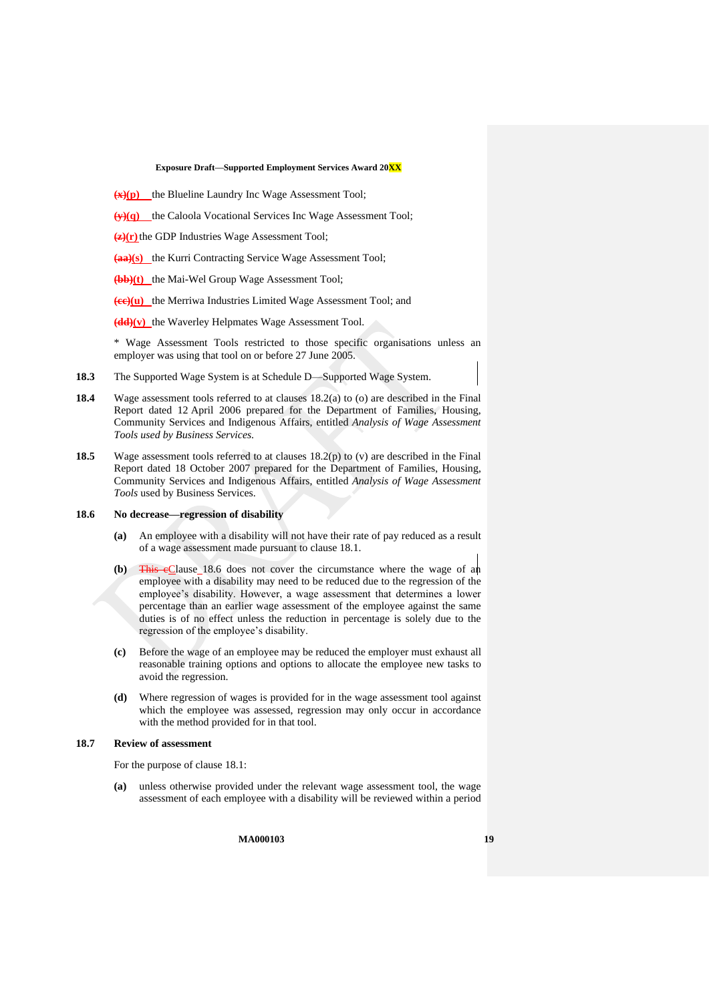- <span id="page-18-2"></span>**(x)(p)** the Blueline Laundry Inc Wage Assessment Tool;
- **(y)(q)** the Caloola Vocational Services Inc Wage Assessment Tool;
- **(z)(r)**the GDP Industries Wage Assessment Tool;
- **(aa)(s)** the Kurri Contracting Service Wage Assessment Tool;
- **(bb)(t)** the Mai-Wel Group Wage Assessment Tool;
- <span id="page-18-1"></span>**(cc)(u)** the Merriwa Industries Limited Wage Assessment Tool; and
- **(dd)(v)** the Waverley Helpmates Wage Assessment Tool.

\* Wage Assessment Tools restricted to those specific organisations unless an employer was using that tool on or before 27 June 2005.

- **18.3** The Supported Wage System is a[t Schedule D—Supported Wage System.](#page-56-0)
- **18.4** Wage assessment tools referred to at clauses [18.2\(a\)](#page-17-2) to [\(o\)](#page-17-3) are described in the Final Report dated 12 April 2006 prepared for the Department of Families, Housing, Community Services and Indigenous Affairs, entitled *Analysis of Wage Assessment Tools used by Business Services*.
- **18.5** Wage assessment tools referred to at clauses [18.2\(p\)](#page-18-2) to [\(v\)](#page-18-1) are described in the Final Report dated 18 October 2007 prepared for the Department of Families, Housing, Community Services and Indigenous Affairs, entitled *Analysis of Wage Assessment Tools* used by Business Services.

#### <span id="page-18-3"></span>**18.6 No decrease—regression of disability**

- **(a)** An employee with a disability will not have their rate of pay reduced as a result of a wage assessment made pursuant to clause [18.1.](#page-17-4)
- **(b)** This cClause [18.6](#page-18-3) does not cover the circumstance where the wage of an employee with a disability may need to be reduced due to the regression of the employee's disability. However, a wage assessment that determines a lower percentage than an earlier wage assessment of the employee against the same duties is of no effect unless the reduction in percentage is solely due to the regression of the employee's disability.
- **(c)** Before the wage of an employee may be reduced the employer must exhaust all reasonable training options and options to allocate the employee new tasks to avoid the regression.
- **(d)** Where regression of wages is provided for in the wage assessment tool against which the employee was assessed, regression may only occur in accordance with the method provided for in that tool.

#### <span id="page-18-0"></span>**18.7 Review of assessment**

For the purpose of clause [18.1:](#page-17-4)

**(a)** unless otherwise provided under the relevant wage assessment tool, the wage assessment of each employee with a disability will be reviewed within a period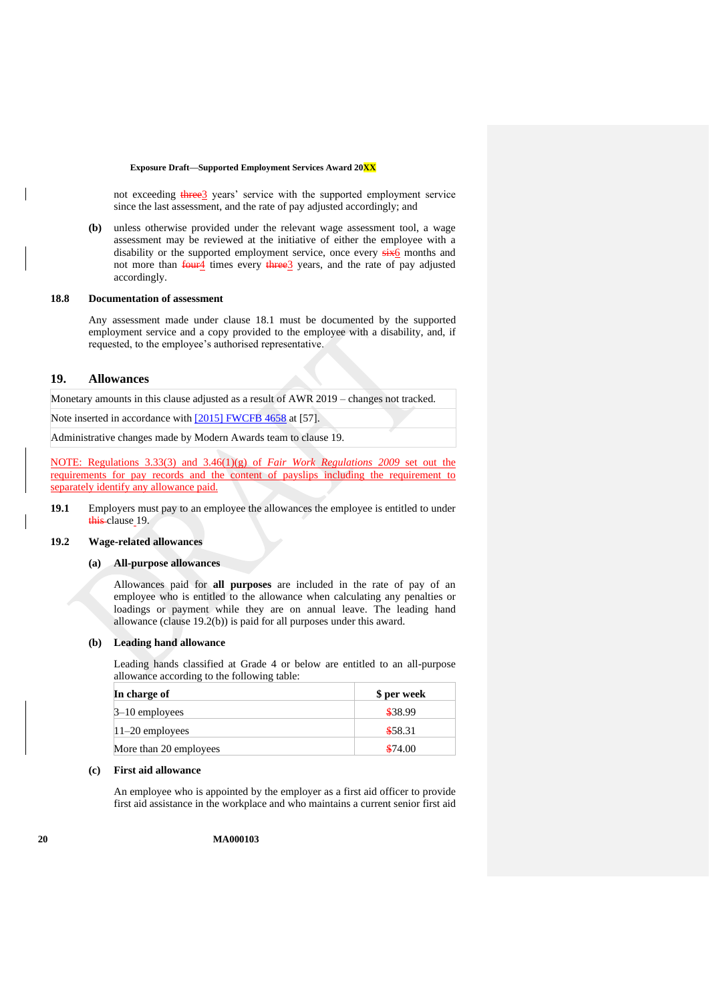not exceeding three<sup>3</sup> years' service with the supported employment service since the last assessment, and the rate of pay adjusted accordingly; and

**(b)** unless otherwise provided under the relevant wage assessment tool, a wage assessment may be reviewed at the initiative of either the employee with a disability or the supported employment service, once every  $s$ ix6 months and not more than four<sup>4</sup> times every three<sup>3</sup> years, and the rate of pay adjusted accordingly.

#### **18.8 Documentation of assessment**

Any assessment made under clause [18.1](#page-17-4) must be documented by the supported employment service and a copy provided to the employee with a disability, and, if requested, to the employee's authorised representative.

### <span id="page-19-0"></span>**19. Allowances**

Monetary amounts in this clause adjusted as a result of AWR 2019 – changes not tracked.

Note inserted in accordance with [\[2015\] FWCFB 4658](https://www.fwc.gov.au/documents/decisionssigned/html/2015fwcfb4658.htm) at [57].

Administrative changes made by Modern Awards team to clause 19.

NOTE: Regulations 3.33(3) and 3.46(1)(g) of *Fair Work Regulations 2009* set out the requirements for pay records and the content of payslips including the requirement to separately identify any allowance paid.

**19.1** Employers must pay to an employee the allowances the employee is entitled to under this clause [19.](#page-19-0)

### <span id="page-19-2"></span>**19.2 Wage-related allowances**

### **(a) All-purpose allowances**

Allowances paid for **all purposes** are included in the rate of pay of an employee who is entitled to the allowance when calculating any penalties or loadings or payment while they are on annual leave. The leading hand allowance (clause [19.2\(b\)\)](#page-19-1) is paid for all purposes under this award.

#### <span id="page-19-1"></span>**(b) Leading hand allowance**

Leading hands classified at Grade 4 or below are entitled to an all-purpose allowance according to the following table:

| In charge of           | \$ per week |
|------------------------|-------------|
| $3-10$ employees       | \$38.99     |
| $11-20$ employees      | \$58.31     |
| More than 20 employees | \$74.00     |

#### **(c) First aid allowance**

An employee who is appointed by the employer as a first aid officer to provide first aid assistance in the workplace and who maintains a current senior first aid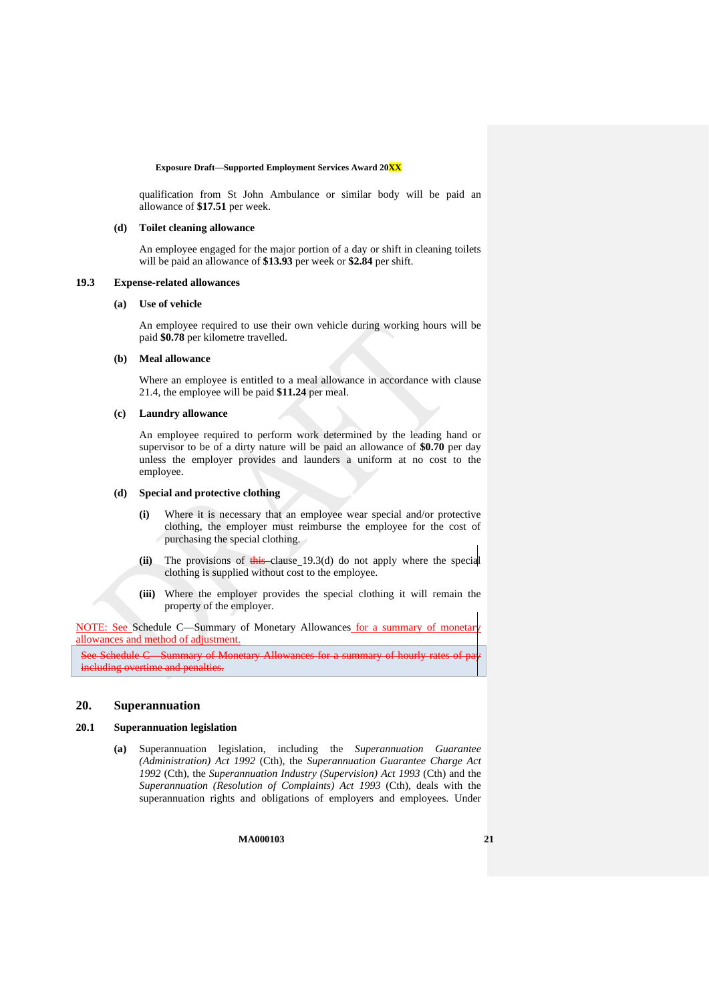qualification from St John Ambulance or similar body will be paid an allowance of **\$17.51** per week.

#### **(d) Toilet cleaning allowance**

An employee engaged for the major portion of a day or shift in cleaning toilets will be paid an allowance of **\$13.93** per week or **\$2.84** per shift.

#### <span id="page-20-3"></span>**19.3 Expense-related allowances**

#### **(a) Use of vehicle**

An employee required to use their own vehicle during working hours will be paid **\$0.78** per kilometre travelled.

### <span id="page-20-2"></span>**(b) Meal allowance**

Where an employee is entitled to a meal allowance in accordance with clause [21.4,](#page-22-3) the employee will be paid **\$11.24** per meal.

### **(c) Laundry allowance**

An employee required to perform work determined by the leading hand or supervisor to be of a dirty nature will be paid an allowance of **\$0.70** per day unless the employer provides and launders a uniform at no cost to the employee.

#### <span id="page-20-1"></span>**(d) Special and protective clothing**

- **(i)** Where it is necessary that an employee wear special and/or protective clothing, the employer must reimburse the employee for the cost of purchasing the special clothing.
- **(ii)** The provisions of this clause [19.3\(d\)](#page-20-1) do not apply where the special clothing is supplied without cost to the employee.
- **(iii)** Where the employer provides the special clothing it will remain the property of the employer.

NOTE: See Schedule C-Summary of Monetary Allowances for a summary of monetar allowances and method of adjustment.

See [Schedule C—Summary of Monetary Allowances](#page-54-0) for a summary of h including overtime and penalties.

## <span id="page-20-0"></span>**20. Superannuation**

### **20.1 Superannuation legislation**

**(a)** Superannuation legislation, including the *Superannuation Guarantee (Administration) Act 1992* (Cth), the *Superannuation Guarantee Charge Act 1992* (Cth), the *Superannuation Industry (Supervision) Act 1993* (Cth) and the *Superannuation (Resolution of Complaints) Act 1993* (Cth), deals with the superannuation rights and obligations of employers and employees. Under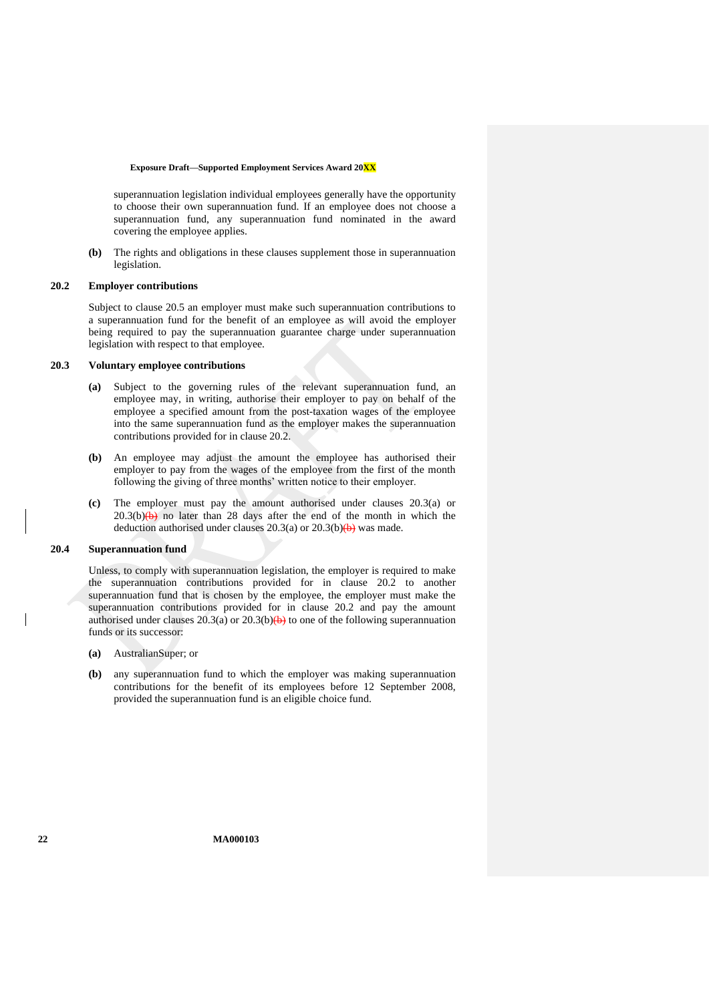superannuation legislation individual employees generally have the opportunity to choose their own superannuation fund. If an employee does not choose a superannuation fund, any superannuation fund nominated in the award covering the employee applies.

**(b)** The rights and obligations in these clauses supplement those in superannuation legislation.

#### <span id="page-21-0"></span>**20.2 Employer contributions**

Subject to clause [20.5](#page-22-4) an employer must make such superannuation contributions to a superannuation fund for the benefit of an employee as will avoid the employer being required to pay the superannuation guarantee charge under superannuation legislation with respect to that employee.

## <span id="page-21-1"></span>**20.3 Voluntary employee contributions**

- **(a)** Subject to the governing rules of the relevant superannuation fund, an employee may, in writing, authorise their employer to pay on behalf of the employee a specified amount from the post-taxation wages of the employee into the same superannuation fund as the employer makes the superannuation contributions provided for in clause [20.2.](#page-21-0)
- <span id="page-21-2"></span>**(b)** An employee may adjust the amount the employee has authorised their employer to pay from the wages of the employee from the first of the month following the giving of three months' written notice to their employer.
- **(c)** The employer must pay the amount authorised under clauses [20.3\(a\)](#page-21-1) or  $20.3(b)(b)$  no later than 28 days after the end of the month in which the deduction authorised under clauses  $20.3(a)$  or  $20.3(b)(b)$  was made.

### **20.4 Superannuation fund**

Unless, to comply with superannuation legislation, the employer is required to make the superannuation contributions provided for in clause [20.2](#page-21-0) to another superannuation fund that is chosen by the employee, the employer must make the superannuation contributions provided for in clause [20.2](#page-21-0) and pay the amount authorised under clauses [20.3\(a\)](#page-21-1) or 20.3(b) $\leftrightarrow$  to one of the following superannuation funds or its successor:

- **(a)** AustralianSuper; or
- **(b)** any superannuation fund to which the employer was making superannuation contributions for the benefit of its employees before 12 September 2008, provided the superannuation fund is an eligible choice fund.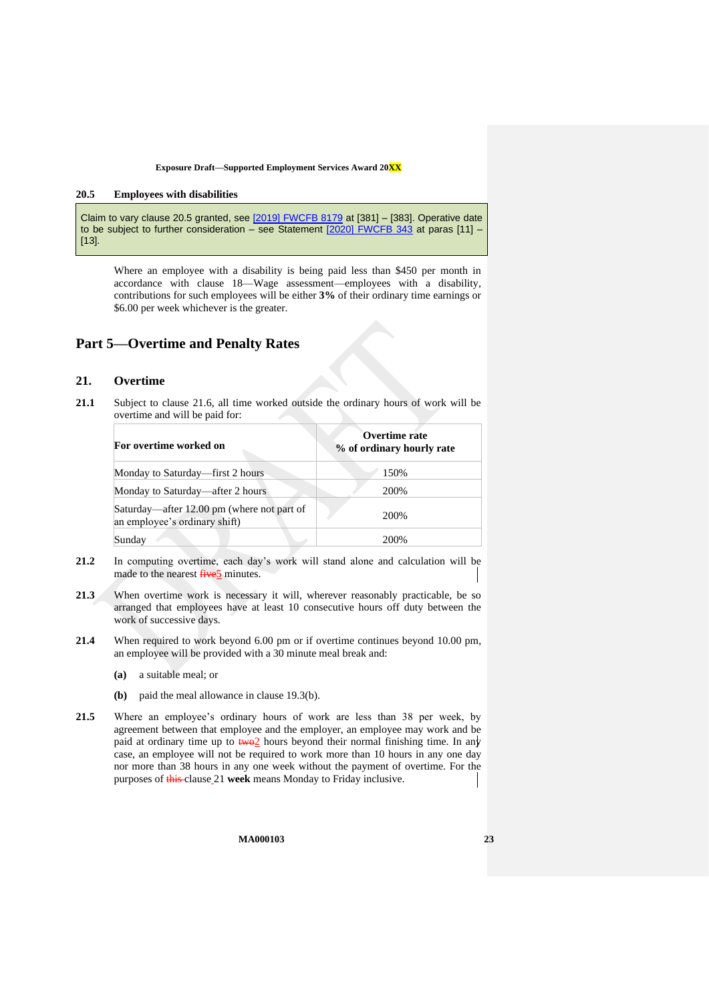#### <span id="page-22-4"></span>**20.5 Employees with disabilities**

Claim to vary clause 20.5 granted, see [\[2019\] FWCFB 8179](https://www.fwc.gov.au/documents/decisionssigned/html/2019fwcfb8179.htm) at [381] – [383]. Operative date to be subject to further consideration – see Statement [\[2020\] FWCFB 343](https://www.fwc.gov.au/documents/sites/awardsmodernfouryr/2020fwcfb343.pdf) at paras [11] -[13].

Where an employee with a disability is being paid less than \$450 per month in accordance with clause [18—Wage assessment—employees with a disability,](#page-17-1) contributions for such employees will be either **3%** of their ordinary time earnings or \$6.00 per week whichever is the greater.

## <span id="page-22-1"></span><span id="page-22-0"></span>**Part 5—Overtime and Penalty Rates**

## **21. Overtime**

**21.1** Subject to clause [21.6,](#page-23-0) all time worked outside the ordinary hours of work will be overtime and will be paid for:

| For overtime worked on                                                      | Overtime rate<br>% of ordinary hourly rate |  |
|-----------------------------------------------------------------------------|--------------------------------------------|--|
| Monday to Saturday—first 2 hours                                            | 150%                                       |  |
| Monday to Saturday—after 2 hours                                            | 200%                                       |  |
| Saturday—after 12.00 pm (where not part of<br>an employee's ordinary shift) | 200\%                                      |  |
| Sunday                                                                      | 200\%                                      |  |

- **21.2** In computing overtime, each day's work will stand alone and calculation will be made to the nearest **five**<sup>5</sup> minutes.
- 21.3 When overtime work is necessary it will, wherever reasonably practicable, be so arranged that employees have at least 10 consecutive hours off duty between the work of successive days.
- <span id="page-22-3"></span>**21.4** When required to work beyond 6.00 pm or if overtime continues beyond 10.00 pm, an employee will be provided with a 30 minute meal break and:
	- **(a)** a suitable meal; or
	- **(b)** paid the meal allowance in clause [19.3\(b\).](#page-20-2)
- <span id="page-22-2"></span>**21.5** Where an employee's ordinary hours of work are less than 38 per week, by agreement between that employee and the employer, an employee may work and be paid at ordinary time up to  $\frac{1}{2}$  hours beyond their normal finishing time. In any case, an employee will not be required to work more than 10 hours in any one day nor more than 38 hours in any one week without the payment of overtime. For the purposes of this clause [21](#page-22-0) **week** means Monday to Friday inclusive.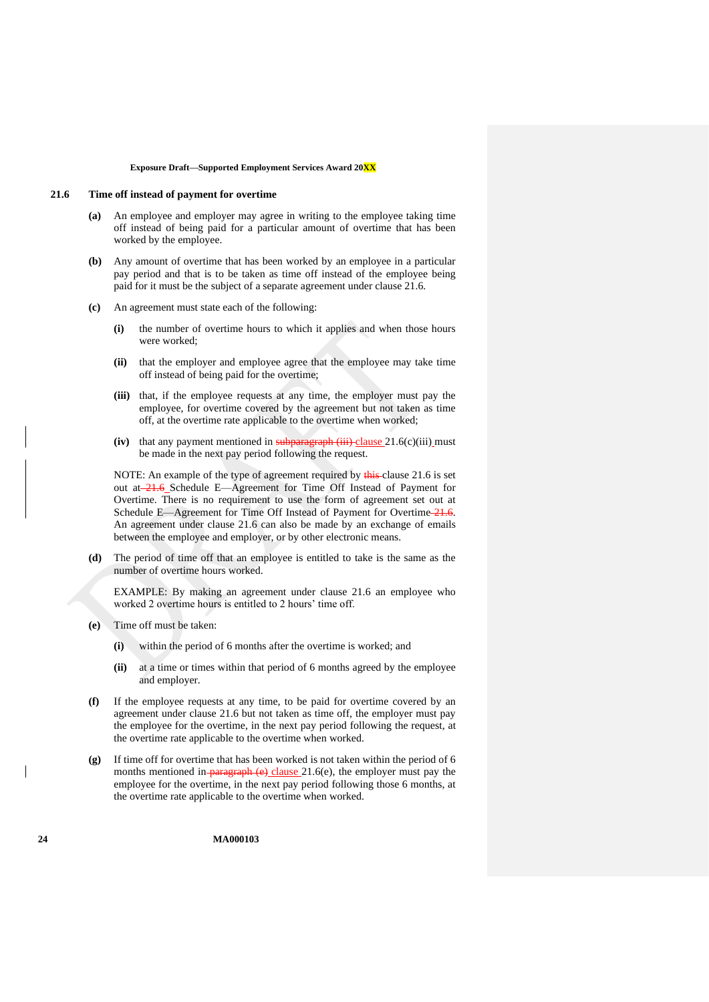#### <span id="page-23-0"></span>**21.6 Time off instead of payment for overtime**

- **(a)** An employee and employer may agree in writing to the employee taking time off instead of being paid for a particular amount of overtime that has been worked by the employee.
- <span id="page-23-3"></span>**(b)** Any amount of overtime that has been worked by an employee in a particular pay period and that is to be taken as time off instead of the employee being paid for it must be the subject of a separate agreement under clause [21.6.](#page-23-0)
- <span id="page-23-1"></span>**(c)** An agreement must state each of the following:
	- **(i)** the number of overtime hours to which it applies and when those hours were worked;
	- **(ii)** that the employer and employee agree that the employee may take time off instead of being paid for the overtime;
	- **(iii)** that, if the employee requests at any time, the employer must pay the employee, for overtime covered by the agreement but not taken as time off, at the overtime rate applicable to the overtime when worked;
	- $(iv)$  that any payment mentioned in subparagraph  $(iii)$  clause 21.6(c) $(iii)$  must be made in the next pay period following the request.

NOTE: An example of the type of agreement required by this clause [21.6](#page-23-0) is set out at [21.6](#page-23-0) [Schedule E—Agreement for Time Off Instead of Payment for](#page-60-0)  [Overtime.](#page-60-0) There is no requirement to use the form of agreement set out at [Schedule E—Agreement for Time Off Instead of Payment for Overtime](#page-60-0) [21.6.](#page-23-0) An agreement under clause [21.6](#page-23-0) can also be made by an exchange of emails between the employee and employer, or by other electronic means.

**(d)** The period of time off that an employee is entitled to take is the same as the number of overtime hours worked.

EXAMPLE: By making an agreement under clause [21.6](#page-23-0) an employee who worked 2 overtime hours is entitled to 2 hours' time off.

- <span id="page-23-2"></span>**(e)** Time off must be taken:
	- **(i)** within the period of 6 months after the overtime is worked; and
	- **(ii)** at a time or times within that period of 6 months agreed by the employee and employer.
- **(f)** If the employee requests at any time, to be paid for overtime covered by an agreement under clause [21.6](#page-23-0) but not taken as time off, the employer must pay the employee for the overtime, in the next pay period following the request, at the overtime rate applicable to the overtime when worked.
- **(g)** If time off for overtime that has been worked is not taken within the period of 6 months mentioned in paragraph  $(e)$  clause [21.6\(e\),](#page-23-2) the employer must pay the employee for the overtime, in the next pay period following those 6 months, at the overtime rate applicable to the overtime when worked.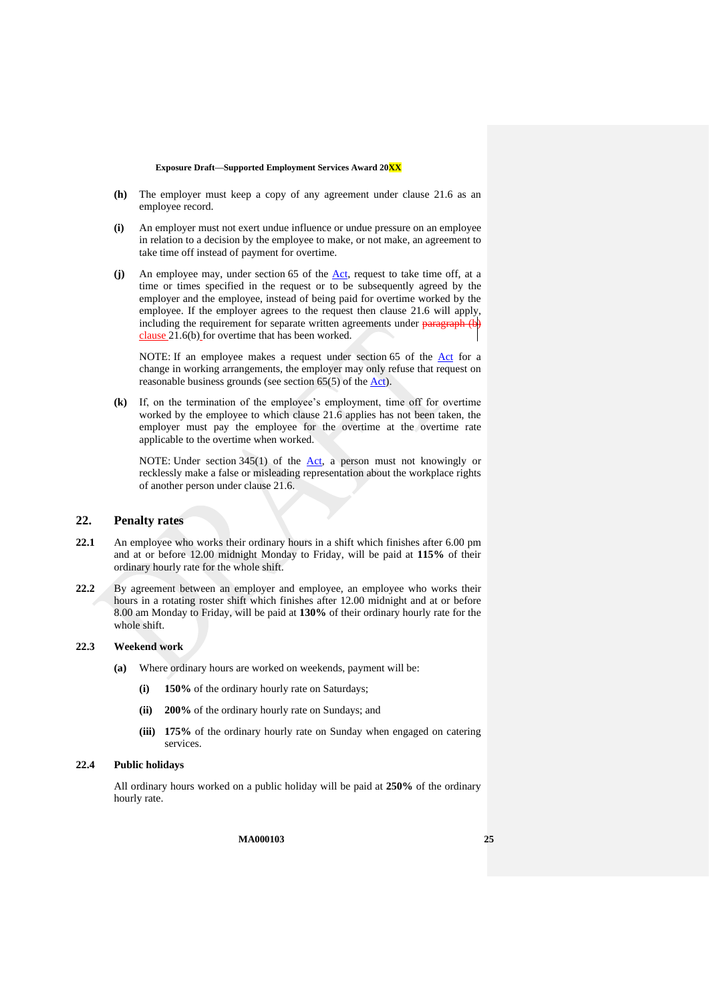- **(h)** The employer must keep a copy of any agreement under clause [21.6](#page-23-0) as an employee record.
- **(i)** An employer must not exert undue influence or undue pressure on an employee in relation to a decision by the employee to make, or not make, an agreement to take time off instead of payment for overtime.
- (j) An employee may, under section 65 of the <u>Act</u>, request to take time off, at a time or times specified in the request or to be subsequently agreed by the employer and the employee, instead of being paid for overtime worked by the employee. If the employer agrees to the request then clause [21.6](#page-23-0) will apply, including the requirement for separate written agreements under paragraph [\(b\)](#page-23-3) clause [21.6\(b\)](#page-23-3) for overtime that has been worked.

NOTE: If an employee makes a request under section 65 of the [Act](http://www.legislation.gov.au/Series/C2009A00028) for a change in working arrangements, the employer may only refuse that request on reasonable business grounds (see section 65(5) of the [Act\)](http://www.legislation.gov.au/Series/C2009A00028).

**(k)** If, on the termination of the employee's employment, time off for overtime worked by the employee to which clause [21.6](#page-23-0) applies has not been taken, the employer must pay the employee for the overtime at the overtime rate applicable to the overtime when worked.

NOTE: Under section  $345(1)$  of the [Act,](http://www.legislation.gov.au/Series/C2009A00028) a person must not knowingly or recklessly make a false or misleading representation about the workplace rights of another person under clause [21.6.](#page-23-0)

### <span id="page-24-0"></span>**22. Penalty rates**

- <span id="page-24-2"></span>**22.1** An employee who works their ordinary hours in a shift which finishes after 6.00 pm and at or before 12.00 midnight Monday to Friday, will be paid at **115%** of their ordinary hourly rate for the whole shift.
- <span id="page-24-3"></span>**22.2** By agreement between an employer and employee, an employee who works their hours in a rotating roster shift which finishes after 12.00 midnight and at or before 8.00 am Monday to Friday, will be paid at **130%** of their ordinary hourly rate for the whole shift.

### **22.3 Weekend work**

- **(a)** Where ordinary hours are worked on weekends, payment will be:
	- **(i) 150%** of the ordinary hourly rate on Saturdays;
	- **(ii) 200%** of the ordinary hourly rate on Sundays; and
	- **(iii) 175%** of the ordinary hourly rate on Sunday when engaged on catering services.

#### <span id="page-24-1"></span>**22.4 Public holidays**

All ordinary hours worked on a public holiday will be paid at **250%** of the ordinary hourly rate.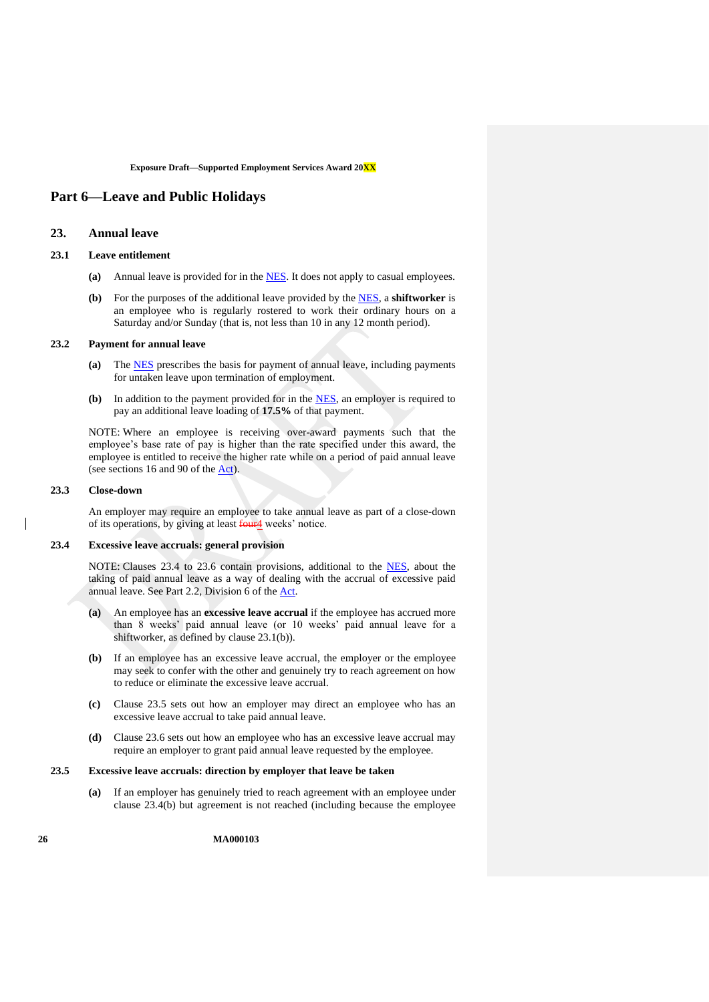## <span id="page-25-2"></span><span id="page-25-1"></span>**Part 6—Leave and Public Holidays**

## **23. Annual leave**

## <span id="page-25-4"></span>**23.1 Leave entitlement**

- **(a)** Annual leave is provided for in the [NES.](https://www.fwc.gov.au/documents/awardmod/download/nes.pdf) It does not apply to casual employees.
- **(b)** For the purposes of the additional leave provided by the [NES,](https://www.fwc.gov.au/documents/awardmod/download/nes.pdf) a **shiftworker** is an employee who is regularly rostered to work their ordinary hours on a Saturday and/or Sunday (that is, not less than 10 in any 12 month period).

#### **23.2 Payment for annual leave**

- **(a)** The [NES](https://www.fwc.gov.au/documents/awardmod/download/nes.pdf) prescribes the basis for payment of annual leave, including payments for untaken leave upon termination of employment.
- **(b)** In addition to the payment provided for in the [NES,](https://www.fwc.gov.au/documents/awardmod/download/nes.pdf) an employer is required to pay an additional leave loading of **17.5%** of that payment.

NOTE: Where an employee is receiving over-award payments such that the employee's base rate of pay is higher than the rate specified under this award, the employee is entitled to receive the higher rate while on a period of paid annual leave (see sections 16 and 90 of the  $\underline{Act}$ ).

#### <span id="page-25-0"></span>**23.3 Close-down**

An employer may require an employee to take annual leave as part of a close-down of its operations, by giving at least four<sup>4</sup> weeks' notice.

### <span id="page-25-3"></span>**23.4 Excessive leave accruals: general provision**

NOTE: Clauses [23.4](#page-25-3) to [23.6](#page-26-0) contain provisions, additional to the [NES,](https://www.fwc.gov.au/documents/awardmod/download/nes.pdf) about the taking of paid annual leave as a way of dealing with the accrual of excessive paid annual leave. See Part 2.2, Division 6 of the [Act.](http://www.legislation.gov.au/Series/C2009A00028)

- **(a)** An employee has an **excessive leave accrual** if the employee has accrued more than 8 weeks' paid annual leave (or 10 weeks' paid annual leave for a shiftworker, as defined by clause [23.1\(b\)\)](#page-25-4).
- <span id="page-25-6"></span>**(b)** If an employee has an excessive leave accrual, the employer or the employee may seek to confer with the other and genuinely try to reach agreement on how to reduce or eliminate the excessive leave accrual.
- **(c)** Clause [23.5](#page-25-5) sets out how an employer may direct an employee who has an excessive leave accrual to take paid annual leave.
- **(d)** Clause [23.6](#page-26-0) sets out how an employee who has an excessive leave accrual may require an employer to grant paid annual leave requested by the employee.

#### <span id="page-25-7"></span><span id="page-25-5"></span>**23.5 Excessive leave accruals: direction by employer that leave be taken**

**(a)** If an employer has genuinely tried to reach agreement with an employee under clause [23.4\(b\)](#page-25-6) but agreement is not reached (including because the employee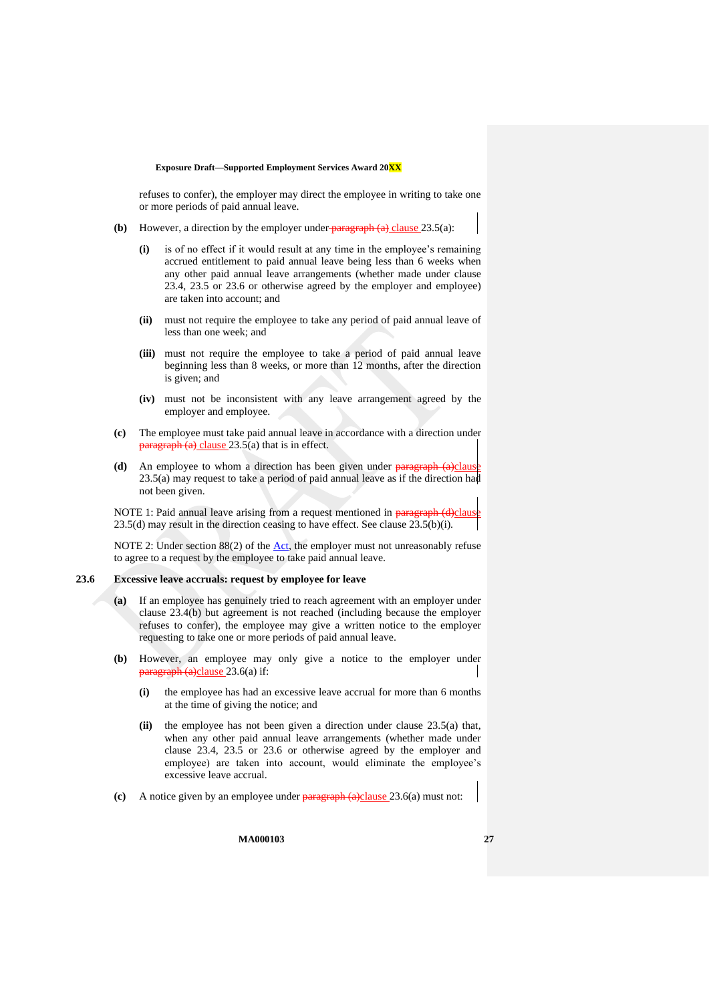refuses to confer), the employer may direct the employee in writing to take one or more periods of paid annual leave.

- <span id="page-26-2"></span>**(b)** However, a direction by the employer under  $\frac{\text{parameter} \cdot \text{parameter}}{\text{transfer}}$  [\(a\)](#page-25-7) clause [23.5\(a\):](#page-25-7)
	- **(i)** is of no effect if it would result at any time in the employee's remaining accrued entitlement to paid annual leave being less than 6 weeks when any other paid annual leave arrangements (whether made under clause [23.4,](#page-25-3) [23.5](#page-25-5) or [23.6](#page-26-0) or otherwise agreed by the employer and employee) are taken into account; and
	- **(ii)** must not require the employee to take any period of paid annual leave of less than one week; and
	- **(iii)** must not require the employee to take a period of paid annual leave beginning less than 8 weeks, or more than 12 months, after the direction is given; and
	- **(iv)** must not be inconsistent with any leave arrangement agreed by the employer and employee.
- **(c)** The employee must take paid annual leave in accordance with a direction under  $\frac{\text{bargraph (a)} \text{ clause } 23.5(a)}{\text{that is in effect.}}$  $\frac{\text{bargraph (a)} \text{ clause } 23.5(a)}{\text{that is in effect.}}$  $\frac{\text{bargraph (a)} \text{ clause } 23.5(a)}{\text{that is in effect.}}$  $\frac{\text{bargraph (a)} \text{ clause } 23.5(a)}{\text{that is in effect.}}$  $\frac{\text{bargraph (a)} \text{ clause } 23.5(a)}{\text{that is in effect.}}$
- <span id="page-26-1"></span>**(d)** An employee to whom a direction has been given under **paragraph** [\(a\)c](#page-25-7)lause  $23.5(a)$  may request to take a period of paid annual leave as if the direction had not been given.

NOTE 1: Paid annual leave arising from a request mentioned in paragraph [\(d\)c](#page-26-1)laus  $23.5(d)$  may result in the direction ceasing to have effect. See clause  $23.5(b)(i)$ .

NOTE 2: Under section  $88(2)$  of the  $\Delta ct$ , the employer must not unreasonably refuse to agree to a request by the employee to take paid annual leave.

## <span id="page-26-3"></span><span id="page-26-0"></span>**23.6 Excessive leave accruals: request by employee for leave**

- **(a)** If an employee has genuinely tried to reach agreement with an employer under clause [23.4\(b\)](#page-25-6) but agreement is not reached (including because the employer refuses to confer), the employee may give a written notice to the employer requesting to take one or more periods of paid annual leave.
- **(b)** However, an employee may only give a notice to the employer under paragraph [\(a\)c](#page-26-3)lause [23.6\(a\)](#page-26-3) if:
	- **(i)** the employee has had an excessive leave accrual for more than 6 months at the time of giving the notice; and
	- **(ii)** the employee has not been given a direction under clause [23.5\(a\)](#page-25-7) that, when any other paid annual leave arrangements (whether made under clause [23.4,](#page-25-3) [23.5](#page-25-5) or [23.6](#page-26-0) or otherwise agreed by the employer and employee) are taken into account, would eliminate the employee's excessive leave accrual.
- **(c)** A notice given by an employee under paragraph [\(a\)c](#page-26-3)lause [23.6\(a\)](#page-26-3) must not: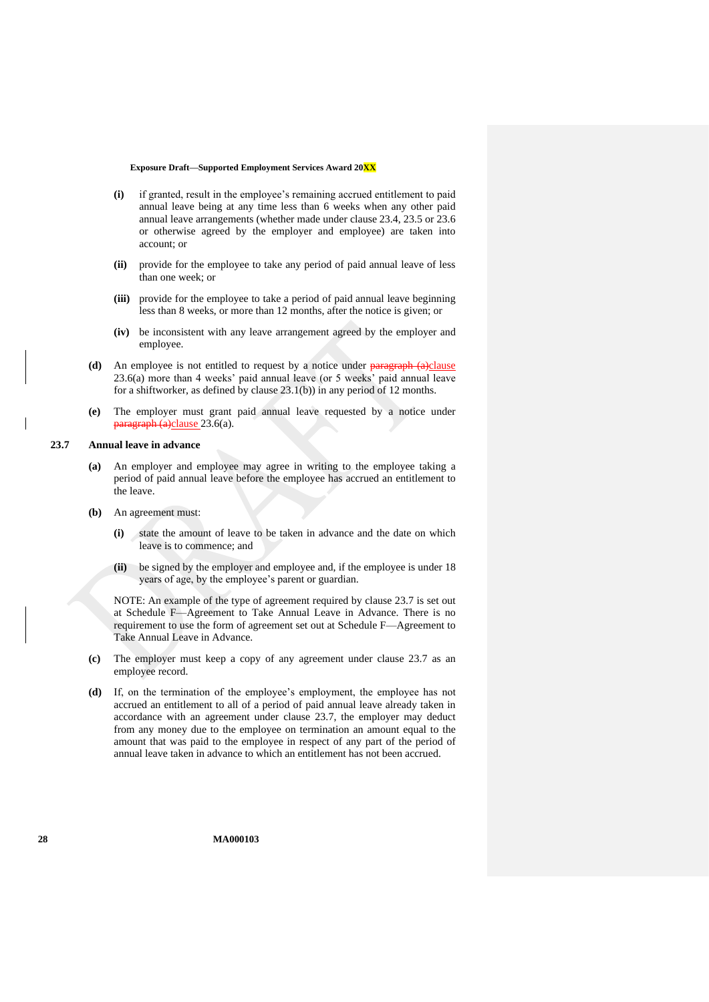- **(i)** if granted, result in the employee's remaining accrued entitlement to paid annual leave being at any time less than 6 weeks when any other paid annual leave arrangements (whether made under clause [23.4,](#page-25-3) [23.5](#page-25-5) or [23.6](#page-26-0) or otherwise agreed by the employer and employee) are taken into account; or
- **(ii)** provide for the employee to take any period of paid annual leave of less than one week; or
- **(iii)** provide for the employee to take a period of paid annual leave beginning less than 8 weeks, or more than 12 months, after the notice is given; or
- **(iv)** be inconsistent with any leave arrangement agreed by the employer and employee.
- **(d)** An employee is not entitled to request by a notice under **paragraph** [\(a\)c](#page-26-3)lause [23.6\(a\)](#page-26-3) more than 4 weeks' paid annual leave (or 5 weeks' paid annual leave for a shiftworker, as defined by clause [23.1\(b\)\)](#page-25-4) in any period of 12 months.
- **(e)** The employer must grant paid annual leave requested by a notice under paragraph [\(a\)c](#page-26-3)lause [23.6\(a\).](#page-26-3)

#### <span id="page-27-0"></span>**23.7 Annual leave in advance**

- **(a)** An employer and employee may agree in writing to the employee taking a period of paid annual leave before the employee has accrued an entitlement to the leave.
- **(b)** An agreement must:
	- **(i)** state the amount of leave to be taken in advance and the date on which leave is to commence; and
	- **(ii)** be signed by the employer and employee and, if the employee is under 18 years of age, by the employee's parent or guardian.

NOTE: An example of the type of agreement required by clause [23.7](#page-27-0) is set out at [Schedule F—Agreement to Take Annual Leave in Advance.](#page-61-0) There is no requirement to use the form of agreement set out at [Schedule F—Agreement to](#page-61-0)  [Take Annual Leave in Advance.](#page-61-0)

- **(c)** The employer must keep a copy of any agreement under clause [23.7](#page-27-0) as an employee record.
- **(d)** If, on the termination of the employee's employment, the employee has not accrued an entitlement to all of a period of paid annual leave already taken in accordance with an agreement under clause [23.7,](#page-27-0) the employer may deduct from any money due to the employee on termination an amount equal to the amount that was paid to the employee in respect of any part of the period of annual leave taken in advance to which an entitlement has not been accrued.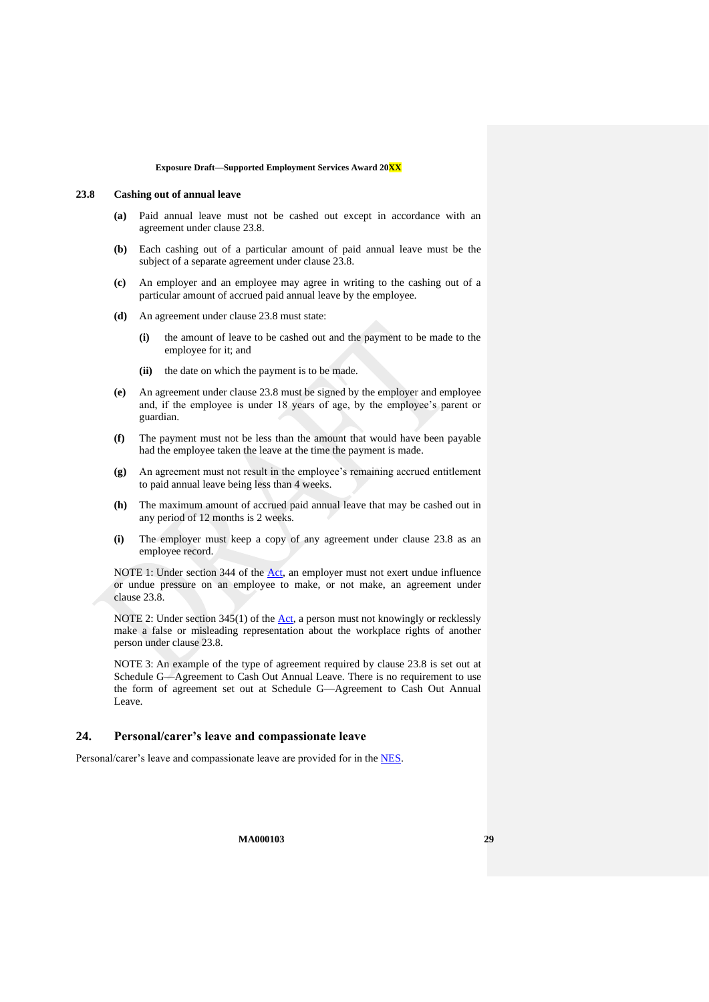#### <span id="page-28-1"></span>**23.8 Cashing out of annual leave**

- **(a)** Paid annual leave must not be cashed out except in accordance with an agreement under clause [23.8.](#page-28-1)
- **(b)** Each cashing out of a particular amount of paid annual leave must be the subject of a separate agreement under clause [23.8.](#page-28-1)
- **(c)** An employer and an employee may agree in writing to the cashing out of a particular amount of accrued paid annual leave by the employee.
- **(d)** An agreement under clause [23.8](#page-28-1) must state:
	- **(i)** the amount of leave to be cashed out and the payment to be made to the employee for it; and
	- **(ii)** the date on which the payment is to be made.
- **(e)** An agreement under clause [23.8](#page-28-1) must be signed by the employer and employee and, if the employee is under 18 years of age, by the employee's parent or guardian.
- **(f)** The payment must not be less than the amount that would have been payable had the employee taken the leave at the time the payment is made.
- **(g)** An agreement must not result in the employee's remaining accrued entitlement to paid annual leave being less than 4 weeks.
- **(h)** The maximum amount of accrued paid annual leave that may be cashed out in any period of 12 months is 2 weeks.
- **(i)** The employer must keep a copy of any agreement under clause [23.8](#page-28-1) as an employee record.

NOTE 1: Under section 344 of the [Act,](http://www.legislation.gov.au/Series/C2009A00028) an employer must not exert undue influence or undue pressure on an employee to make, or not make, an agreement under clause [23.8.](#page-28-1)

NOTE 2: Under section  $345(1)$  of the  $\Delta ct$ , a person must not knowingly or recklessly make a false or misleading representation about the workplace rights of another person under clause [23.8.](#page-28-1)

NOTE 3: An example of the type of agreement required by clause [23.8](#page-28-1) is set out at [Schedule G—Agreement to Cash Out Annual Leave.](#page-62-0) There is no requirement to use the form of agreement set out at [Schedule G—Agreement to Cash Out Annual](#page-62-0)  [Leave.](#page-62-0)

## <span id="page-28-0"></span>**24. Personal/carer's leave and compassionate leave**

Personal/carer's leave and compassionate leave are provided for in the [NES.](https://www.fwc.gov.au/documents/awardmod/download/nes.pdf)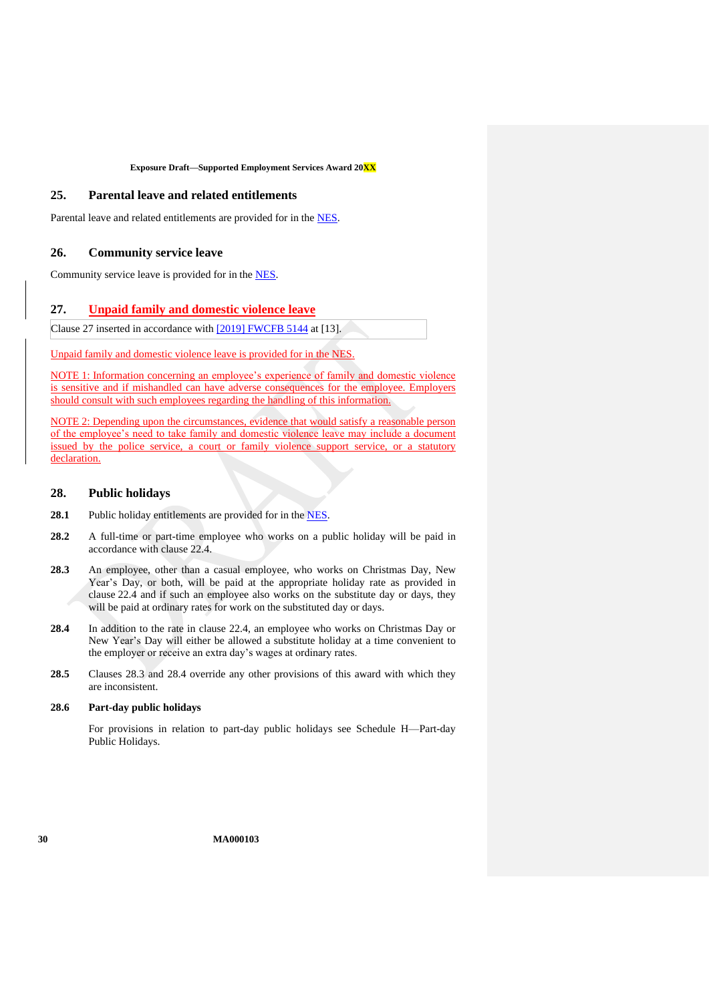## <span id="page-29-2"></span>**25. Parental leave and related entitlements**

<span id="page-29-1"></span>Parental leave and related entitlements are provided for in the [NES.](https://www.fwc.gov.au/documents/awardmod/download/nes.pdf)

### **26. Community service leave**

<span id="page-29-0"></span>Community service leave is provided for in the [NES.](https://www.fwc.gov.au/documents/awardmod/download/nes.pdf)

## **27. Unpaid family and domestic violence leave**

Clause 27 inserted in accordance with [\[2019\] FWCFB 5144](https://www.fwc.gov.au/documents/decisionssigned/html/2019fwcfb5144.htm) at [13].

Unpaid family and domestic violence leave is provided for in the [NES.](https://www.fwc.gov.au/documents/awardmod/download/nes.pdf)

NOTE 1: Information concerning an employee's experience of family and domestic violence is sensitive and if mishandled can have adverse consequences for the employee. Employers should consult with such employees regarding the handling of this information.

NOTE 2: Depending upon the circumstances, evidence that would satisfy a reasonable person of the employee's need to take family and domestic violence leave may include a document issued by the police service, a court or family violence support service, or a statutory declaration.

## <span id="page-29-3"></span>**28. Public holidays**

- 28.1 Public holiday entitlements are provided for in the [NES.](https://www.fwc.gov.au/documents/awardmod/download/nes.pdf)
- **28.2** A full-time or part-time employee who works on a public holiday will be paid in accordance with clause [22.4.](#page-24-1)
- <span id="page-29-4"></span>**28.3** An employee, other than a casual employee, who works on Christmas Day, New Year's Day, or both, will be paid at the appropriate holiday rate as provided in clause [22.4](#page-24-1) and if such an employee also works on the substitute day or days, they will be paid at ordinary rates for work on the substituted day or days.
- <span id="page-29-5"></span>**28.4** In addition to the rate in clause [22.4,](#page-24-1) an employee who works on Christmas Day or New Year's Day will either be allowed a substitute holiday at a time convenient to the employer or receive an extra day's wages at ordinary rates.
- **28.5** Clauses [28.3](#page-29-4) and [28.4](#page-29-5) override any other provisions of this award with which they are inconsistent.

### **28.6 Part-day public holidays**

For provisions in relation to part-day public holidays see [Schedule H—Part-day](#page-63-0)  [Public Holidays.](#page-63-0)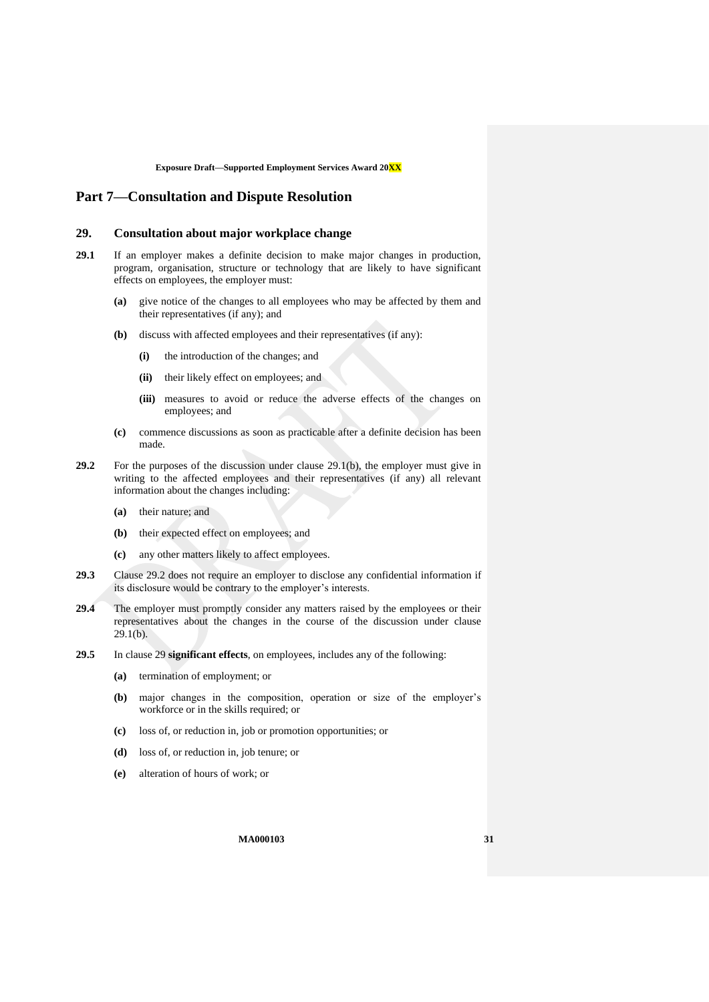## <span id="page-30-1"></span><span id="page-30-0"></span>**Part 7—Consultation and Dispute Resolution**

## **29. Consultation about major workplace change**

- <span id="page-30-2"></span>**29.1** If an employer makes a definite decision to make major changes in production, program, organisation, structure or technology that are likely to have significant effects on employees, the employer must:
	- **(a)** give notice of the changes to all employees who may be affected by them and their representatives (if any); and
	- **(b)** discuss with affected employees and their representatives (if any):
		- **(i)** the introduction of the changes; and
		- **(ii)** their likely effect on employees; and
		- **(iii)** measures to avoid or reduce the adverse effects of the changes on employees; and
	- **(c)** commence discussions as soon as practicable after a definite decision has been made.
- <span id="page-30-3"></span>**29.2** For the purposes of the discussion under clause [29.1\(b\),](#page-30-2) the employer must give in writing to the affected employees and their representatives (if any) all relevant information about the changes including:
	- **(a)** their nature; and
	- **(b)** their expected effect on employees; and
	- **(c)** any other matters likely to affect employees.
- **29.3** Clause [29.2](#page-30-3) does not require an employer to disclose any confidential information if its disclosure would be contrary to the employer's interests.
- **29.4** The employer must promptly consider any matters raised by the employees or their representatives about the changes in the course of the discussion under clause  $29.1(b)$ .
- <span id="page-30-4"></span>**29.5** In clause [29](#page-30-0) **significant effects**, on employees, includes any of the following:
	- **(a)** termination of employment; or
	- **(b)** major changes in the composition, operation or size of the employer's workforce or in the skills required; or
	- **(c)** loss of, or reduction in, job or promotion opportunities; or
	- **(d)** loss of, or reduction in, job tenure; or
	- **(e)** alteration of hours of work; or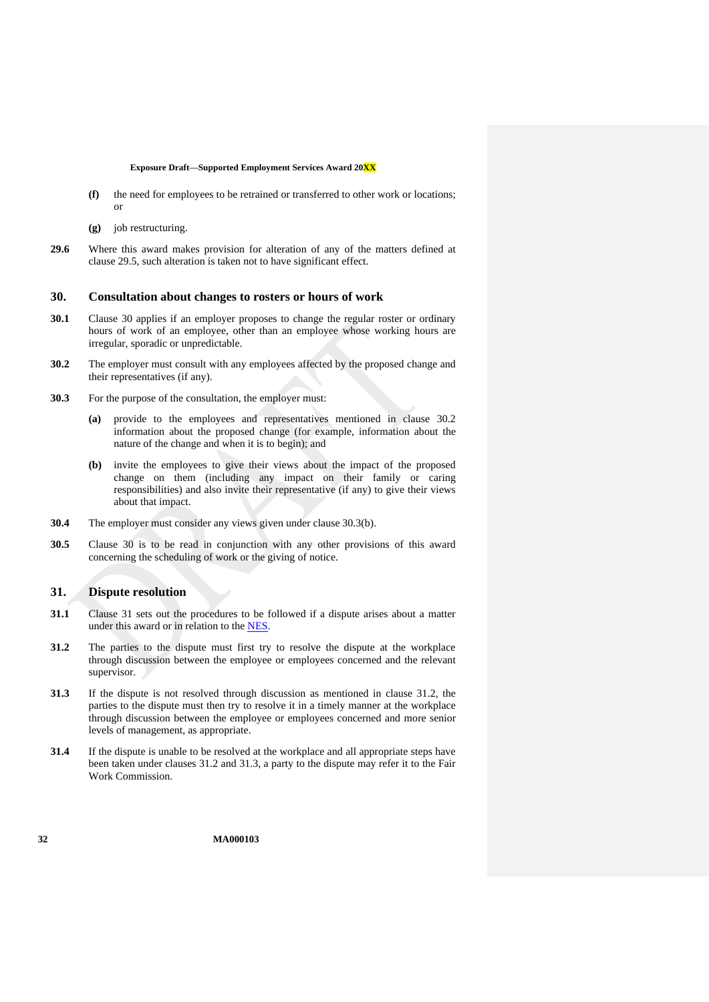- **(f)** the need for employees to be retrained or transferred to other work or locations; or
- **(g)** job restructuring.
- **29.6** Where this award makes provision for alteration of any of the matters defined at clause [29.5,](#page-30-4) such alteration is taken not to have significant effect.

### <span id="page-31-0"></span>**30. Consultation about changes to rosters or hours of work**

- **30.1** Clause [30](#page-31-0) applies if an employer proposes to change the regular roster or ordinary hours of work of an employee, other than an employee whose working hours are irregular, sporadic or unpredictable.
- <span id="page-31-2"></span>**30.2** The employer must consult with any employees affected by the proposed change and their representatives (if any).
- <span id="page-31-3"></span>**30.3** For the purpose of the consultation, the employer must:
	- **(a)** provide to the employees and representatives mentioned in clause [30.2](#page-31-2) information about the proposed change (for example, information about the nature of the change and when it is to begin); and
	- **(b)** invite the employees to give their views about the impact of the proposed change on them (including any impact on their family or caring responsibilities) and also invite their representative (if any) to give their views about that impact.
- **30.4** The employer must consider any views given under clause [30.3\(b\).](#page-31-3)
- **30.5** Clause [30](#page-31-0) is to be read in conjunction with any other provisions of this award concerning the scheduling of work or the giving of notice.

## <span id="page-31-1"></span>**31. Dispute resolution**

- **31.1** Clause [31](#page-31-1) sets out the procedures to be followed if a dispute arises about a matter under this award or in relation to the [NES](https://www.fwc.gov.au/documents/awardmod/download/nes.pdf).
- <span id="page-31-4"></span>**31.2** The parties to the dispute must first try to resolve the dispute at the workplace through discussion between the employee or employees concerned and the relevant supervisor.
- <span id="page-31-5"></span>**31.3** If the dispute is not resolved through discussion as mentioned in clause [31.2,](#page-31-4) the parties to the dispute must then try to resolve it in a timely manner at the workplace through discussion between the employee or employees concerned and more senior levels of management, as appropriate.
- **31.4** If the dispute is unable to be resolved at the workplace and all appropriate steps have been taken under clauses [31.2](#page-31-4) and [31.3,](#page-31-5) a party to the dispute may refer it to the Fair Work Commission.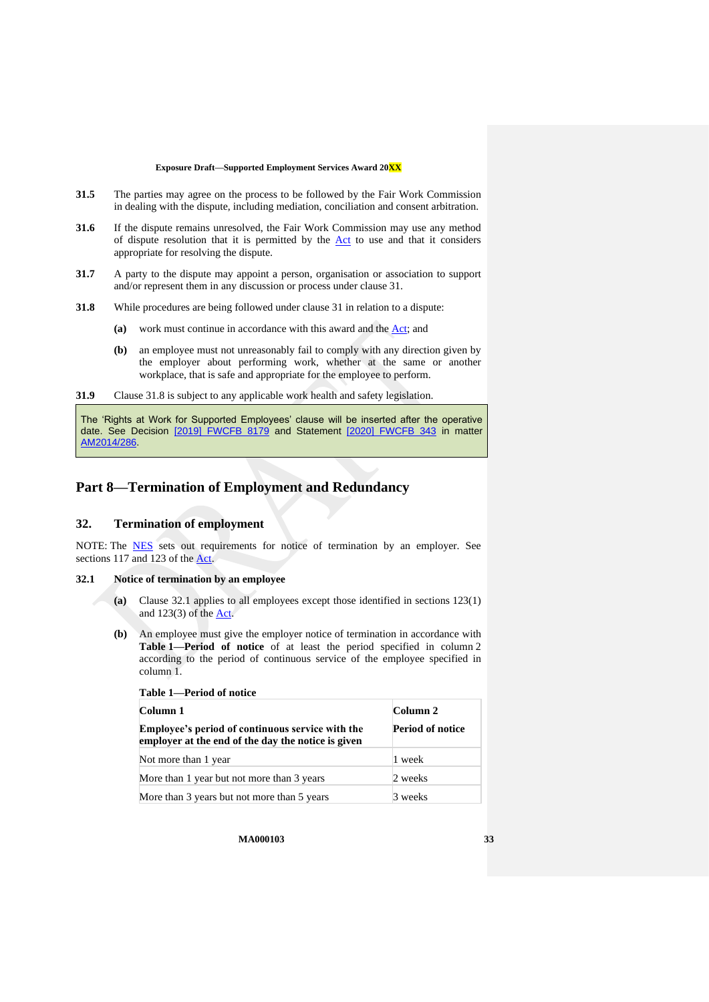- **31.5** The parties may agree on the process to be followed by the Fair Work Commission in dealing with the dispute, including mediation, conciliation and consent arbitration.
- <span id="page-32-6"></span>**31.6** If the dispute remains unresolved, the Fair Work Commission may use any method of dispute resolution that it is permitted by the [Act](http://www.legislation.gov.au/Series/C2009A00028) to use and that it considers appropriate for resolving the dispute.
- **31.7** A party to the dispute may appoint a person, organisation or association to support and/or represent them in any discussion or process under claus[e 31.](#page-31-1)
- <span id="page-32-2"></span>**31.8** While procedures are being followed under clause [31](#page-31-1) in relation to a dispute:
	- **(a)** work must continue in accordance with this award and the [Act;](http://www.legislation.gov.au/Series/C2009A00028) and
	- **(b)** an employee must not unreasonably fail to comply with any direction given by the employer about performing work, whether at the same or another workplace, that is safe and appropriate for the employee to perform.
- **31.9** Clause [31.8](#page-32-2) is subject to any applicable work health and safety legislation.

The 'Rights at Work for Supported Employees' clause will be inserted after the operative date. See Decision [\[2019\] FWCFB 8179](https://www.fwc.gov.au/documents/decisionssigned/html/2019fwcfb8179.htm) and Statement [\[2020\] FWCFB 343](https://www.fwc.gov.au/documents/decisionssigned/html/2020fwcfb343.htm) in matter [AM2014/286.](https://www.fwc.gov.au/awards-and-agreements/modern-award-reviews/4-yearly-review/award-stage/award-review-documents/MA000103?m=AM2014/286)

## <span id="page-32-1"></span><span id="page-32-0"></span>**Part 8—Termination of Employment and Redundancy**

## **32. Termination of employment**

NOTE: The **[NES](https://www.fwc.gov.au/documents/awardmod/download/nes.pdf)** sets out requirements for notice of termination by an employer. See sections 117 and 123 of the [Act.](http://www.legislation.gov.au/Series/C2009A00028)

## <span id="page-32-3"></span>**32.1 Notice of termination by an employee**

**Table 1—Period of notice**

- **(a)** Clause [32.1](#page-32-3) applies to all employees except those identified in sections 123(1) and 123(3) of the [Act.](http://www.legislation.gov.au/Series/C2009A00028)
- <span id="page-32-5"></span><span id="page-32-4"></span>**(b)** An employee must give the employer notice of termination in accordance with **Table [1—Period of notice](#page-32-4)** of at least the period specified in column 2 according to the period of continuous service of the employee specified in column 1.

| $1$ able $1 \rightarrow 1$ error of flottee                                                                   |                         |  |
|---------------------------------------------------------------------------------------------------------------|-------------------------|--|
| Column 1                                                                                                      | Column 2                |  |
| <b>Employee's period of continuous service with the</b><br>employer at the end of the day the notice is given | <b>Period of notice</b> |  |
| Not more than 1 year                                                                                          | 1 week                  |  |
| More than 1 year but not more than 3 years                                                                    | 2 weeks                 |  |
| More than 3 years but not more than 5 years                                                                   | 3 weeks                 |  |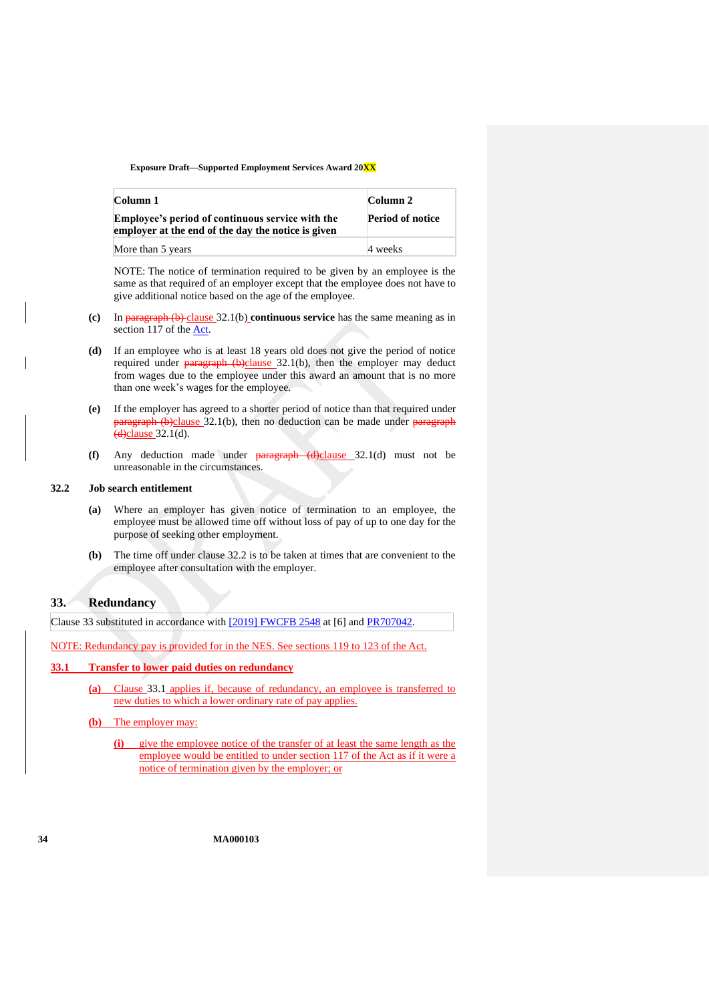| Column 1                                                                                                      | Column 2                |
|---------------------------------------------------------------------------------------------------------------|-------------------------|
| <b>Employee's period of continuous service with the</b><br>employer at the end of the day the notice is given | <b>Period of notice</b> |
| More than 5 years                                                                                             | 4 weeks                 |

NOTE: The notice of termination required to be given by an employee is the same as that required of an employer except that the employee does not have to give additional notice based on the age of the employee.

- **(c)** In paragraph [\(b\)](#page-32-5) clause [32.1\(b\)](#page-32-5) **continuous service** has the same meaning as in section 117 of the **Act**.
- <span id="page-33-1"></span>**(d)** If an employee who is at least 18 years old does not give the period of notice required under **paragraph**  $(b)$ clause  $32.1(b)$ , then the employer may deduct from wages due to the employee under this award an amount that is no more than one week's wages for the employee.
- **(e)** If the employer has agreed to a shorter period of notice than that required under paragraph [\(b\)c](#page-32-5)lause [32.1\(b\),](#page-32-5) then no deduction can be made under paragraph  $(d)$ clause [32.1\(d\).](#page-33-1)
- **(f)** Any deduction made under paragraph [\(d\)c](#page-33-1)lause [32.1\(d\)](#page-33-1) must not be unreasonable in the circumstances.

## <span id="page-33-2"></span>**32.2 Job search entitlement**

- **(a)** Where an employer has given notice of termination to an employee, the employee must be allowed time off without loss of pay of up to one day for the purpose of seeking other employment.
- **(b)** The time off under clause [32.2](#page-33-2) is to be taken at times that are convenient to the employee after consultation with the employer.

## <span id="page-33-0"></span>**33. Redundancy**

Clause 33 substituted in accordance with [\[2019\] FWCFB 2548](https://www.fwc.gov.au/documents/decisionssigned/html/2019fwcfb2548.htm) at [6] and [PR707042.](https://www.fwc.gov.au/documents/awardsandorders/html/pr707042.htm)

NOTE: Redundancy pay is provided for in the [NES.](https://www.fwc.gov.au/documents/awardmod/download/nes.pdf) See sections 119 to 123 of th[e Act.](http://www.legislation.gov.au/Series/C2009A00028)

#### <span id="page-33-3"></span>**33.1 Transfer to lower paid duties on redundancy**

- **(a)** Clause [33.1](#page-33-3) applies if, because of redundancy, an employee is transferred to new duties to which a lower ordinary rate of pay applies.
- **(b)** The employer may:
	- **(i)** give the employee notice of the transfer of at least the same length as the employee would be entitled to under section 117 of the [Act](http://www.legislation.gov.au/Series/C2009A00028) as if it were a notice of termination given by the employer; or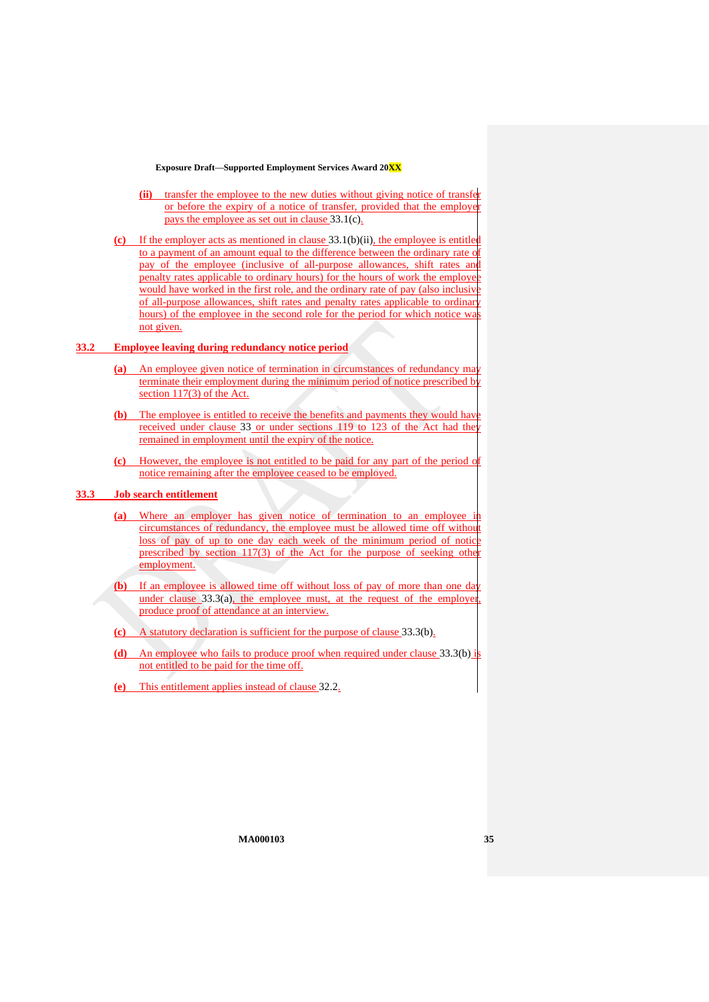- **(ii)** transfer the employee to the new duties without giving notice of transfer or before the expiry of a notice of transfer, provided that the employer pays the employee as set out in claus[e 33.1\(c\).](#page-34-0)
- <span id="page-34-1"></span><span id="page-34-0"></span>**(c)** If the employer acts as mentioned in clause [33.1\(b\)\(ii\),](#page-34-1) the employee is entitled to a payment of an amount equal to the difference between the ordinary rate of pay of the employee (inclusive of all-purpose allowances, shift rates and penalty rates applicable to ordinary hours) for the hours of work the employee would have worked in the first role, and the ordinary rate of pay (also inclusive of all-purpose allowances, shift rates and penalty rates applicable to ordinary hours) of the employee in the second role for the period for which notice was not given.

#### **33.2 Employee leaving during redundancy notice period**

- **(a)** An employee given notice of termination in circumstances of redundancy may terminate their employment during the minimum period of notice prescribed by section 117(3) of the [Act.](http://www.legislation.gov.au/Series/C2009A00028)
- **(b)** The employee is entitled to receive the benefits and payments they would have received under clause [33](#page-33-0) or under sections 119 to 123 of the [Act](http://www.legislation.gov.au/Series/C2009A00028) had the remained in employment until the expiry of the notice.
- **(c)** However, the employee is not entitled to be paid for any part of the period of notice remaining after the employee ceased to be employed.

## <span id="page-34-2"></span>**33.3 Job search entitlement**

- **(a)** Where an employer has given notice of termination to an employee in circumstances of redundancy, the employee must be allowed time off without loss of pay of up to one day each week of the minimum period of notice prescribed by section 117(3) of the [Act](http://www.legislation.gov.au/Series/C2009A00028) for the purpose of seeking other employment.
- <span id="page-34-3"></span>**(b)** If an employee is allowed time off without loss of pay of more than one day under clause  $33.3(a)$ , the employee must, at the request of the employer produce proof of attendance at an interview.
- **(c)** A statutory declaration is sufficient for the purpose of clause [33.3\(b\).](#page-34-3)
- **(d)** An employee who fails to produce proof when required under clause [33.3\(b\)](#page-34-3) is not entitled to be paid for the time off.
- **(e)** This entitlement applies instead of clause [32.2.](#page-33-2)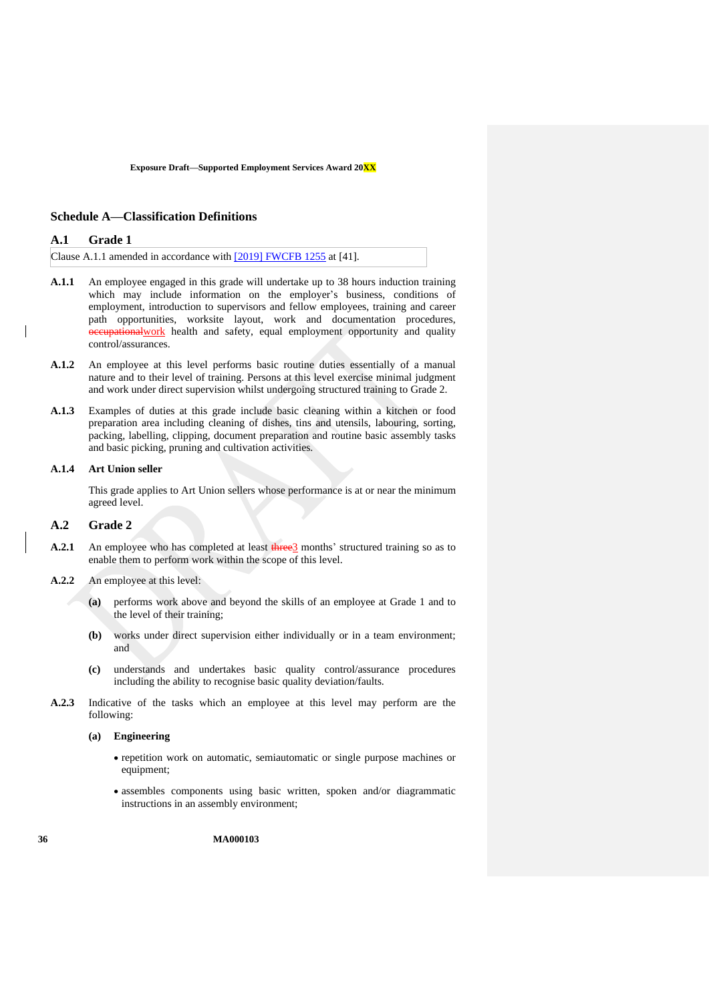### <span id="page-35-3"></span><span id="page-35-2"></span>**Schedule A—Classification Definitions**

#### **A.1 Grade 1**

Clause A.1.1 amended in accordance with [\[2019\] FWCFB 1255](https://www.fwc.gov.au/documents/decisionssigned/html/2019fwcfb1255.htm) at [41].

- <span id="page-35-0"></span>**A.1.1** An employee engaged in this grade will undertake up to 38 hours induction training which may include information on the employer's business, conditions of employment, introduction to supervisors and fellow employees, training and career path opportunities, worksite layout, work and documentation procedures, eupational work health and safety, equal employment opportunity and quality control/assurances.
- **A.1.2** An employee at this level performs basic routine duties essentially of a manual nature and to their level of training. Persons at this level exercise minimal judgment and work under direct supervision whilst undergoing structured training to Grade 2.
- **A.1.3** Examples of duties at this grade include basic cleaning within a kitchen or food preparation area including cleaning of dishes, tins and utensils, labouring, sorting, packing, labelling, clipping, document preparation and routine basic assembly tasks and basic picking, pruning and cultivation activities.

#### **A.1.4 Art Union seller**

This grade applies to Art Union sellers whose performance is at or near the minimum agreed level.

## <span id="page-35-1"></span>**A.2 Grade 2**

- **A.2.1** An employee who has completed at least three 3 months' structured training so as to enable them to perform work within the scope of this level.
- **A.2.2** An employee at this level:
	- **(a)** performs work above and beyond the skills of an employee at Grade 1 and to the level of their training;
	- **(b)** works under direct supervision either individually or in a team environment; and
	- **(c)** understands and undertakes basic quality control/assurance procedures including the ability to recognise basic quality deviation/faults.
- **A.2.3** Indicative of the tasks which an employee at this level may perform are the following:

#### **(a) Engineering**

- repetition work on automatic, semiautomatic or single purpose machines or equipment;
- assembles components using basic written, spoken and/or diagrammatic instructions in an assembly environment;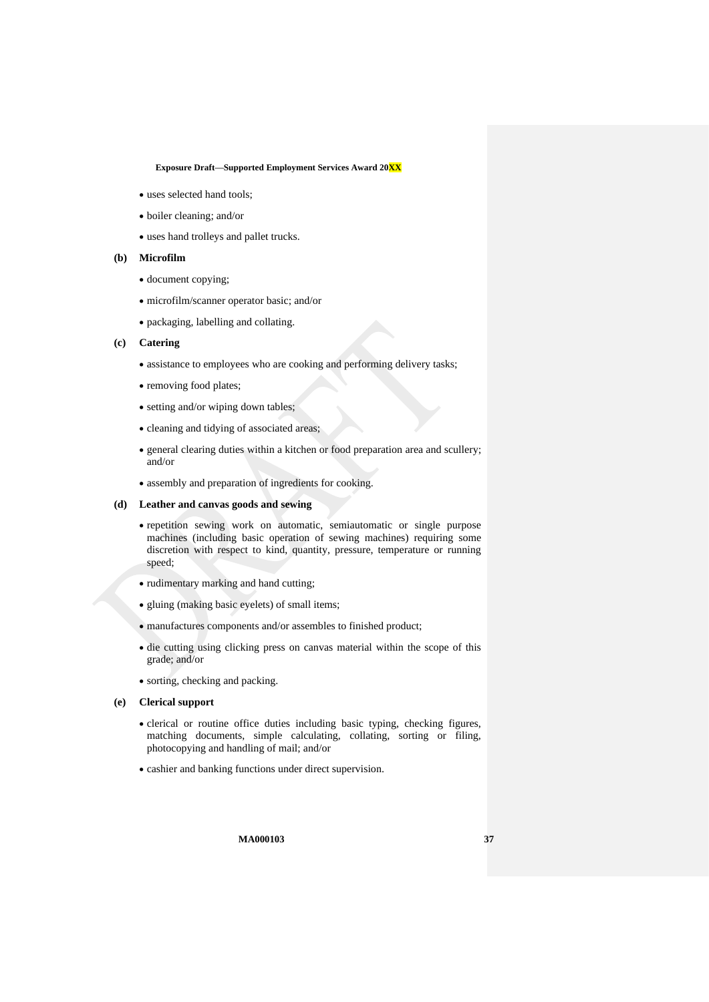- uses selected hand tools:
- boiler cleaning; and/or
- uses hand trolleys and pallet trucks.

#### **(b) Microfilm**

- document copying;
- microfilm/scanner operator basic; and/or
- packaging, labelling and collating.

### **(c) Catering**

- assistance to employees who are cooking and performing delivery tasks;
- removing food plates;
- setting and/or wiping down tables;
- cleaning and tidying of associated areas;
- general clearing duties within a kitchen or food preparation area and scullery; and/or
- assembly and preparation of ingredients for cooking.

### **(d) Leather and canvas goods and sewing**

- repetition sewing work on automatic, semiautomatic or single purpose machines (including basic operation of sewing machines) requiring some discretion with respect to kind, quantity, pressure, temperature or running speed;
- rudimentary marking and hand cutting;
- gluing (making basic eyelets) of small items;
- manufactures components and/or assembles to finished product;
- die cutting using clicking press on canvas material within the scope of this grade; and/or
- sorting, checking and packing.

### **(e) Clerical support**

- clerical or routine office duties including basic typing, checking figures, matching documents, simple calculating, collating, sorting or filing, photocopying and handling of mail; and/or
- cashier and banking functions under direct supervision.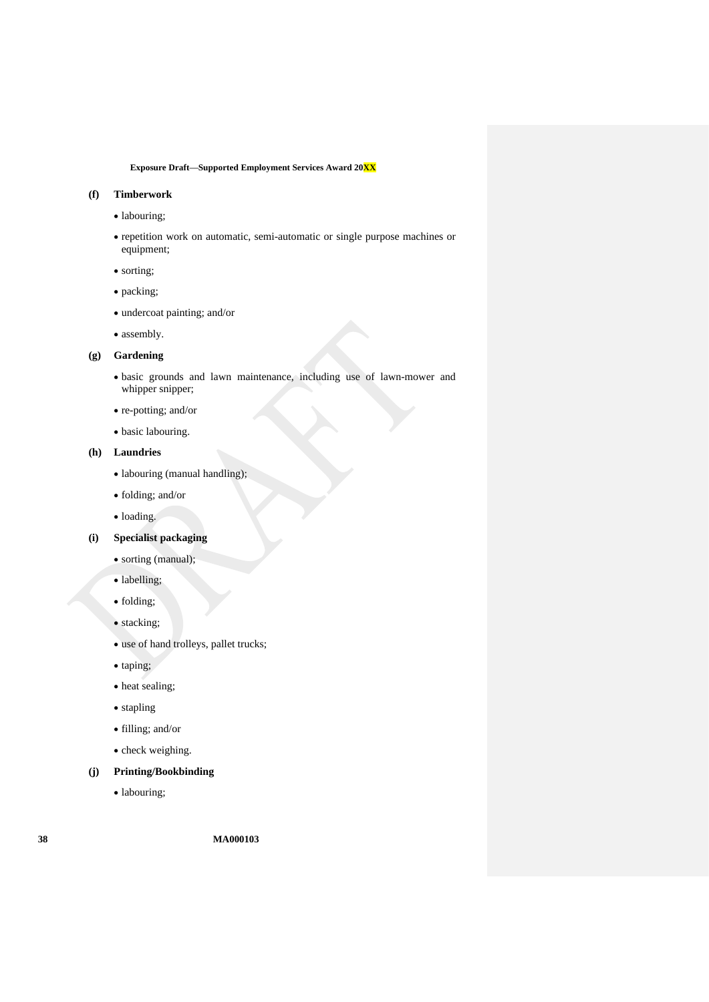## **(f) Timberwork**

- labouring;
- repetition work on automatic, semi-automatic or single purpose machines or equipment;
- sorting;
- packing;
- undercoat painting; and/or
- assembly.

## **(g) Gardening**

- basic grounds and lawn maintenance, including use of lawn-mower and whipper snipper;
- re-potting; and/or
- basic labouring.

## **(h) Laundries**

- labouring (manual handling);
- folding; and/or
- loading.

### **(i) Specialist packaging**

- sorting (manual);
- labelling;
- folding;
- stacking;
- use of hand trolleys, pallet trucks;
- taping;
- heat sealing;
- stapling
- filling; and/or
- check weighing.
- **(j) Printing/Bookbinding**
	- labouring;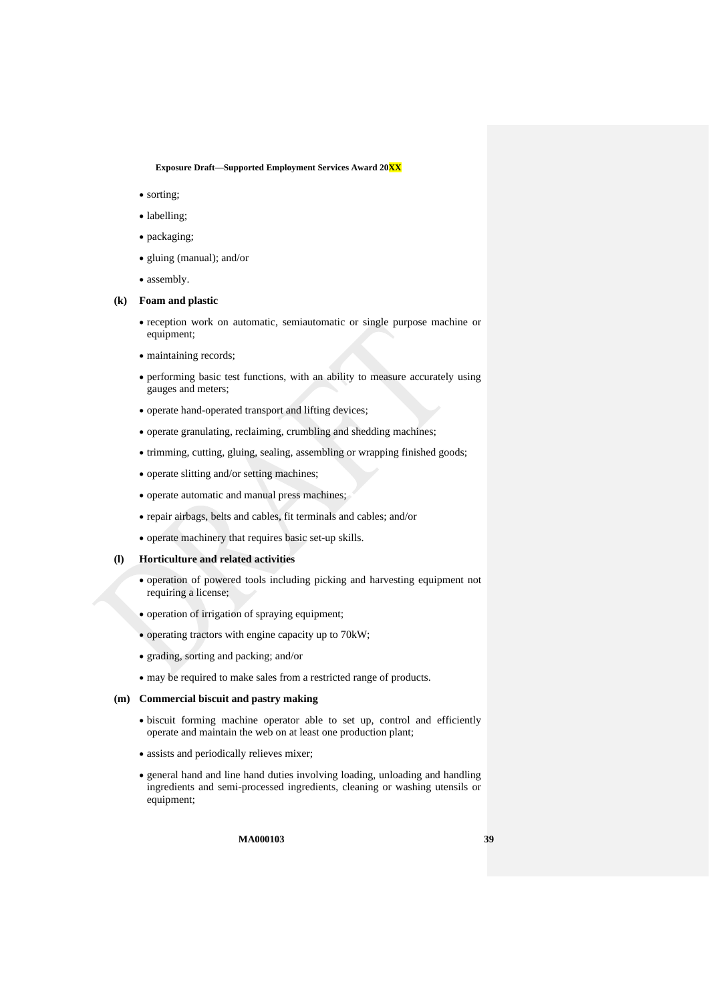- sorting:
- labelling;
- packaging;
- gluing (manual); and/or
- assembly.

#### **(k) Foam and plastic**

- reception work on automatic, semiautomatic or single purpose machine or equipment;
- maintaining records;
- performing basic test functions, with an ability to measure accurately using gauges and meters;
- operate hand-operated transport and lifting devices;
- operate granulating, reclaiming, crumbling and shedding machines;
- trimming, cutting, gluing, sealing, assembling or wrapping finished goods;
- operate slitting and/or setting machines;
- operate automatic and manual press machines;
- repair airbags, belts and cables, fit terminals and cables; and/or
- operate machinery that requires basic set-up skills.

#### **(l) Horticulture and related activities**

- operation of powered tools including picking and harvesting equipment not requiring a license;
- operation of irrigation of spraying equipment;
- operating tractors with engine capacity up to 70kW;
- grading, sorting and packing; and/or
- may be required to make sales from a restricted range of products.

#### **(m) Commercial biscuit and pastry making**

- biscuit forming machine operator able to set up, control and efficiently operate and maintain the web on at least one production plant;
- assists and periodically relieves mixer;
- general hand and line hand duties involving loading, unloading and handling ingredients and semi-processed ingredients, cleaning or washing utensils or equipment;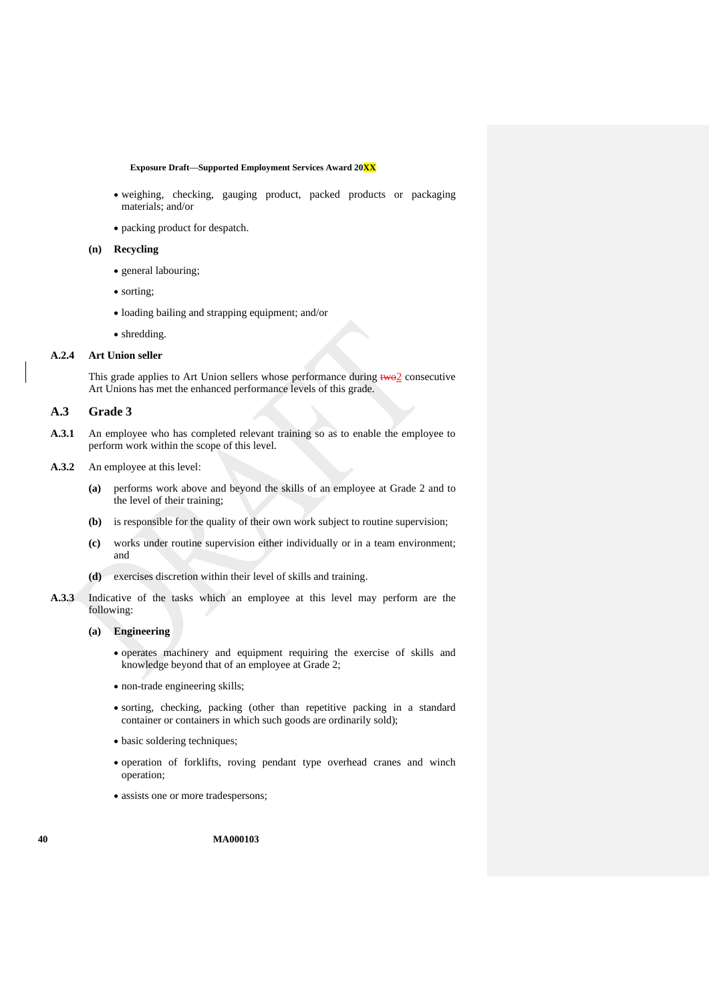- weighing, checking, gauging product, packed products or packaging materials; and/or
- packing product for despatch.

#### **(n) Recycling**

- general labouring;
- sorting;
- loading bailing and strapping equipment; and/or
- shredding.

#### **A.2.4 Art Union seller**

This grade applies to Art Union sellers whose performance during  $two2$  consecutive Art Unions has met the enhanced performance levels of this grade.

### **A.3 Grade 3**

**A.3.1** An employee who has completed relevant training so as to enable the employee to perform work within the scope of this level.

#### **A.3.2** An employee at this level:

- **(a)** performs work above and beyond the skills of an employee at Grade 2 and to the level of their training;
- **(b)** is responsible for the quality of their own work subject to routine supervision;
- **(c)** works under routine supervision either individually or in a team environment; and
- **(d)** exercises discretion within their level of skills and training.
- **A.3.3** Indicative of the tasks which an employee at this level may perform are the following:

#### **(a) Engineering**

- operates machinery and equipment requiring the exercise of skills and knowledge beyond that of an employee at Grade 2;
- non-trade engineering skills;
- sorting, checking, packing (other than repetitive packing in a standard container or containers in which such goods are ordinarily sold);
- basic soldering techniques;
- operation of forklifts, roving pendant type overhead cranes and winch operation;
- assists one or more tradespersons;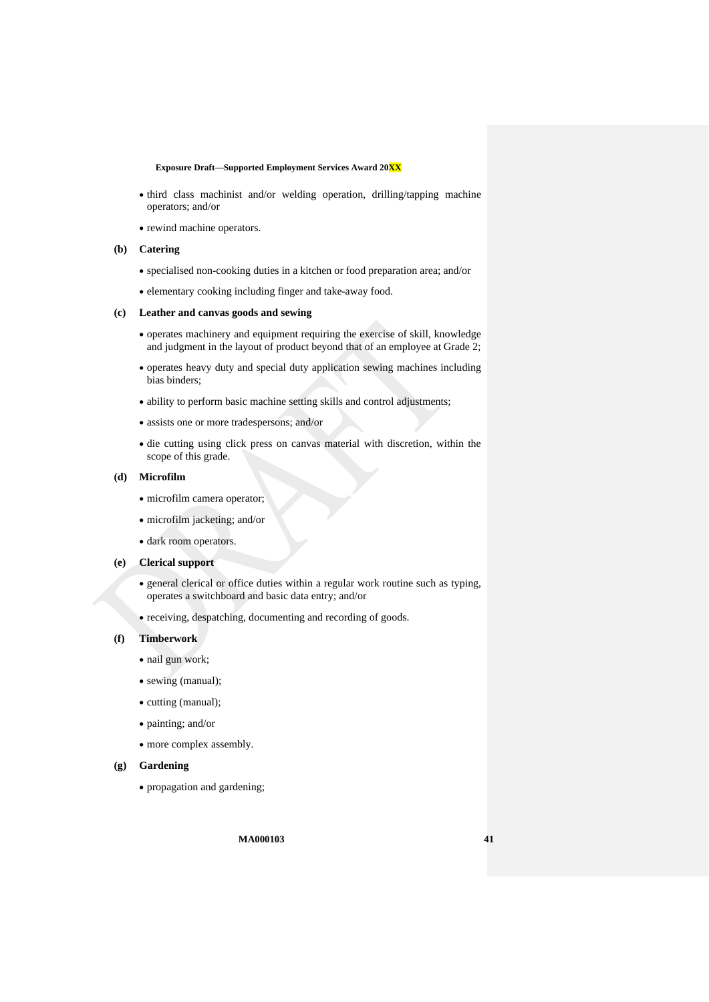- third class machinist and/or welding operation, drilling/tapping machine operators; and/or
- rewind machine operators.

#### **(b) Catering**

- specialised non-cooking duties in a kitchen or food preparation area; and/or
- elementary cooking including finger and take-away food.

#### **(c) Leather and canvas goods and sewing**

- operates machinery and equipment requiring the exercise of skill, knowledge and judgment in the layout of product beyond that of an employee at Grade 2;
- operates heavy duty and special duty application sewing machines including bias binders;
- ability to perform basic machine setting skills and control adjustments;
- assists one or more tradespersons; and/or
- die cutting using click press on canvas material with discretion, within the scope of this grade.

#### **(d) Microfilm**

- microfilm camera operator;
- microfilm jacketing; and/or
- dark room operators.

## **(e) Clerical support**

- general clerical or office duties within a regular work routine such as typing, operates a switchboard and basic data entry; and/or
- receiving, despatching, documenting and recording of goods.

#### **(f) Timberwork**

- nail gun work;
- sewing (manual);
- cutting (manual);
- painting; and/or
- more complex assembly.

### **(g) Gardening**

• propagation and gardening;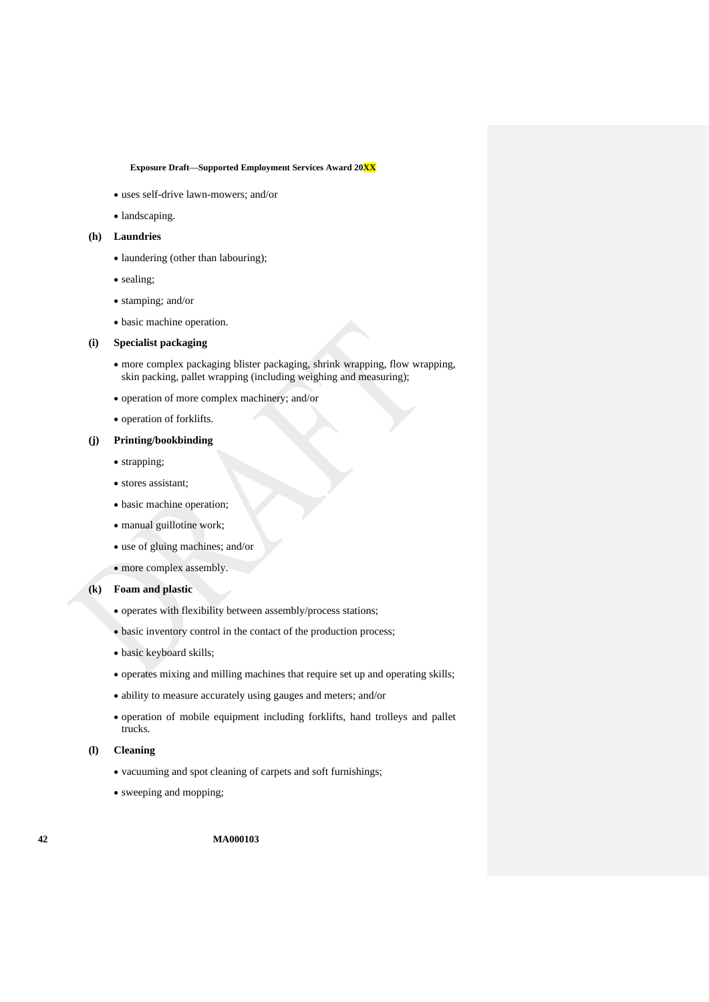- uses self-drive lawn-mowers; and/or
- landscaping.

### **(h) Laundries**

- laundering (other than labouring);
- sealing;
- stamping; and/or
- basic machine operation.

#### **(i) Specialist packaging**

- more complex packaging blister packaging, shrink wrapping, flow wrapping, skin packing, pallet wrapping (including weighing and measuring);
- operation of more complex machinery; and/or
- operation of forklifts.

### **(j) Printing/bookbinding**

- strapping;
- stores assistant;
- basic machine operation;
- manual guillotine work;
- use of gluing machines; and/or
- more complex assembly.

### **(k) Foam and plastic**

- operates with flexibility between assembly/process stations;
- basic inventory control in the contact of the production process;
- basic keyboard skills;
- operates mixing and milling machines that require set up and operating skills;
- ability to measure accurately using gauges and meters; and/or
- operation of mobile equipment including forklifts, hand trolleys and pallet trucks.

### **(l) Cleaning**

- vacuuming and spot cleaning of carpets and soft furnishings;
- sweeping and mopping;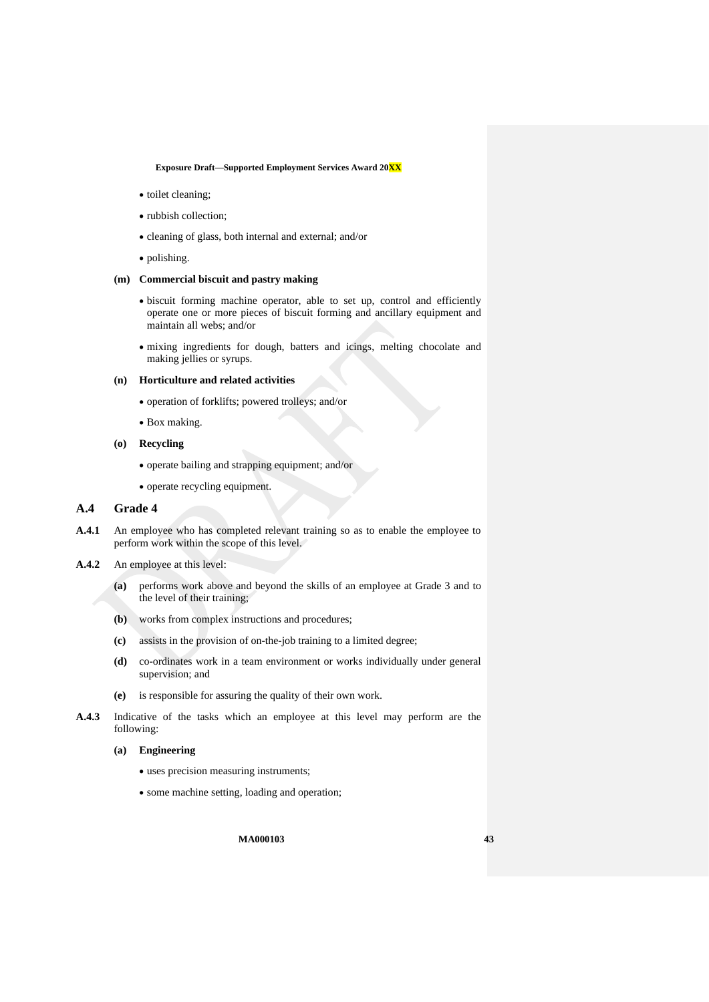- toilet cleaning;
- rubbish collection;
- cleaning of glass, both internal and external; and/or
- polishing.

### **(m) Commercial biscuit and pastry making**

- biscuit forming machine operator, able to set up, control and efficiently operate one or more pieces of biscuit forming and ancillary equipment and maintain all webs; and/or
- mixing ingredients for dough, batters and icings, melting chocolate and making jellies or syrups.

#### **(n) Horticulture and related activities**

- operation of forklifts; powered trolleys; and/or
- Box making.
- **(o) Recycling**
	- operate bailing and strapping equipment; and/or
	- operate recycling equipment.

## **A.4 Grade 4**

- **A.4.1** An employee who has completed relevant training so as to enable the employee to perform work within the scope of this level.
- **A.4.2** An employee at this level:
	- **(a)** performs work above and beyond the skills of an employee at Grade 3 and to the level of their training;
	- **(b)** works from complex instructions and procedures;
	- **(c)** assists in the provision of on-the-job training to a limited degree;
	- **(d)** co-ordinates work in a team environment or works individually under general supervision; and
	- **(e)** is responsible for assuring the quality of their own work.
- **A.4.3** Indicative of the tasks which an employee at this level may perform are the following:
	- **(a) Engineering**
		- uses precision measuring instruments;
		- some machine setting, loading and operation;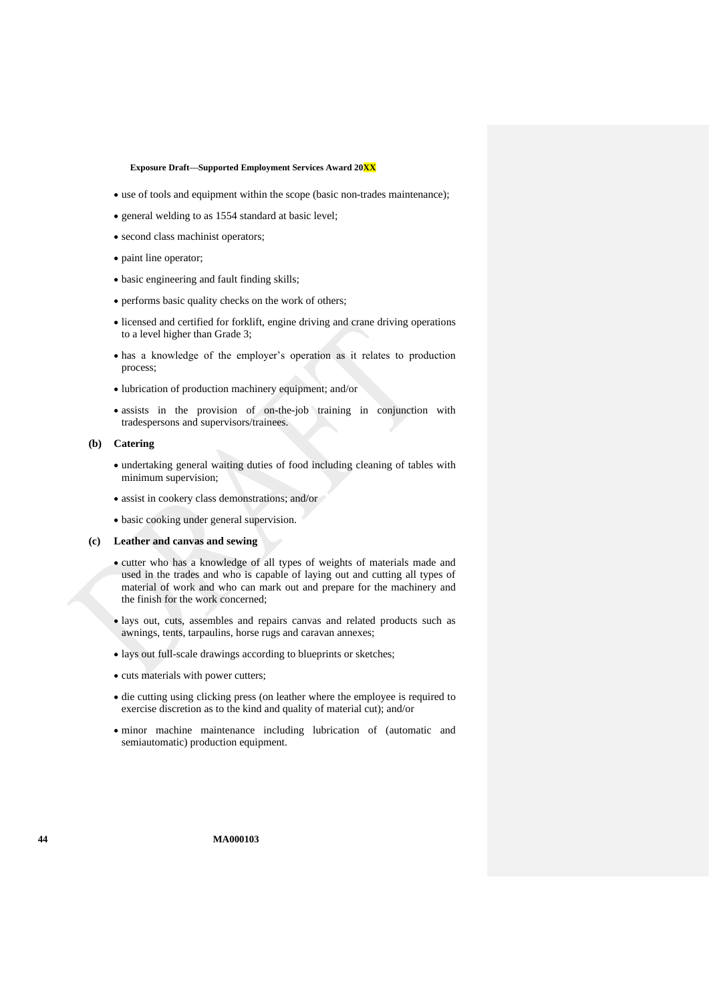- use of tools and equipment within the scope (basic non-trades maintenance);
- general welding to as 1554 standard at basic level;
- second class machinist operators;
- paint line operator;
- basic engineering and fault finding skills;
- performs basic quality checks on the work of others;
- licensed and certified for forklift, engine driving and crane driving operations to a level higher than Grade 3;
- has a knowledge of the employer's operation as it relates to production process;
- lubrication of production machinery equipment; and/or
- assists in the provision of on-the-job training in conjunction with tradespersons and supervisors/trainees.

#### **(b) Catering**

- undertaking general waiting duties of food including cleaning of tables with minimum supervision;
- assist in cookery class demonstrations; and/or
- basic cooking under general supervision.
- **(c) Leather and canvas and sewing**
	- cutter who has a knowledge of all types of weights of materials made and used in the trades and who is capable of laying out and cutting all types of material of work and who can mark out and prepare for the machinery and the finish for the work concerned;
	- lays out, cuts, assembles and repairs canvas and related products such as awnings, tents, tarpaulins, horse rugs and caravan annexes;
	- lays out full-scale drawings according to blueprints or sketches;
	- cuts materials with power cutters;
	- die cutting using clicking press (on leather where the employee is required to exercise discretion as to the kind and quality of material cut); and/or
	- minor machine maintenance including lubrication of (automatic and semiautomatic) production equipment.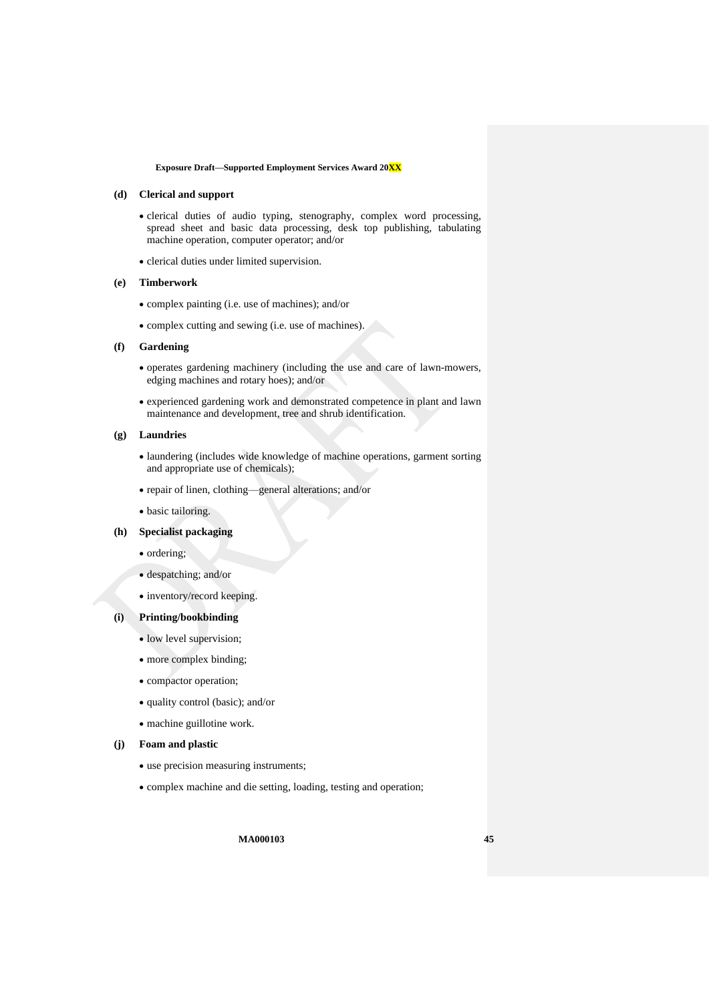#### **(d) Clerical and support**

- clerical duties of audio typing, stenography, complex word processing, spread sheet and basic data processing, desk top publishing, tabulating machine operation, computer operator; and/or
- clerical duties under limited supervision.

#### **(e) Timberwork**

- complex painting (i.e. use of machines); and/or
- complex cutting and sewing (i.e. use of machines).

### **(f) Gardening**

- operates gardening machinery (including the use and care of lawn-mowers, edging machines and rotary hoes); and/or
- experienced gardening work and demonstrated competence in plant and lawn maintenance and development, tree and shrub identification.

## **(g) Laundries**

- laundering (includes wide knowledge of machine operations, garment sorting and appropriate use of chemicals);
- repair of linen, clothing—general alterations; and/or
- basic tailoring.

## **(h) Specialist packaging**

- ordering;
- despatching; and/or
- inventory/record keeping.

### **(i) Printing/bookbinding**

- low level supervision;
- more complex binding;
- compactor operation;
- quality control (basic); and/or
- machine guillotine work.

#### **(j) Foam and plastic**

- use precision measuring instruments;
- complex machine and die setting, loading, testing and operation;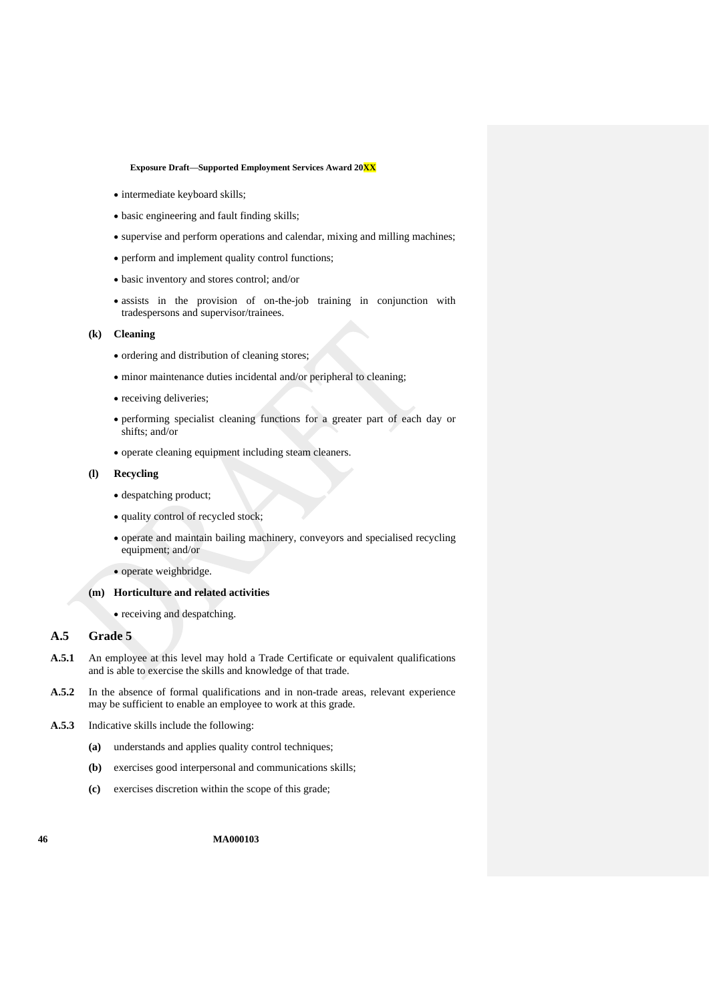- intermediate keyboard skills;
- basic engineering and fault finding skills;
- supervise and perform operations and calendar, mixing and milling machines;
- perform and implement quality control functions;
- basic inventory and stores control; and/or
- assists in the provision of on-the-job training in conjunction with tradespersons and supervisor/trainees.

#### **(k) Cleaning**

- ordering and distribution of cleaning stores;
- minor maintenance duties incidental and/or peripheral to cleaning;
- receiving deliveries;
- performing specialist cleaning functions for a greater part of each day or shifts; and/or
- operate cleaning equipment including steam cleaners.

#### **(l) Recycling**

- despatching product;
- quality control of recycled stock;
- operate and maintain bailing machinery, conveyors and specialised recycling equipment; and/or
- operate weighbridge.

## **(m) Horticulture and related activities**

• receiving and despatching.

## **A.5 Grade 5**

- **A.5.1** An employee at this level may hold a Trade Certificate or equivalent qualifications and is able to exercise the skills and knowledge of that trade.
- **A.5.2** In the absence of formal qualifications and in non-trade areas, relevant experience may be sufficient to enable an employee to work at this grade.
- **A.5.3** Indicative skills include the following:
	- **(a)** understands and applies quality control techniques;
	- **(b)** exercises good interpersonal and communications skills;
	- **(c)** exercises discretion within the scope of this grade;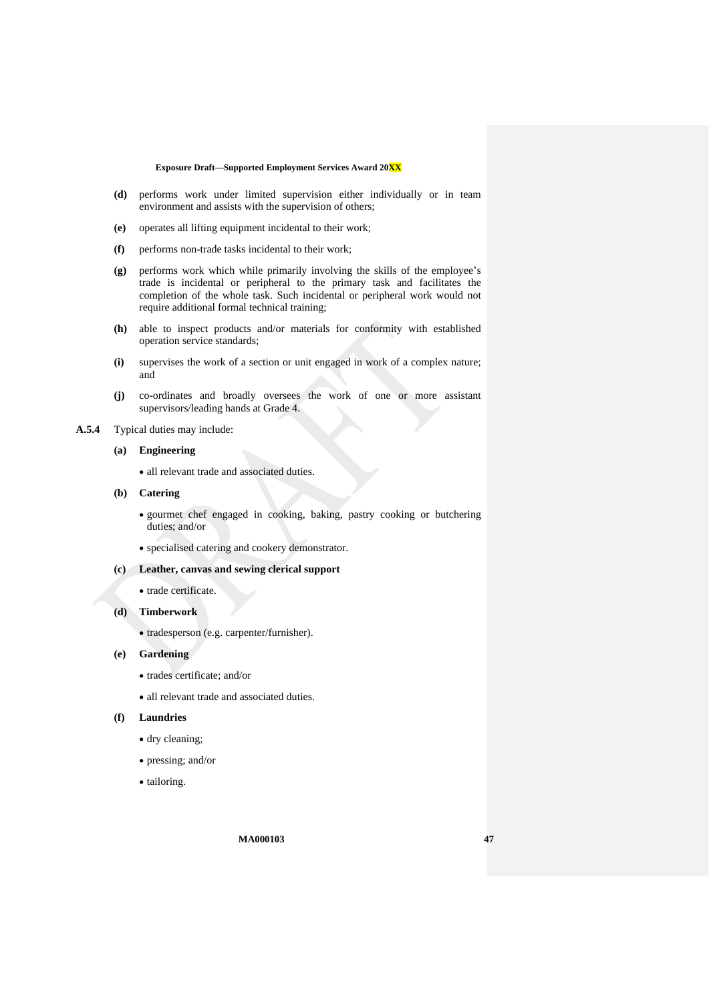- **(d)** performs work under limited supervision either individually or in team environment and assists with the supervision of others;
- **(e)** operates all lifting equipment incidental to their work;
- **(f)** performs non-trade tasks incidental to their work;
- **(g)** performs work which while primarily involving the skills of the employee's trade is incidental or peripheral to the primary task and facilitates the completion of the whole task. Such incidental or peripheral work would not require additional formal technical training;
- **(h)** able to inspect products and/or materials for conformity with established operation service standards;
- **(i)** supervises the work of a section or unit engaged in work of a complex nature; and
- **(j)** co-ordinates and broadly oversees the work of one or more assistant supervisors/leading hands at Grade 4.

## **A.5.4** Typical duties may include:

### **(a) Engineering**

- all relevant trade and associated duties.
- **(b) Catering**
	- gourmet chef engaged in cooking, baking, pastry cooking or butchering duties; and/or
	- specialised catering and cookery demonstrator.
- **(c) Leather, canvas and sewing clerical support**
	- trade certificate.
- **(d) Timberwork**
	- tradesperson (e.g. carpenter/furnisher).
- **(e) Gardening**
	- trades certificate; and/or
	- all relevant trade and associated duties.

#### **(f) Laundries**

- dry cleaning;
- pressing; and/or
- tailoring.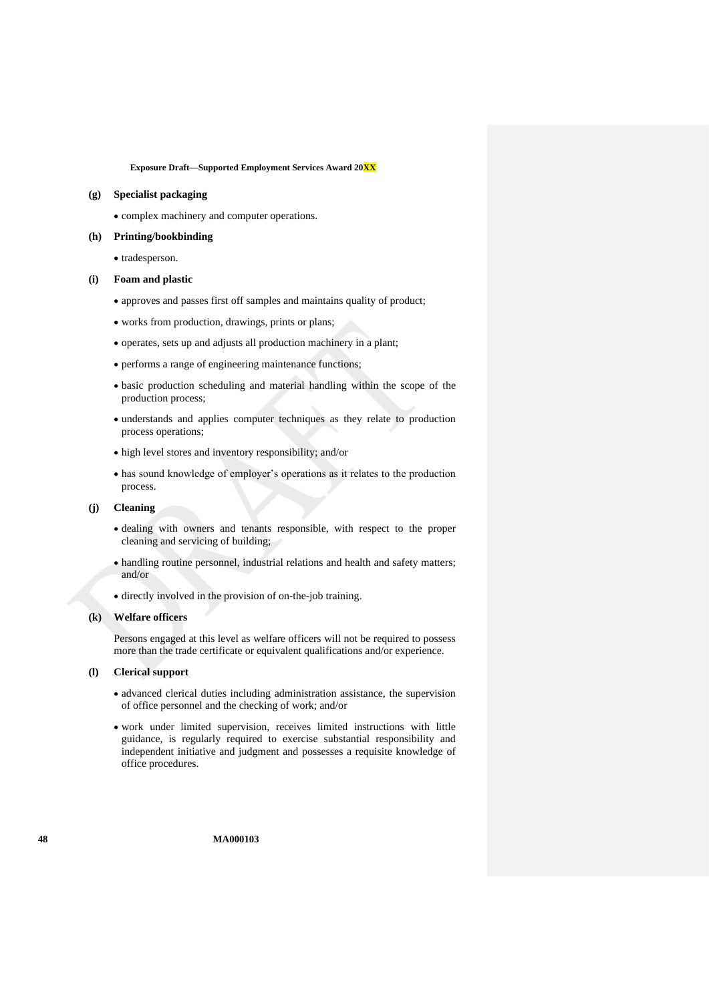#### **(g) Specialist packaging**

• complex machinery and computer operations.

#### **(h) Printing/bookbinding**

• tradesperson.

#### **(i) Foam and plastic**

- approves and passes first off samples and maintains quality of product;
- works from production, drawings, prints or plans;
- operates, sets up and adjusts all production machinery in a plant;
- performs a range of engineering maintenance functions;
- basic production scheduling and material handling within the scope of the production process;
- understands and applies computer techniques as they relate to production process operations;
- high level stores and inventory responsibility; and/or
- has sound knowledge of employer's operations as it relates to the production process.

#### **(j) Cleaning**

- dealing with owners and tenants responsible, with respect to the proper cleaning and servicing of building;
- handling routine personnel, industrial relations and health and safety matters; and/or
- directly involved in the provision of on-the-job training.

#### **(k) Welfare officers**

Persons engaged at this level as welfare officers will not be required to possess more than the trade certificate or equivalent qualifications and/or experience.

### **(l) Clerical support**

- advanced clerical duties including administration assistance, the supervision of office personnel and the checking of work; and/or
- work under limited supervision, receives limited instructions with little guidance, is regularly required to exercise substantial responsibility and independent initiative and judgment and possesses a requisite knowledge of office procedures.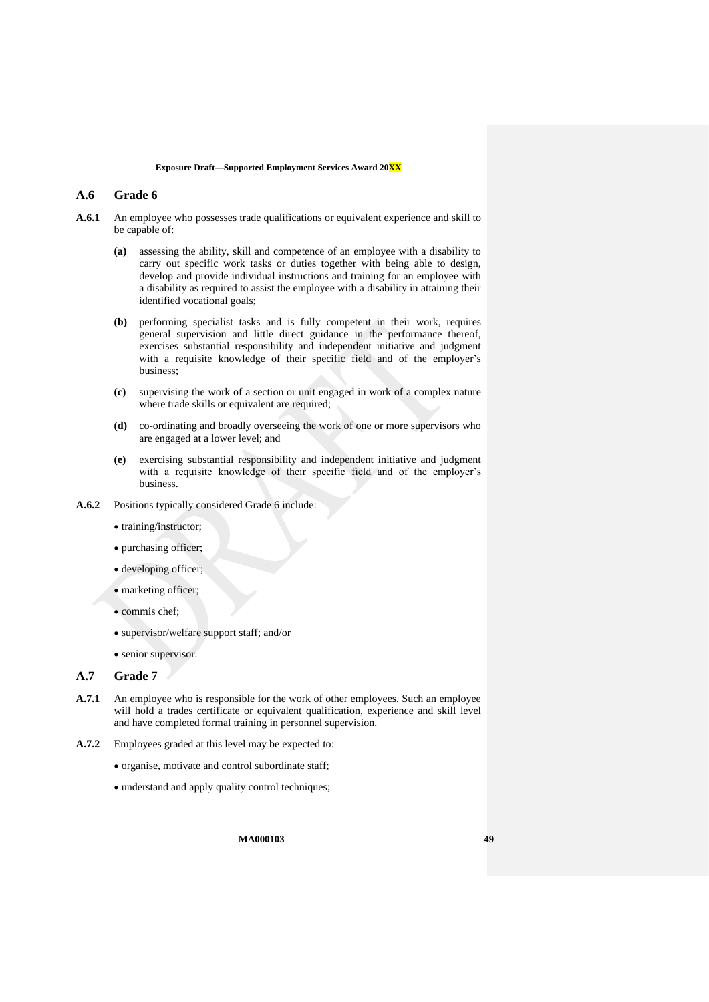## **A.6 Grade 6**

- **A.6.1** An employee who possesses trade qualifications or equivalent experience and skill to be capable of:
	- **(a)** assessing the ability, skill and competence of an employee with a disability to carry out specific work tasks or duties together with being able to design, develop and provide individual instructions and training for an employee with a disability as required to assist the employee with a disability in attaining their identified vocational goals;
	- **(b)** performing specialist tasks and is fully competent in their work, requires general supervision and little direct guidance in the performance thereof, exercises substantial responsibility and independent initiative and judgment with a requisite knowledge of their specific field and of the employer's business;
	- **(c)** supervising the work of a section or unit engaged in work of a complex nature where trade skills or equivalent are required;
	- **(d)** co-ordinating and broadly overseeing the work of one or more supervisors who are engaged at a lower level; and
	- **(e)** exercising substantial responsibility and independent initiative and judgment with a requisite knowledge of their specific field and of the employer's business.
- **A.6.2** Positions typically considered Grade 6 include:
	- training/instructor;
	- purchasing officer;
	- developing officer;
	- marketing officer;
	- commis chef;
	- supervisor/welfare support staff; and/or
	- senior supervisor.

## **A.7 Grade 7**

- **A.7.1** An employee who is responsible for the work of other employees. Such an employee will hold a trades certificate or equivalent qualification, experience and skill level and have completed formal training in personnel supervision.
- **A.7.2** Employees graded at this level may be expected to:
	- organise, motivate and control subordinate staff;
	- understand and apply quality control techniques;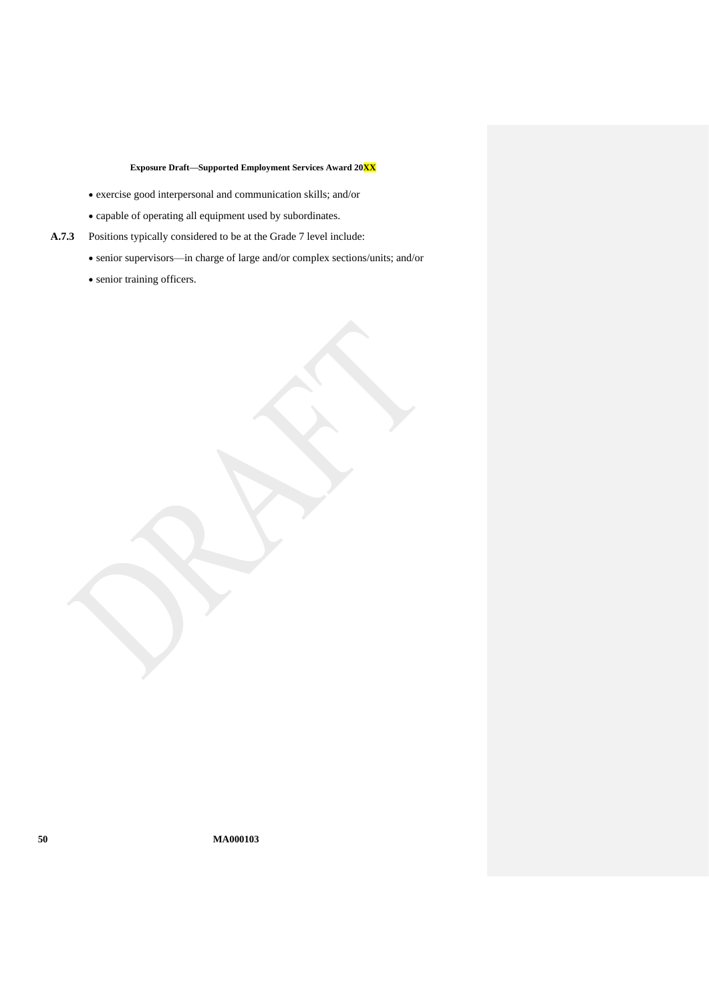- exercise good interpersonal and communication skills; and/or
- capable of operating all equipment used by subordinates.
- **A.7.3** Positions typically considered to be at the Grade 7 level include:
	- senior supervisors—in charge of large and/or complex sections/units; and/or
	- senior training officers.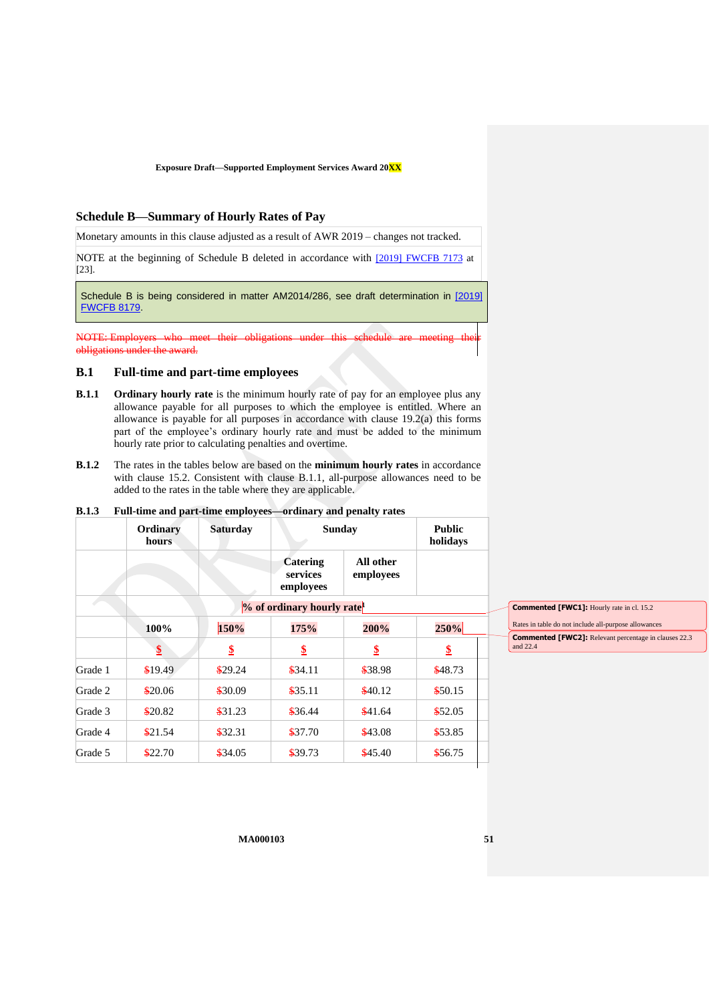### <span id="page-50-0"></span>**Schedule B—Summary of Hourly Rates of Pay**

Monetary amounts in this clause adjusted as a result of AWR 2019 – changes not tracked.

NOTE at the beginning of Schedule B deleted in accordance with [\[2019\] FWCFB 7173](https://www.fwc.gov.au/documents/decisionssigned/html/2019fwcfb7173.htm) at [23].

Schedule B is being considered in matter AM2014/286, see draft determination in [\[2019\]](https://www.fwc.gov.au/documents/decisionssigned/html/2019fwcfb8179.htm)  [FWCFB 8179.](https://www.fwc.gov.au/documents/decisionssigned/html/2019fwcfb8179.htm)

NOTE: Employers obligations under the award.

### **B.1 Full-time and part-time employees**

- <span id="page-50-1"></span>**B.1.1 Ordinary hourly rate** is the minimum hourly rate of pay for an employee plus any allowance payable for all purposes to which the employee is entitled. Where an allowance is payable for all purposes in accordance with clause [19.2\(a\)](#page-19-2) this forms part of the employee's ordinary hourly rate and must be added to the minimum hourly rate prior to calculating penalties and overtime.
- <span id="page-50-2"></span>**B.1.2** The rates in the tables below are based on the **minimum hourly rates** in accordance with clause [15.2.](#page-14-3) Consistent with clause [B.1.1,](#page-50-1) all-purpose allowances need to be added to the rates in the table where they are applicable.

| Ordinary<br>hours               | <b>Saturday</b>        | <b>Sunday</b>                            |                        | <b>Public</b><br>holidays                                                                               |
|---------------------------------|------------------------|------------------------------------------|------------------------|---------------------------------------------------------------------------------------------------------|
|                                 |                        | <b>Catering</b><br>services<br>employees | All other<br>employees |                                                                                                         |
|                                 |                        |                                          |                        |                                                                                                         |
| 100%                            | 150%                   | 175%                                     | 200%                   | 250%                                                                                                    |
| $\frac{\mathbf{S}}{\mathbf{S}}$ | $\frac{\mathbf{S}}{2}$ | \$                                       | \$                     | $\overline{\mathbf{2}}$                                                                                 |
| \$19.49                         | \$29.24                | \$34.11                                  | \$38.98                | \$48.73                                                                                                 |
| \$20.06                         | \$30.09                | \$35.11                                  | \$40.12                | \$50.15                                                                                                 |
| \$20.82                         | \$31.23                | \$36.44                                  | \$41.64                | \$52.05                                                                                                 |
| \$21.54                         | \$32.31                | \$37.70                                  | \$43.08                | \$53.85                                                                                                 |
| \$22.70                         | \$34.05                | \$39.73                                  | \$45.40                | \$56.75                                                                                                 |
|                                 |                        |                                          |                        | r an anne ana part anne emproyeco - orannary ana penany rates<br>% of ordinary hourly rate <sup>1</sup> |

#### **B.1.3 Full-time and part-time employees—ordinary and penalty rates**

**Commented [FWC1]:** Hourly rate in cl. 15.2

Rates in table do not include all-purpose allowances **Commented [FWC2]:** Relevant percentage in clauses 22.3 and 22.4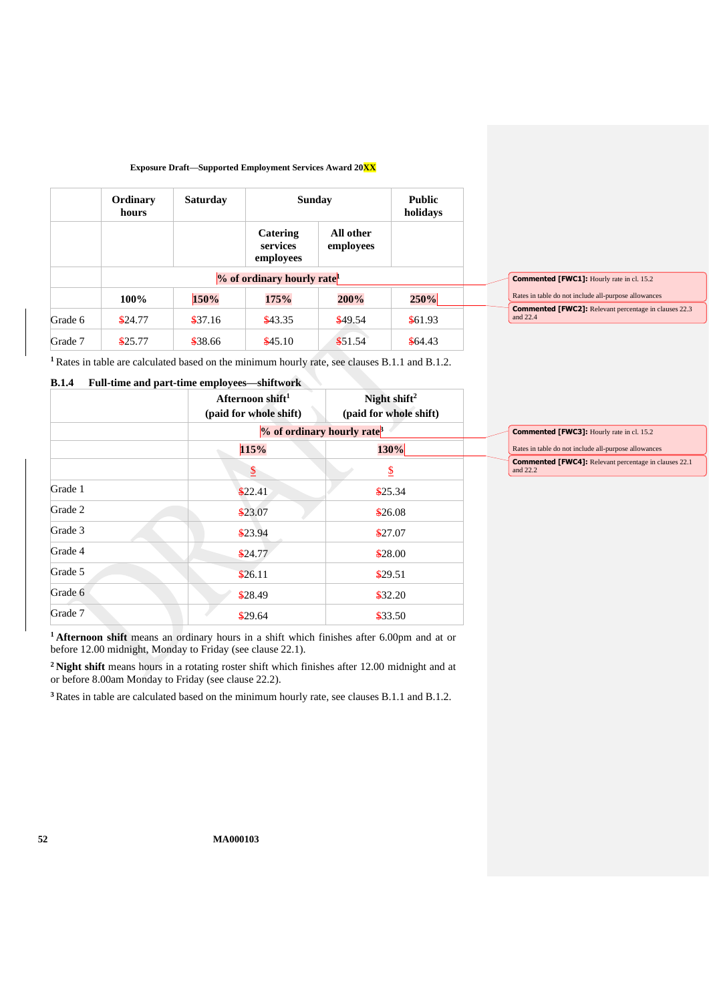|         | Ordinary<br>hours | <b>Saturday</b> | <b>Sunday</b>                     |                                        | <b>Public</b><br>holidays |
|---------|-------------------|-----------------|-----------------------------------|----------------------------------------|---------------------------|
|         |                   |                 | Catering<br>services<br>employees | All other<br>employees                 |                           |
|         |                   |                 |                                   | % of ordinary hourly rate <sup>1</sup> |                           |
|         | 100%              | 150%            | 175%                              | 200%                                   | 250%                      |
| Grade 6 | \$24.77           | \$37.16         | \$43.35                           | \$49.54                                | \$61.93                   |
| Grade 7 | \$25.77           | \$38.66         | \$45.10                           | \$51.54                                | \$64.43                   |

| Commented [FWC1]: Hourly rate in cl. 15.2                         |
|-------------------------------------------------------------------|
| Rates in table do not include all-purpose allowances              |
| Commented [FWC2]: Relevant percentage in clauses 22.3<br>and 22.4 |

**<sup>1</sup>** Rates in table are calculated based on the minimum hourly rate, see clauses [B.1.1](#page-50-1) and [B.1.2.](#page-50-2)

## **B.1.4 Full-time and part-time employees—shiftwork**

|         | Afternoon shift <sup>1</sup><br>(paid for whole shift) | Night shift <sup>2</sup><br>(paid for whole shift) |            |
|---------|--------------------------------------------------------|----------------------------------------------------|------------|
|         |                                                        | % of ordinary hourly rate <sup>3</sup>             | Cor        |
|         | 115%                                                   | 130%                                               | Rate       |
|         | $\overline{2}$                                         | $\mathbf{\underline{\mathcal{S}}}$                 | Cor<br>and |
| Grade 1 | \$22.41                                                | \$25.34                                            |            |
| Grade 2 | \$23.07                                                | \$26.08                                            |            |
| Grade 3 | \$23.94                                                | \$27.07                                            |            |
| Grade 4 | \$24.77                                                | \$28.00                                            |            |
| Grade 5 | \$26.11                                                | \$29.51                                            |            |
| Grade 6 | \$28.49                                                | \$32.20                                            |            |
| Grade 7 | \$29.64                                                | \$33.50                                            |            |

**mmented [FWC3]:** Hourly rate in cl. 15.2 es in table do not include all-purpose allowances **Commented [FWC4]:** Relevant percentage in clauses 22.1 and 22.2

**<sup>1</sup> Afternoon shift** means an ordinary hours in a shift which finishes after 6.00pm and at or before 12.00 midnight, Monday to Friday (see clause [22.1\)](#page-24-2).

**<sup>2</sup> Night shift** means hours in a rotating roster shift which finishes after 12.00 midnight and at or before 8.00am Monday to Friday (see clause [22.2\)](#page-24-3).

**<sup>3</sup>** Rates in table are calculated based on the minimum hourly rate, see clauses [B.1.1](#page-50-1) and [B.1.2.](#page-50-2)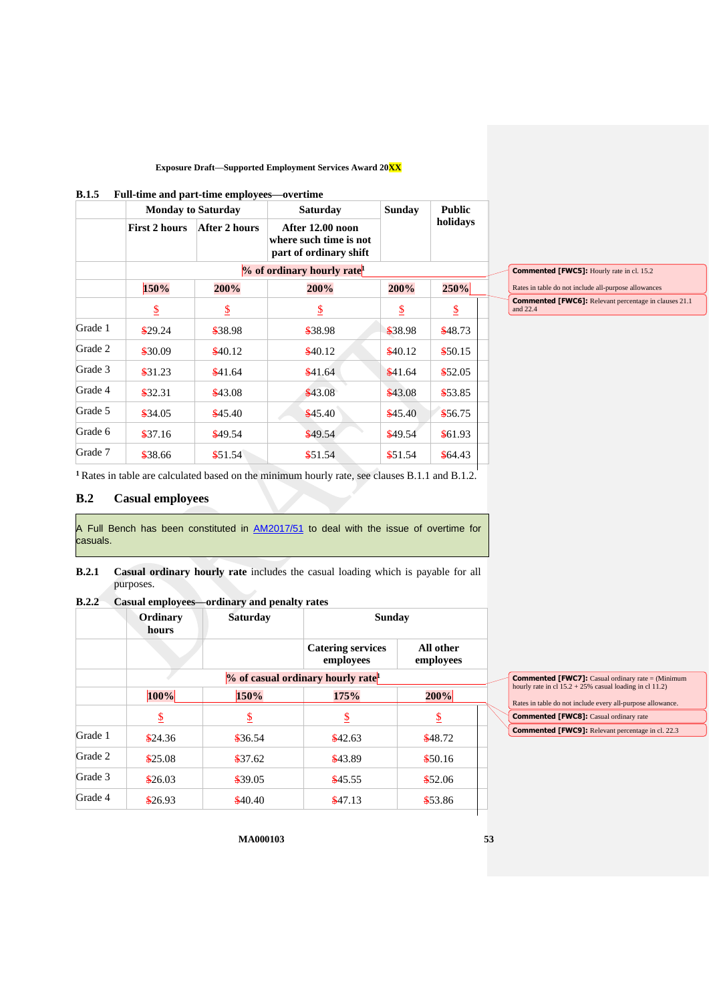#### **B.1.5 Full-time and part-time employees—overtime**

|         |                                        | <b>Monday to Saturday</b> | <b>Saturday</b>                                                      | <b>Sunday</b> | <b>Public</b> |  |  |
|---------|----------------------------------------|---------------------------|----------------------------------------------------------------------|---------------|---------------|--|--|
|         | <b>First 2 hours</b>                   | After 2 hours             | After 12.00 noon<br>where such time is not<br>part of ordinary shift |               | holidays      |  |  |
|         | % of ordinary hourly rate <sup>1</sup> |                           |                                                                      |               |               |  |  |
|         | 150%                                   | 200%                      | 200%                                                                 | 200%          | 250%          |  |  |
|         | \$                                     | \$                        | $\mathbf{\mathcal{S}}$                                               | \$            | \$            |  |  |
| Grade 1 | \$29.24                                | \$38.98                   | \$38.98                                                              | \$38.98       | \$48.73       |  |  |
| Grade 2 | \$30.09                                | \$40.12                   | \$40.12                                                              | \$40.12       | \$50.15       |  |  |
| Grade 3 | \$31.23                                | \$41.64                   | \$41.64                                                              | \$41.64       | \$52.05       |  |  |
| Grade 4 | \$32.31                                | \$43.08                   | \$43.08                                                              | \$43.08       | \$53.85       |  |  |
| Grade 5 | \$34.05                                | \$45.40                   | \$45.40                                                              | \$45.40       | \$56.75       |  |  |
| Grade 6 | \$37.16                                | \$49.54                   | \$49.54                                                              | \$49.54       | \$61.93       |  |  |
| Grade 7 | \$38.66                                | \$51.54                   | \$51.54                                                              | \$51.54       | \$64.43       |  |  |

| <b>Commented [FWC5]:</b> Hourly rate in cl. 15.2     |
|------------------------------------------------------|
| Rates in table do not include all-purpose allowances |

**Commented [FWC6]:** Relevant percentage in clauses 21.1 and 22.4

**<sup>1</sup>** Rates in table are calculated based on the minimum hourly rate, see clauses [B.1.1](#page-50-1) and [B.1.2.](#page-50-2)

## **B.2 Casual employees**

A Full Bench has been constituted in  $AM2017/51$  to deal with the issue of overtime for casuals.

**B.2.1 Casual ordinary hourly rate** includes the casual loading which is payable for all purposes.

## **B.2.2 Casual employees—ordinary and penalty rates**

|         | Ordinary<br>hours | <b>Saturday</b> | <b>Sunday</b>                                 |                        |
|---------|-------------------|-----------------|-----------------------------------------------|------------------------|
|         |                   |                 | <b>Catering services</b><br>employees         | All other<br>employees |
|         |                   |                 | % of casual ordinary hourly rate <sup>1</sup> |                        |
|         | 100%              | 150%            | 175%                                          | 200%                   |
|         | \$                | \$              | \$                                            | $\overline{v}$         |
| Grade 1 | \$24.36           | \$36.54         | \$42.63                                       | \$48.72                |
| Grade 2 | \$25.08           | \$37.62         | \$43.89                                       | \$50.16                |
| Grade 3 | \$26.03           | \$39.05         | \$45.55                                       | \$52.06                |
| Grade 4 | \$26.93           | \$40.40         | \$47.13                                       | \$53.86                |

| Commented [FWC7]: Casual ordinary rate = (Minimum          |  |  |  |  |
|------------------------------------------------------------|--|--|--|--|
| hourly rate in cl $15.2 + 25\%$ casual loading in cl 11.2) |  |  |  |  |
|                                                            |  |  |  |  |
| Rates in table do not include every all-purpose allowance. |  |  |  |  |
| <b>Commented [FWC8]:</b> Casual ordinary rate              |  |  |  |  |
|                                                            |  |  |  |  |
| <b>Commented [FWC9]:</b> Relevant percentage in cl. 22.3   |  |  |  |  |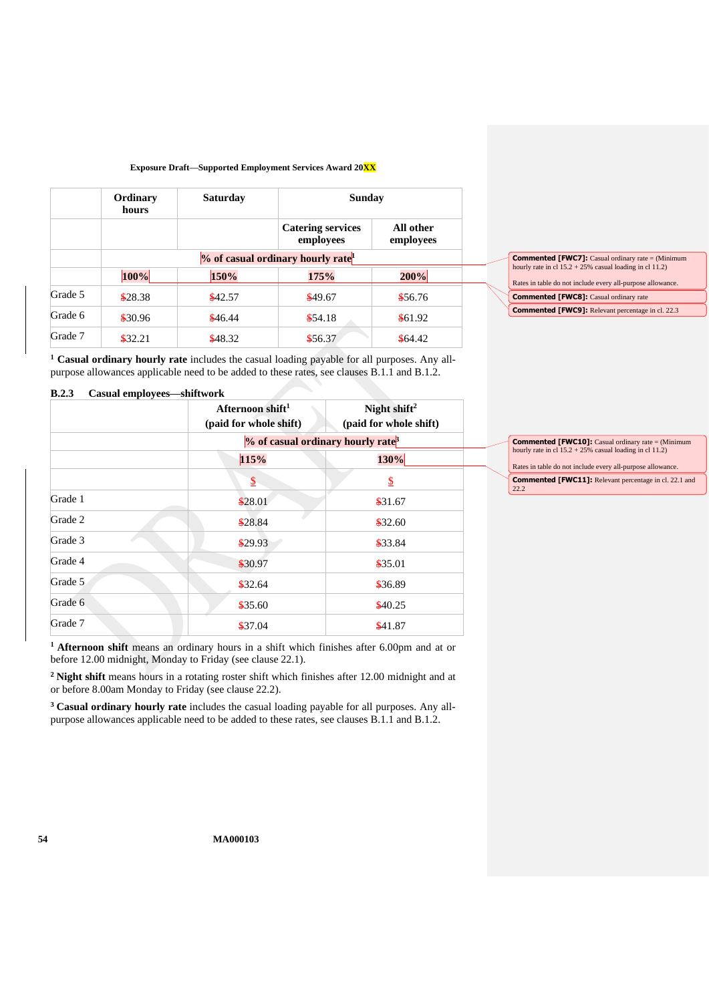|         | Ordinary<br>hours | <b>Saturday</b> | <b>Sunday</b>                                 |                        |
|---------|-------------------|-----------------|-----------------------------------------------|------------------------|
|         |                   |                 | <b>Catering services</b><br>employees         | All other<br>employees |
|         |                   |                 | % of casual ordinary hourly rate <sup>1</sup> |                        |
|         | 100%              | 150%            | 175%                                          | 200%                   |
| Grade 5 | \$28.38           | \$42.57         | \$49.67                                       | \$56.76                |
| Grade 6 | \$30.96           | \$46.44         | \$54.18                                       | \$61.92                |
| Grade 7 | \$32.21           | \$48.32         | \$56.37                                       | \$64.42                |

| <b>Commented [FWC7]:</b> Casual ordinary rate = (Minimum)  |
|------------------------------------------------------------|
| hourly rate in cl $15.2 + 25\%$ casual loading in cl 11.2) |
|                                                            |
| Rates in table do not include every all-purpose allowance. |
| <b>Commented [FWC8]:</b> Casual ordinary rate              |
| <b>Commented [FWC9]:</b> Relevant percentage in cl. 22.3   |

**<sup>1</sup> Casual ordinary hourly rate** includes the casual loading payable for all purposes. Any allpurpose allowances applicable need to be added to these rates, see clause[s B.1.1](#page-50-1) an[d B.1.2.](#page-50-2)

#### **B.2.3 Casual employees—shiftwork**

|         | Afternoon shift <sup>1</sup><br>(paid for whole shift) | Night shift <sup>2</sup><br>(paid for whole shift) |
|---------|--------------------------------------------------------|----------------------------------------------------|
|         |                                                        | $%$ of casual ordinary hourly rate <sup>3</sup>    |
|         | 115%                                                   | 130%                                               |
|         | $\overline{2}$                                         | $\mathbf{\mathcal{S}}$                             |
| Grade 1 | \$28.01                                                | \$31.67                                            |
| Grade 2 | \$28.84                                                | \$32.60                                            |
| Grade 3 | \$29.93                                                | \$33.84                                            |
| Grade 4 | \$30.97                                                | \$35.01                                            |
| Grade 5 | \$32.64                                                | \$36.89                                            |
| Grade 6 | \$35.60                                                | \$40.25                                            |
| Grade 7 | \$37.04                                                | \$41.87                                            |

**Commented [FWC10]:** Casual ordinary rate = (Minimum hourly rate in cl 15.2 + 25% casual loading in cl 11.2) Rates in table do not include every all-purpose allowance. **Commented [FWC11]:** Relevant percentage in cl. 22.1 and 22.2

**<sup>1</sup> Afternoon shift** means an ordinary hours in a shift which finishes after 6.00pm and at or before 12.00 midnight, Monday to Friday (see clause [22.1\)](#page-24-2).

**<sup>2</sup> Night shift** means hours in a rotating roster shift which finishes after 12.00 midnight and at or before 8.00am Monday to Friday (see clause [22.2\)](#page-24-3).

**<sup>3</sup> Casual ordinary hourly rate** includes the casual loading payable for all purposes. Any allpurpose allowances applicable need to be added to these rates, see clause[s B.1.1](#page-50-1) an[d B.1.2.](#page-50-2)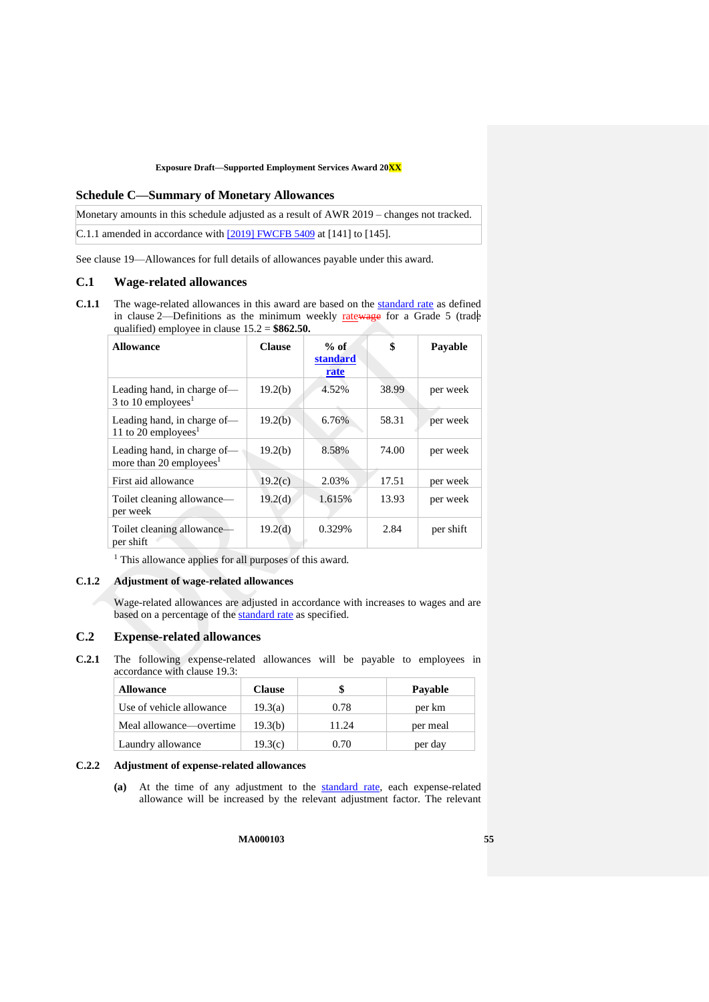### <span id="page-54-0"></span>**Schedule C—Summary of Monetary Allowances**

Monetary amounts in this schedule adjusted as a result of AWR 2019 – changes not tracked. C.1.1 amended in accordance with [\[2019\] FWCFB 5409](https://www.fwc.gov.au/documents/decisionssigned/html/2019fwcfb5409.htm#P266_6964) at [141] to [145].

See clause [19—Allowances](#page-19-0) for full details of allowances payable under this award.

### **C.1 Wage-related allowances**

<span id="page-54-1"></span>**C.1.1** The wage-related allowances in this award are based on the [standard rate](#page-5-5) as defined in clause [2—Definitions](#page-4-1) as the minimum weekly  $ratewage$  for a Grade 5 (trade qualified) employee in clause [15.2](#page-14-3) = **\$862.50.**

| <b>Allowance</b>                                                   | <b>Clause</b>       | $%$ of<br><b>standard</b><br>rate | \$    | Payable   |
|--------------------------------------------------------------------|---------------------|-----------------------------------|-------|-----------|
| Leading hand, in charge of-<br>3 to 10 employees <sup>1</sup>      | 19.2(b)             | 4.52%                             | 38.99 | per week  |
| Leading hand, in charge of-<br>11 to 20 employees <sup>1</sup>     | 19.2(b)             | 6.76%                             | 58.31 | per week  |
| Leading hand, in charge of-<br>more than 20 employees <sup>1</sup> | 19.2(b)             | 8.58%                             | 74.00 | per week  |
| First aid allowance                                                | 19.2(c)             | 2.03%                             | 17.51 | per week  |
| Toilet cleaning allowance—<br>per week                             | 19.2 <sub>(d)</sub> | 1.615%                            | 13.93 | per week  |
| Toilet cleaning allowance-<br>per shift                            | 19.2(d)             | 0.329%                            | 2.84  | per shift |

<sup>1</sup> This allowance applies for all purposes of this award.

## **C.1.2 Adjustment of wage-related allowances**

Wage-related allowances are adjusted in accordance with increases to wages and are based on a percentage of the **standard rate** as specified.

### **C.2 Expense-related allowances**

**C.2.1** The following expense-related allowances will be payable to employees in accordance with clause [19.3:](#page-20-3)

| <b>Allowance</b>         | <b>Clause</b> |       | Payable  |
|--------------------------|---------------|-------|----------|
| Use of vehicle allowance | 19.3(a)       | 0.78  | per km   |
| Meal allowance—overtime  | 19.3(b)       | 11.24 | per meal |
| Laundry allowance        | 19.3(c)       | 0.70  | per day  |

#### **C.2.2 Adjustment of expense-related allowances**

**(a)** At the time of any adjustment to the [standard rate,](#page-5-5) each expense-related allowance will be increased by the relevant adjustment factor. The relevant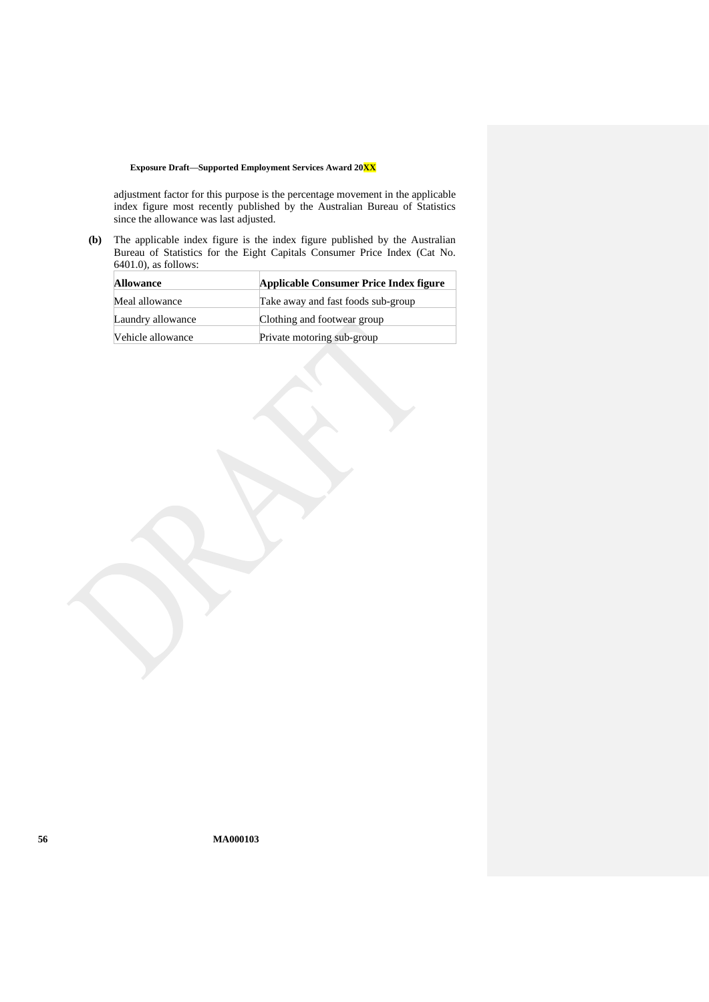adjustment factor for this purpose is the percentage movement in the applicable index figure most recently published by the Australian Bureau of Statistics since the allowance was last adjusted.

**(b)** The applicable index figure is the index figure published by the Australian Bureau of Statistics for the Eight Capitals Consumer Price Index (Cat No. 6401.0), as follows:

| <b>Allowance</b>  | Applicable Consumer Price Index figure |
|-------------------|----------------------------------------|
| Meal allowance    | Take away and fast foods sub-group     |
| Laundry allowance | Clothing and footwear group            |
| Vehicle allowance | Private motoring sub-group             |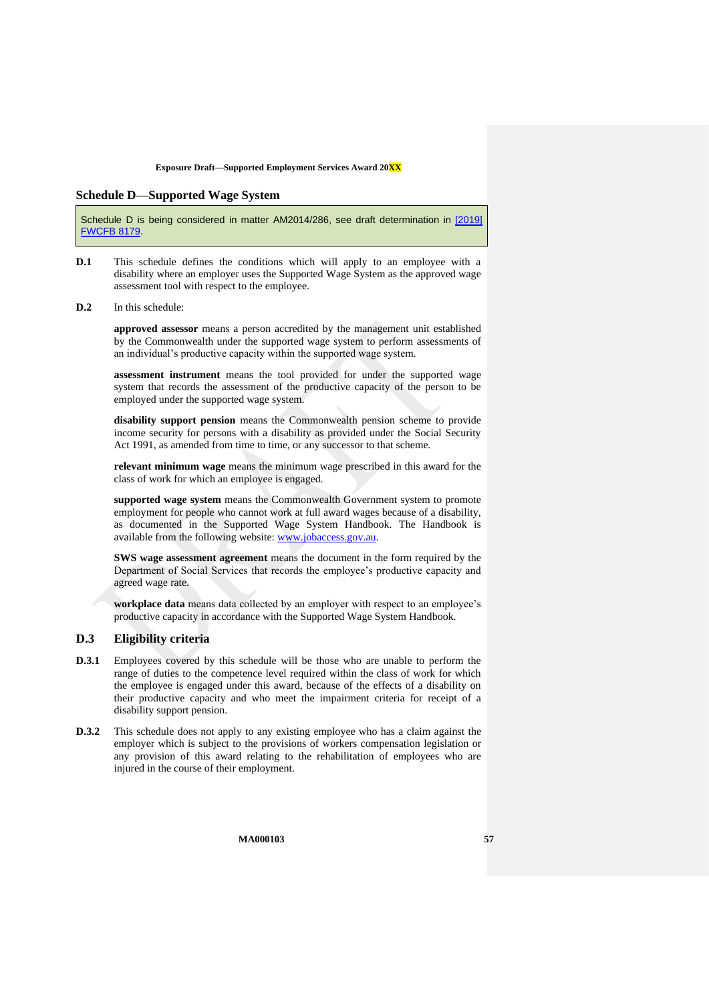#### <span id="page-56-0"></span>**Schedule D—Supported Wage System**

Schedule D is being considered in matter AM2014/286, see draft determination in [\[2019\]](https://www.fwc.gov.au/documents/decisionssigned/html/2019fwcfb8179.htm)  **[FWCFB 8179.](https://www.fwc.gov.au/documents/decisionssigned/html/2019fwcfb8179.htm)** 

- **D.1** This schedule defines the conditions which will apply to an employee with a disability where an employer uses the Supported Wage System as the approved wage assessment tool with respect to the employee.
- **D.2** In this schedule:

**approved assessor** means a person accredited by the management unit established by the Commonwealth under the supported wage system to perform assessments of an individual's productive capacity within the supported wage system.

**assessment instrument** means the tool provided for under the supported wage system that records the assessment of the productive capacity of the person to be employed under the supported wage system.

**disability support pension** means the Commonwealth pension scheme to provide income security for persons with a disability as provided under the Social Security Act 1991, as amended from time to time, or any successor to that scheme.

**relevant minimum wage** means the minimum wage prescribed in this award for the class of work for which an employee is engaged.

**supported wage system** means the Commonwealth Government system to promote employment for people who cannot work at full award wages because of a disability, as documented in the Supported Wage System Handbook. The Handbook is available from the following website: [www.jobaccess.gov.au.](http://www.jobaccess.gov.au/)

**SWS wage assessment agreement** means the document in the form required by the Department of Social Services that records the employee's productive capacity and agreed wage rate.

workplace data means data collected by an employer with respect to an employee's productive capacity in accordance with the Supported Wage System Handbook.

### **D.3 Eligibility criteria**

- **D.3.1** Employees covered by this schedule will be those who are unable to perform the range of duties to the competence level required within the class of work for which the employee is engaged under this award, because of the effects of a disability on their productive capacity and who meet the impairment criteria for receipt of a disability support pension.
- **D.3.2** This schedule does not apply to any existing employee who has a claim against the employer which is subject to the provisions of workers compensation legislation or any provision of this award relating to the rehabilitation of employees who are injured in the course of their employment.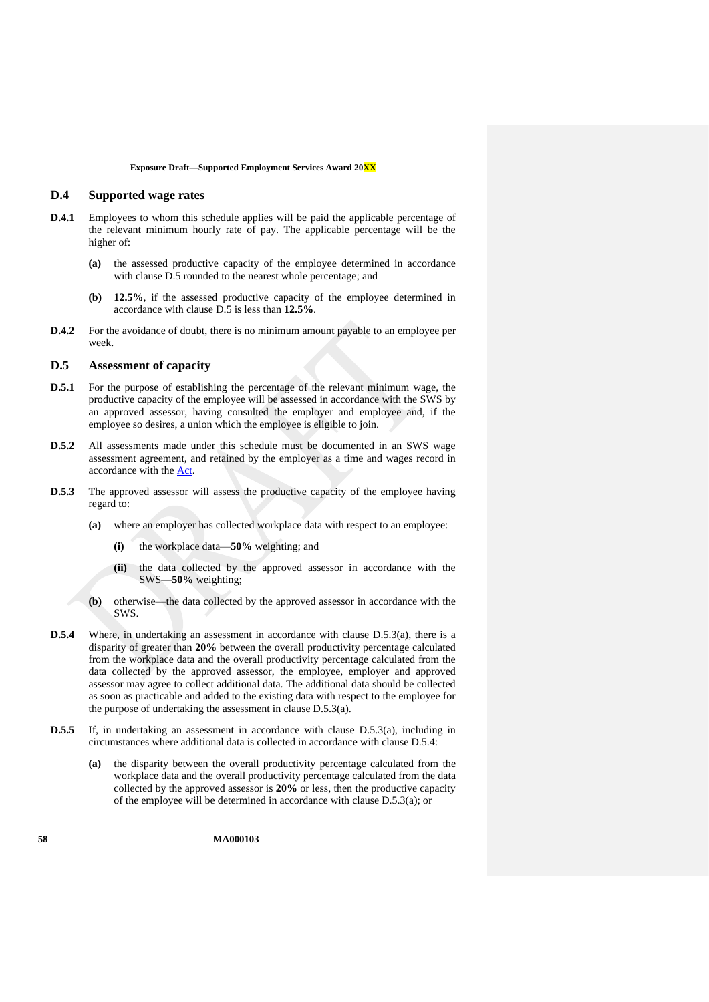## <span id="page-57-4"></span>**D.4 Supported wage rates**

- <span id="page-57-5"></span>**D.4.1** Employees to whom this schedule applies will be paid the applicable percentage of the relevant minimum hourly rate of pay. The applicable percentage will be the higher of:
	- **(a)** the assessed productive capacity of the employee determined in accordance with clause [D.5](#page-57-0) rounded to the nearest whole percentage; and
	- **(b) 12.5%**, if the assessed productive capacity of the employee determined in accordance with clause [D.5](#page-57-0) is less than **12.5%**.
- **D.4.2** For the avoidance of doubt, there is no minimum amount payable to an employee per week.

## <span id="page-57-0"></span>**D.5 Assessment of capacity**

- **D.5.1** For the purpose of establishing the percentage of the relevant minimum wage, the productive capacity of the employee will be assessed in accordance with the SWS by an approved assessor, having consulted the employer and employee and, if the employee so desires, a union which the employee is eligible to join.
- **D.5.2** All assessments made under this schedule must be documented in an SWS wage assessment agreement, and retained by the employer as a time and wages record in accordance with the [Act.](http://www.legislation.gov.au/Series/C2009A00028)
- <span id="page-57-1"></span>**D.5.3** The approved assessor will assess the productive capacity of the employee having regard to:
	- **(a)** where an employer has collected workplace data with respect to an employee:
		- **(i)** the workplace data—**50%** weighting; and
		- **(ii)** the data collected by the approved assessor in accordance with the SWS—**50%** weighting;
	- **(b)** otherwise—the data collected by the approved assessor in accordance with the SWS.
- <span id="page-57-3"></span><span id="page-57-2"></span>**D.5.4** Where, in undertaking an assessment in accordance with clause [D.5.3\(a\),](#page-57-1) there is a disparity of greater than **20%** between the overall productivity percentage calculated from the workplace data and the overall productivity percentage calculated from the data collected by the approved assessor, the employee, employer and approved assessor may agree to collect additional data. The additional data should be collected as soon as practicable and added to the existing data with respect to the employee for the purpose of undertaking the assessment in clause [D.5.3\(a\).](#page-57-1)
- **D.5.5** If, in undertaking an assessment in accordance with clause [D.5.3\(a\),](#page-57-1) including in circumstances where additional data is collected in accordance with clause [D.5.4:](#page-57-2)
	- **(a)** the disparity between the overall productivity percentage calculated from the workplace data and the overall productivity percentage calculated from the data collected by the approved assessor is **20%** or less, then the productive capacity of the employee will be determined in accordance with clause [D.5.3\(a\);](#page-57-1) or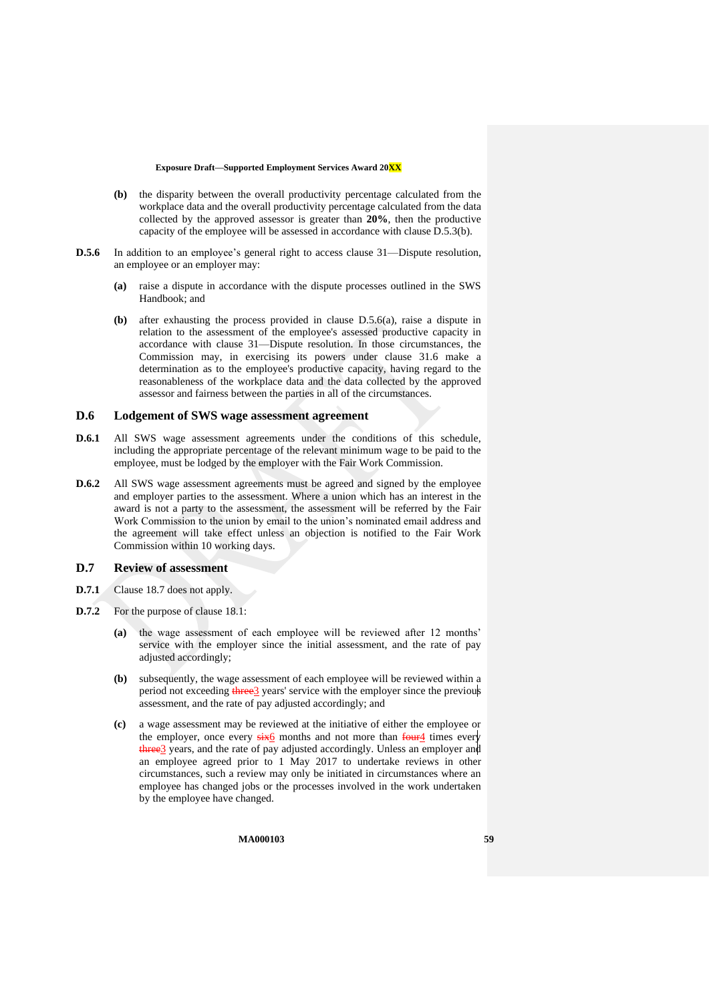- **(b)** the disparity between the overall productivity percentage calculated from the workplace data and the overall productivity percentage calculated from the data collected by the approved assessor is greater than **20%**, then the productive capacity of the employee will be assessed in accordance with claus[e D.5.3\(b\).](#page-57-3)
- <span id="page-58-0"></span>**D.5.6** In addition to an employee's general right to access clause [31—Dispute resolution,](#page-31-1) an employee or an employer may:
	- **(a)** raise a dispute in accordance with the dispute processes outlined in the SWS Handbook; and
	- **(b)** after exhausting the process provided in clause [D.5.6\(a\),](#page-58-0) raise a dispute in relation to the assessment of the employee's assessed productive capacity in accordance with clause [31—Dispute resolution.](#page-31-1) In those circumstances, the Commission may, in exercising its powers under clause [31.6](#page-32-6) make a determination as to the employee's productive capacity, having regard to the reasonableness of the workplace data and the data collected by the approved assessor and fairness between the parties in all of the circumstances.

## **D.6 Lodgement of SWS wage assessment agreement**

- **D.6.1** All SWS wage assessment agreements under the conditions of this schedule, including the appropriate percentage of the relevant minimum wage to be paid to the employee, must be lodged by the employer with the Fair Work Commission.
- **D.6.2** All SWS wage assessment agreements must be agreed and signed by the employee and employer parties to the assessment. Where a union which has an interest in the award is not a party to the assessment, the assessment will be referred by the Fair Work Commission to the union by email to the union's nominated email address and the agreement will take effect unless an objection is notified to the Fair Work Commission within 10 working days.

## **D.7 Review of assessment**

- **D.7.1** Clause [18.7](#page-18-0) does not apply.
- **D.7.2** For the purpose of clause [18.1:](#page-17-4)
	- **(a)** the wage assessment of each employee will be reviewed after 12 months' service with the employer since the initial assessment, and the rate of pay adjusted accordingly;
	- **(b)** subsequently, the wage assessment of each employee will be reviewed within a period not exceeding three 3 years' service with the employer since the previous assessment, and the rate of pay adjusted accordingly; and
	- **(c)** a wage assessment may be reviewed at the initiative of either the employee or the employer, once every  $\frac{\sin 6}{6}$  months and not more than  $\frac{\tan 4}{\tan 4}$  times every three<sup>3</sup> years, and the rate of pay adjusted accordingly. Unless an employer and an employee agreed prior to 1 May 2017 to undertake reviews in other circumstances, such a review may only be initiated in circumstances where an employee has changed jobs or the processes involved in the work undertaken by the employee have changed.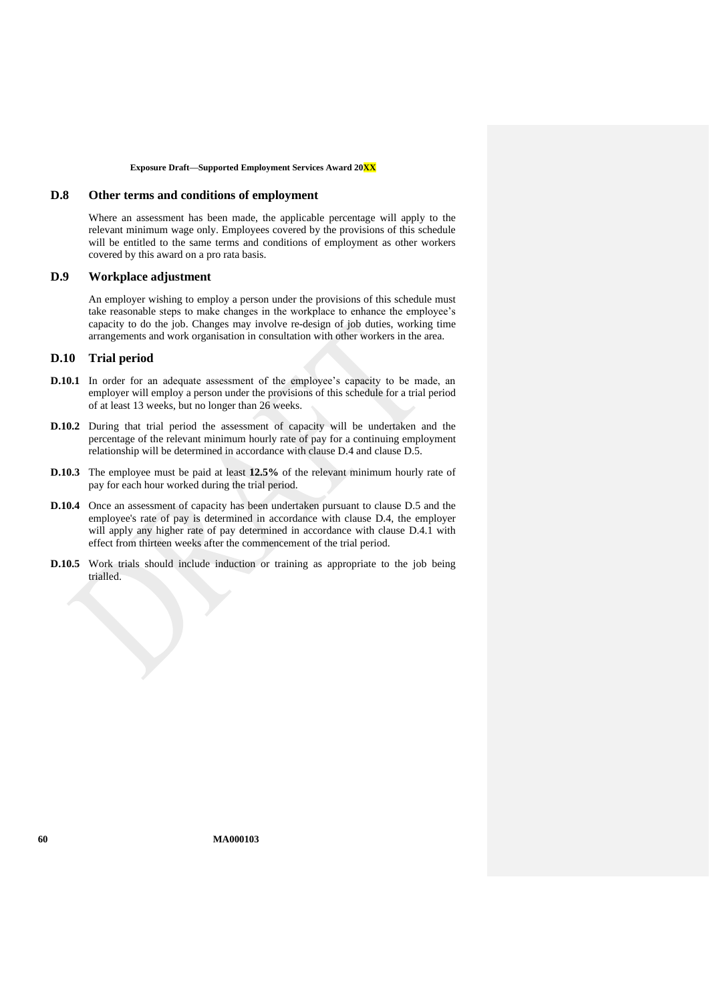## **D.8 Other terms and conditions of employment**

Where an assessment has been made, the applicable percentage will apply to the relevant minimum wage only. Employees covered by the provisions of this schedule will be entitled to the same terms and conditions of employment as other workers covered by this award on a pro rata basis.

## **D.9 Workplace adjustment**

An employer wishing to employ a person under the provisions of this schedule must take reasonable steps to make changes in the workplace to enhance the employee's capacity to do the job. Changes may involve re-design of job duties, working time arrangements and work organisation in consultation with other workers in the area.

## **D.10 Trial period**

- **D.10.1** In order for an adequate assessment of the employee's capacity to be made, an employer will employ a person under the provisions of this schedule for a trial period of at least 13 weeks, but no longer than 26 weeks.
- **D.10.2** During that trial period the assessment of capacity will be undertaken and the percentage of the relevant minimum hourly rate of pay for a continuing employment relationship will be determined in accordance with clause [D.4](#page-57-4) and clause [D.5.](#page-57-0)
- **D.10.3** The employee must be paid at least 12.5% of the relevant minimum hourly rate of pay for each hour worked during the trial period.
- **D.10.4** Once an assessment of capacity has been undertaken pursuant to clause [D.5](#page-57-0) and the employee's rate of pay is determined in accordance with clause [D.4,](#page-57-4) the employer will apply any higher rate of pay determined in accordance with clause [D.4.1](#page-57-5) with effect from thirteen weeks after the commencement of the trial period.
- **D.10.5** Work trials should include induction or training as appropriate to the job being trialled.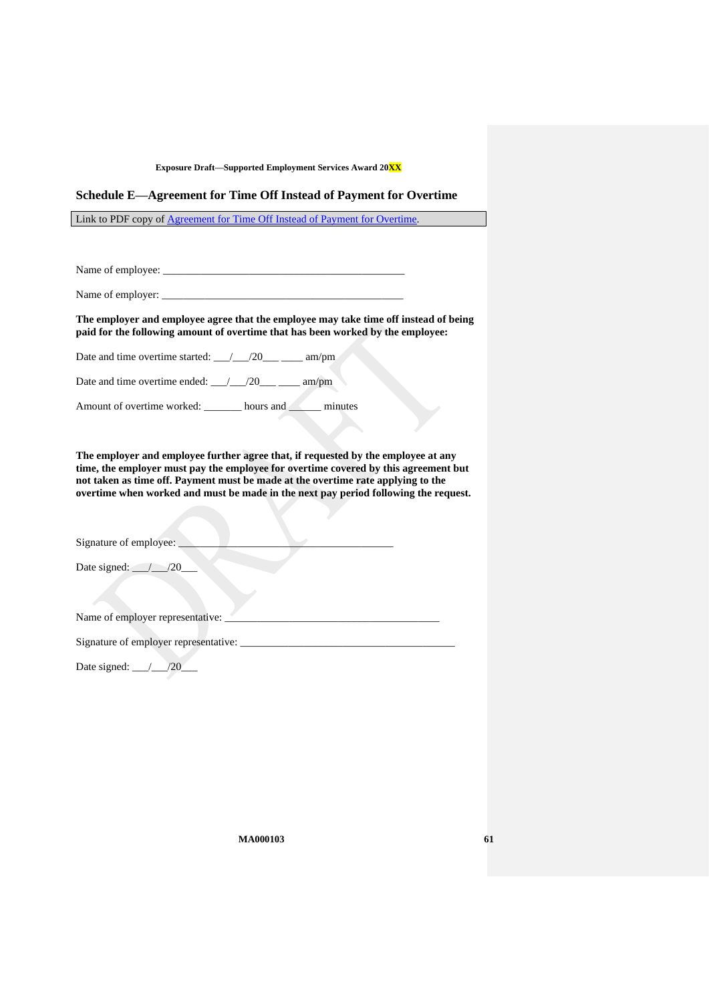## <span id="page-60-0"></span>**Schedule E—Agreement for Time Off Instead of Payment for Overtime**

Link to PDF copy of [Agreement for Time Off Instead of Payment for Overtime.](http://www.fwc.gov.au/documents/documents/modern_awards/toil-agreement.pdf)

Name of employee: \_\_\_\_\_\_\_\_\_\_\_\_\_\_\_\_\_\_\_\_\_\_\_\_\_\_\_\_\_\_\_\_\_\_\_\_\_\_\_\_\_\_\_\_\_

Name of employer: \_\_\_\_\_\_\_\_\_\_\_\_\_\_\_\_\_\_\_\_\_\_\_\_\_\_\_\_\_\_\_\_\_\_\_\_\_\_\_\_\_\_\_\_\_

**The employer and employee agree that the employee may take time off instead of being paid for the following amount of overtime that has been worked by the employee:**

Date and time overtime started:  $\frac{1}{20}$  /20\_\_\_ \_\_\_\_ am/pm

Date and time overtime ended: \_\_\_/\_\_\_/20\_\_\_ \_\_\_\_ am/pm

Amount of overtime worked: \_\_\_\_\_\_\_ hours and \_\_\_\_\_\_ minutes

**The employer and employee further agree that, if requested by the employee at any time, the employer must pay the employee for overtime covered by this agreement but not taken as time off. Payment must be made at the overtime rate applying to the overtime when worked and must be made in the next pay period following the request.**

Signature of employee:

Date signed:  $\angle$  /20\_

Name of employer representative: \_\_\_\_\_\_\_\_\_\_\_\_\_\_\_\_\_\_\_\_\_\_\_\_\_\_\_\_\_\_\_\_\_\_\_\_\_\_\_\_

Signature of employer representative:

Date signed: \_\_\_/\_\_\_/20\_\_\_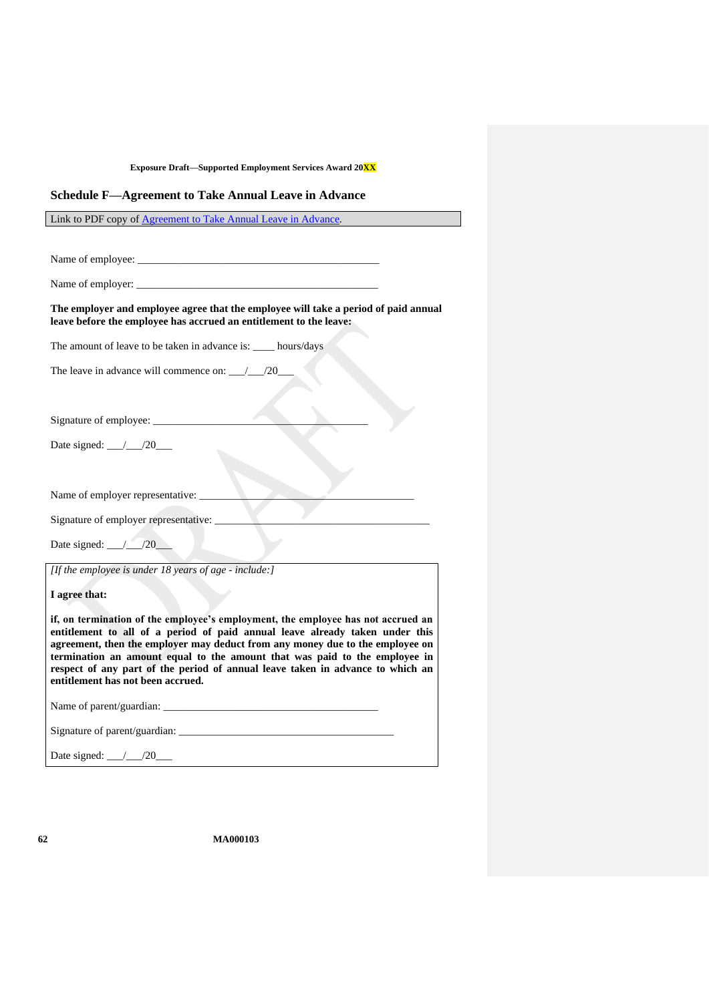### <span id="page-61-0"></span>**Schedule F—Agreement to Take Annual Leave in Advance**

Link to PDF copy of [Agreement to Take Annual Leave in Advance.](http://www.fwc.gov.au/documents/documents/modern_awards/leave-in-advance-agreement.pdf)

Name of employee: \_\_\_\_\_\_\_\_\_\_\_\_\_\_\_\_\_\_\_\_\_\_\_\_\_\_\_\_\_\_\_\_\_\_\_\_\_\_\_\_\_\_\_\_\_

Name of employer:

### **The employer and employee agree that the employee will take a period of paid annual leave before the employee has accrued an entitlement to the leave:**

The amount of leave to be taken in advance is: \_\_\_\_ hours/days

The leave in advance will commence on: \_\_\_/\_\_\_/20\_

Signature of employee: \_\_\_\_\_\_\_\_\_\_\_\_\_\_\_\_\_\_\_\_\_\_\_\_\_\_\_\_\_\_\_\_\_\_\_\_\_\_\_\_

Date signed: \_\_\_/\_\_\_/20\_\_\_\_

Name of employer representative:

Signature of employer representative:

Date signed:  $\frac{1}{20}$ 

*[If the employee is under 18 years of age - include:]*

**I agree that:**

**if, on termination of the employee's employment, the employee has not accrued an entitlement to all of a period of paid annual leave already taken under this agreement, then the employer may deduct from any money due to the employee on termination an amount equal to the amount that was paid to the employee in respect of any part of the period of annual leave taken in advance to which an entitlement has not been accrued.**

Name of parent/guardian:

Signature of parent/guardian: \_\_\_\_\_\_\_\_\_\_\_\_\_\_\_\_\_\_\_\_\_\_\_\_\_\_\_\_\_\_\_\_\_\_\_\_\_\_\_\_

Date signed: \_\_\_/\_\_\_/20\_\_\_\_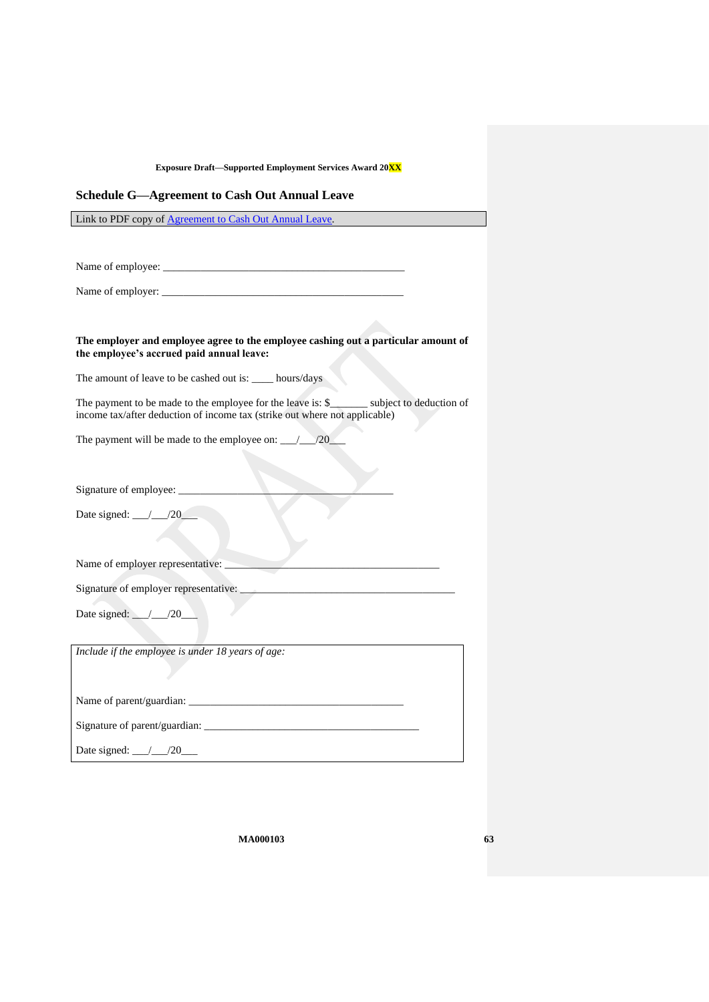## <span id="page-62-0"></span>**Schedule G—Agreement to Cash Out Annual Leave**

Link to PDF copy of [Agreement to Cash Out Annual Leave.](http://www.fwc.gov.au/documents/documents/modern_awards/cash-out-agreement.pdf)

Name of employee: \_\_\_\_\_\_\_\_\_\_\_\_\_\_\_\_\_\_\_\_\_\_\_\_\_\_\_\_\_\_\_\_\_\_\_\_\_\_\_\_\_\_\_\_\_

Name of employer:

### **The employer and employee agree to the employee cashing out a particular amount of the employee's accrued paid annual leave:**

The amount of leave to be cashed out is: \_\_\_\_ hours/days

The payment to be made to the employee for the leave is: \$\_\_\_\_\_\_\_\_ subject to deduction of income tax/after deduction of income tax (strike out where not applicable)

The payment will be made to the employee on:  $\frac{1}{20}$ 

Signature of employee: \_\_\_\_\_\_\_\_\_\_\_\_\_\_\_\_\_\_\_\_\_\_\_\_\_\_\_\_\_\_\_\_\_\_\_\_\_\_\_\_

Date signed:  $\angle 20$ 

Name of employer representative:

Signature of employer representative:

Date signed: \_\_\_/\_\_\_/20\_\_\_

*Include if the employee is under 18 years of age:*

Name of parent/guardian: \_\_\_\_\_\_\_\_\_\_\_\_\_\_\_\_\_\_\_\_\_\_\_\_\_\_\_\_\_\_\_\_\_\_\_\_\_\_\_\_

Signature of parent/guardian:

Date signed: \_\_\_/\_\_\_/20\_\_\_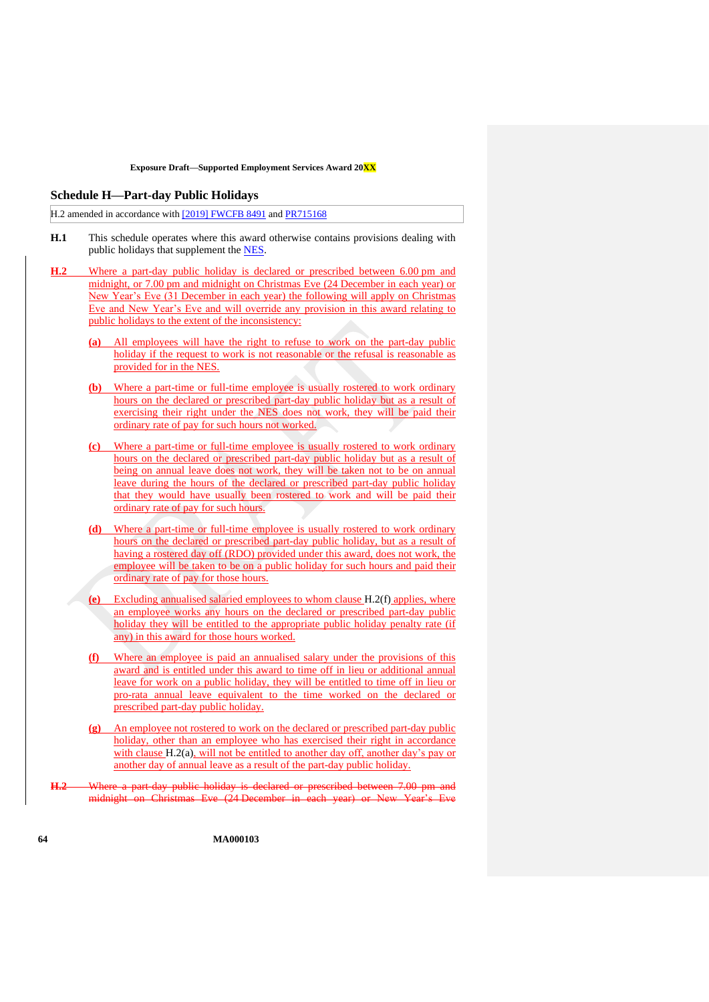#### <span id="page-63-0"></span>**Schedule H—Part-day Public Holidays**

H.2 amended in accordance with [\[2019\] FWCFB 8491](https://www.fwc.gov.au/documents/decisionssigned/html/2019fwcfb8491.htm) and [PR715168](https://www.fwc.gov.au/documents/awardsandorders/html/pr715168.htm)

- **H.1** This schedule operates where this award otherwise contains provisions dealing with public holidays that supplement the [NES.](https://www.fwc.gov.au/documents/awardmod/download/nes.pdf)
- <span id="page-63-2"></span>**H.2** Where a part-day public holiday is declared or prescribed between 6.00 pm and midnight, or 7.00 pm and midnight on Christmas Eve (24 December in each year) or New Year's Eve (31 December in each year) the following will apply on Christmas Eve and New Year's Eve and will override any provision in this award relating to public holidays to the extent of the inconsistency:
	- **(a)** All employees will have the right to refuse to work on the part-day public holiday if the request to work is not reasonable or the refusal is reasonable as provided for in the [NES.](https://www.fwc.gov.au/documents/awardmod/download/nes.pdf)
	- **(b)** Where a part-time or full-time employee is usually rostered to work ordinary hours on the declared or prescribed part-day public holiday but as a result of exercising their right under the [NES](https://www.fwc.gov.au/documents/awardmod/download/nes.pdf) does not work, they will be paid their ordinary rate of pay for such hours not worked.
	- **(c)** Where a part-time or full-time employee is usually rostered to work ordinary hours on the declared or prescribed part-day public holiday but as a result of being on annual leave does not work, they will be taken not to be on annual leave during the hours of the declared or prescribed part-day public holiday that they would have usually been rostered to work and will be paid their ordinary rate of pay for such hours.
	- **(d)** Where a part-time or full-time employee is usually rostered to work ordinary hours on the declared or prescribed part-day public holiday, but as a result of having a rostered day off (RDO) provided under this award, does not work, the employee will be taken to be on a public holiday for such hours and paid their ordinary rate of pay for those hours.
	- Excluding annualised salaried employees to whom clause [H.2\(f\)](#page-63-1) applies, where an employee works any hours on the declared or prescribed part-day public holiday they will be entitled to the appropriate public holiday penalty rate (if any) in this award for those hours worked.
	- **(f)** Where an employee is paid an annualised salary under the provisions of this award and is entitled under this award to time off in lieu or additional annual leave for work on a public holiday, they will be entitled to time off in lieu or pro-rata annual leave equivalent to the time worked on the declared or prescribed part-day public holiday.
	- **(g)** An employee not rostered to work on the declared or prescribed part-day public holiday, other than an employee who has exercised their right in accordance with clause [H.2\(a\),](#page-63-2) will not be entitled to another day off, another day's pay or another day of annual leave as a result of the part-day public holiday.
- <span id="page-63-1"></span>**H.2** Where a part-day public holiday is declared or prescribed between 7.00 pm and midnight on Christmas Eve (24 December in each year) or New Year's Eve